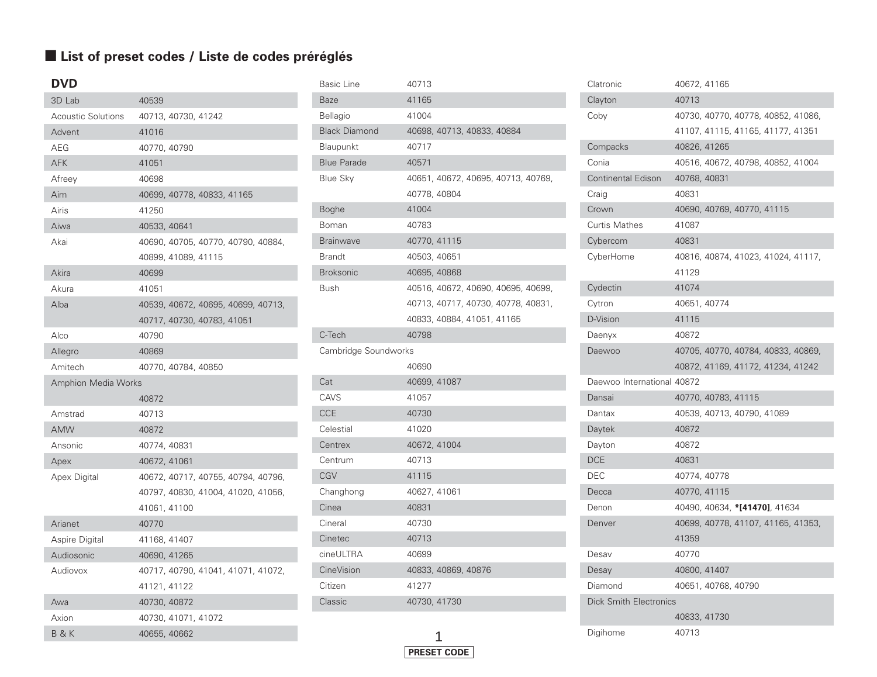#### ■ List of preset codes / Liste de codes préréglés

| <b>DVD</b>                 |              |                     |                                    |                                    |  |
|----------------------------|--------------|---------------------|------------------------------------|------------------------------------|--|
| 3D Lab                     | 40539        |                     |                                    |                                    |  |
| <b>Acoustic Solutions</b>  |              | 40713, 40730, 41242 |                                    |                                    |  |
| Advent                     | 41016        |                     |                                    |                                    |  |
| AEG                        | 40770, 40790 |                     |                                    |                                    |  |
| <b>AFK</b>                 | 41051        |                     |                                    |                                    |  |
| Afreey                     | 40698        |                     |                                    |                                    |  |
| Aim                        |              |                     | 40699, 40778, 40833, 41165         |                                    |  |
| Airis                      | 41250        |                     |                                    |                                    |  |
| Aiwa                       | 40533, 40641 |                     |                                    |                                    |  |
| Akai                       |              |                     |                                    | 40690, 40705, 40770, 40790, 40884, |  |
|                            |              | 40899, 41089, 41115 |                                    |                                    |  |
| Akira                      | 40699        |                     |                                    |                                    |  |
| Akura                      | 41051        |                     |                                    |                                    |  |
| Alba                       |              |                     |                                    | 40539, 40672, 40695, 40699, 40713, |  |
|                            |              |                     | 40717, 40730, 40783, 41051         |                                    |  |
| Alco                       | 40790        |                     |                                    |                                    |  |
| Allegro                    | 40869        |                     |                                    |                                    |  |
| Amitech                    |              | 40770, 40784, 40850 |                                    |                                    |  |
| <b>Amphion Media Works</b> |              |                     |                                    |                                    |  |
|                            | 40872        |                     |                                    |                                    |  |
| Amstrad                    | 40713        |                     |                                    |                                    |  |
| <b>AMW</b>                 | 40872        |                     |                                    |                                    |  |
| Ansonic                    | 40774, 40831 |                     |                                    |                                    |  |
| Apex                       | 40672, 41061 |                     |                                    |                                    |  |
| Apex Digital               |              |                     | 40672, 40717, 40755, 40794, 40796, |                                    |  |
|                            |              |                     |                                    | 40797, 40830, 41004, 41020, 41056, |  |
|                            | 41061, 41100 |                     |                                    |                                    |  |
| Arianet                    | 40770        |                     |                                    |                                    |  |
| Aspire Digital             | 41168, 41407 |                     |                                    |                                    |  |
| Audiosonic                 | 40690, 41265 |                     |                                    |                                    |  |
| Audiovox                   |              |                     |                                    | 40717, 40790, 41041, 41071, 41072, |  |
|                            | 41121, 41122 |                     |                                    |                                    |  |
| Awa                        | 40730, 40872 |                     |                                    |                                    |  |
| Axion                      |              | 40730, 41071, 41072 |                                    |                                    |  |
| <b>B&amp;K</b>             | 40655, 40662 |                     |                                    |                                    |  |

| <b>Basic Line</b>    | 40713                              |
|----------------------|------------------------------------|
| Baze                 | 41165                              |
| <b>Bellagio</b>      | 41004                              |
| <b>Black Diamond</b> | 40698, 40713, 40833, 40884         |
| Blaupunkt            | 40717                              |
| <b>Blue Parade</b>   | 40571                              |
| <b>Blue Sky</b>      | 40651, 40672, 40695, 40713, 40769, |
|                      | 40778, 40804                       |
| <b>Boghe</b>         | 41004                              |
| Boman                | 40783                              |
| <b>Brainwave</b>     | 40770, 41115                       |
| <b>Brandt</b>        | 40503, 40651                       |
| <b>Broksonic</b>     | 40695, 40868                       |
| Bush                 | 40516, 40672, 40690, 40695, 40699, |
|                      | 40713, 40717, 40730, 40778, 40831, |
|                      | 40833, 40884, 41051, 41165         |
| C-Tech               | 40798                              |
|                      |                                    |
| Cambridge Soundworks |                                    |
|                      | 40690                              |
| Cat                  | 40699, 41087                       |
| CAVS                 | 41057                              |
| <b>CCE</b>           | 40730                              |
| Celestial            | 41020                              |
| Centrex              | 40672, 41004                       |
| Centrum              | 40713                              |
| CGV                  | 41115                              |
| Changhong            | 40627, 41061                       |
| Cinea                | 40831                              |
| Cineral              | 40730                              |
| Cinetec              | 40713                              |
| cineULTRA            | 40699                              |
| CineVision           | 40833, 40869, 40876                |
| Citizen              | 41277                              |
| Classic              | 40730, 41730                       |

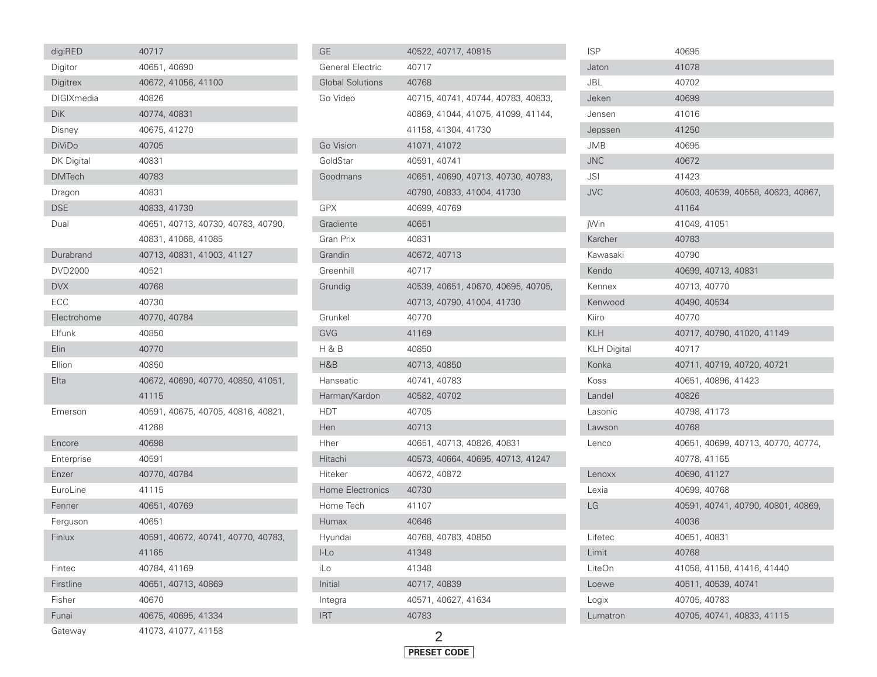| digiRED           | 40717                              |
|-------------------|------------------------------------|
| Digitor           | 40651, 40690                       |
| Digitrex          | 40672, 41056, 41100                |
| <b>DIGIXmedia</b> | 40826                              |
| <b>DiK</b>        | 40774, 40831                       |
| Disney            | 40675, 41270                       |
| <b>DiViDo</b>     | 40705                              |
| DK Digital        | 40831                              |
| <b>DMTech</b>     | 40783                              |
| Dragon            | 40831                              |
| <b>DSE</b>        | 40833, 41730                       |
| Dual              | 40651, 40713, 40730, 40783, 40790, |
|                   | 40831, 41068, 41085                |
| Durabrand         | 40713, 40831, 41003, 41127         |
| <b>DVD2000</b>    | 40521                              |
| <b>DVX</b>        | 40768                              |
| ECC               | 40730                              |
| Electrohome       | 40770, 40784                       |
| Elfunk            | 40850                              |
| Elin              | 40770                              |
| Ellion            | 40850                              |
| Elta              | 40672, 40690, 40770, 40850, 41051, |
|                   | 41115                              |
| Emerson           | 40591, 40675, 40705, 40816, 40821, |
|                   | 41268                              |
| Encore            | 40698                              |
| Enterprise        | 40591                              |
| Enzer             | 40770, 40784                       |
| EuroLine          | 41115                              |
| Fenner            | 40651, 40769                       |
| Ferguson          | 40651                              |
| Finlux            | 40591, 40672, 40741, 40770, 40783, |
|                   | 41165                              |
| Fintec            | 40784, 41169                       |
| Firstline         | 40651, 40713, 40869                |
| Fisher            | 40670                              |
| Funai             | 40675, 40695, 41334                |
| Gateway           | 41073.41077.41158                  |

| GЕ                      | 40522, 40717, 40815                |
|-------------------------|------------------------------------|
| <b>General Electric</b> | 40717                              |
| <b>Global Solutions</b> | 40768                              |
| Go Video                | 40715, 40741, 40744, 40783, 40833, |
|                         | 40869, 41044, 41075, 41099, 41144, |
|                         | 41158, 41304, 41730                |
| Go Vision               | 41071, 41072                       |
| GoldStar                | 40591, 40741                       |
| Goodmans                | 40651, 40690, 40713, 40730, 40783, |
|                         | 40790, 40833, 41004, 41730         |
| <b>GPX</b>              | 40699, 40769                       |
| Gradiente               | 40651                              |
| Gran Prix               | 40831                              |
| Grandin                 | 40672, 40713                       |
| Greenhill               | 40717                              |
| Grundig                 | 40539, 40651, 40670, 40695, 40705, |
|                         | 40713, 40790, 41004, 41730         |
| Grunkel                 | 40770                              |
| <b>GVG</b>              | 41169                              |
| H & B                   | 40850                              |
| H&B                     | 40713, 40850                       |
| Hanseatic               | 40741, 40783                       |
| Harman/Kardon           | 40582, 40702                       |
| <b>HDT</b>              | 40705                              |
| Hen                     | 40713                              |
| Hher                    | 40651, 40713, 40826, 40831         |
| Hitachi                 | 40573, 40664, 40695, 40713, 41247  |
| Hiteker                 | 40672, 40872                       |
| Home Electronics        | 40730                              |
| Home Tech               | 41107                              |
| Humax                   | 40646                              |
| Hyundai                 | 40768, 40783, 40850                |
| $L_{\text{LO}}$         | 41348                              |
| iLo                     | 41348                              |
| Initial                 | 40717, 40839                       |
| Integra                 | 40571, 40627, 41634                |
| <b>IRT</b>              | 40783                              |
|                         |                                    |

| <b>ISP</b>         | 40695                              |
|--------------------|------------------------------------|
| Jaton              | 41078                              |
| JBL                | 40702                              |
| Jeken              | 40699                              |
| Jensen             | 41016                              |
| Jepssen            | 41250                              |
| JMB                | 40695                              |
| <b>JNC</b>         | 40672                              |
| JSI                | 41423                              |
| <b>JVC</b>         | 40503, 40539, 40558, 40623, 40867, |
|                    | 41164                              |
| jWin               | 41049, 41051                       |
| Karcher            | 40783                              |
| Kawasaki           | 40790                              |
| Kendo              | 40699, 40713, 40831                |
| Kennex             | 40713, 40770                       |
| Kenwood            | 40490, 40534                       |
| Kiiro              | 40770                              |
| <b>KLH</b>         | 40717, 40790, 41020, 41149         |
| <b>KLH Digital</b> | 40717                              |
| Konka              | 40711, 40719, 40720, 40721         |
| Koss               | 40651, 40896, 41423                |
| Landel             | 40826                              |
| Lasonic            | 40798, 41173                       |
| Lawson             | 40768                              |
| Lenco              | 40651, 40699, 40713, 40770, 40774, |
|                    | 40778, 41165                       |
| Lenoxx             | 40690, 41127                       |
| Lexia              | 40699, 40768                       |
| LG                 | 40591, 40741, 40790, 40801, 40869, |
|                    | 40036                              |
| Lifetec            | 40651, 40831                       |
| Limit              | 40768                              |
| LiteOn             | 41058, 41158, 41416, 41440         |
| Loewe              | 40511, 40539, 40741                |
| Logix              | 40705, 40783                       |
| Lumatron           | 40705, 40741, 40833, 41115         |



r.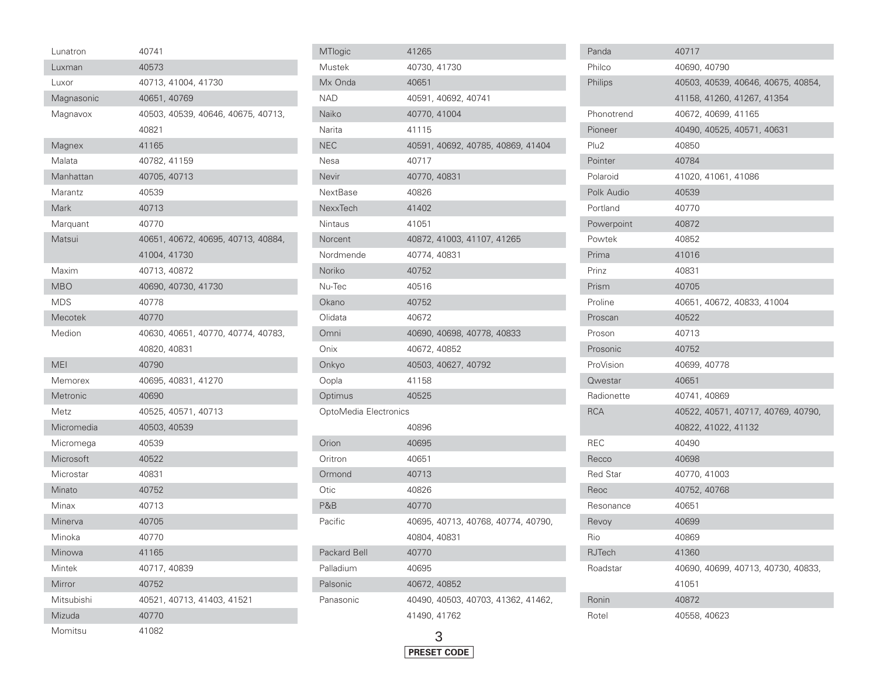| Lunatron   | 40741        |                            |                                    |  |
|------------|--------------|----------------------------|------------------------------------|--|
| Luxman     | 40573        |                            |                                    |  |
| Luxor      |              | 40713, 41004, 41730        |                                    |  |
| Magnasonic | 40651, 40769 |                            |                                    |  |
| Magnavox   |              |                            | 40503, 40539, 40646, 40675, 40713, |  |
|            | 40821        |                            |                                    |  |
| Magnex     | 41165        |                            |                                    |  |
| Malata     | 40782, 41159 |                            |                                    |  |
| Manhattan  | 40705, 40713 |                            |                                    |  |
| Marantz    | 40539        |                            |                                    |  |
| Mark       | 40713        |                            |                                    |  |
| Marquant   | 40770        |                            |                                    |  |
| Matsui     |              |                            | 40651, 40672, 40695, 40713, 40884, |  |
|            | 41004, 41730 |                            |                                    |  |
| Maxim      | 40713, 40872 |                            |                                    |  |
| <b>MBO</b> |              | 40690, 40730, 41730        |                                    |  |
| <b>MDS</b> | 40778        |                            |                                    |  |
| Mecotek    | 40770        |                            |                                    |  |
| Medion     |              |                            | 40630, 40651, 40770, 40774, 40783, |  |
|            | 40820, 40831 |                            |                                    |  |
| <b>MEI</b> | 40790        |                            |                                    |  |
| Memorex    |              | 40695, 40831, 41270        |                                    |  |
| Metronic   | 40690        |                            |                                    |  |
| Metz       |              | 40525, 40571, 40713        |                                    |  |
| Micromedia | 40503, 40539 |                            |                                    |  |
| Micromega  | 40539        |                            |                                    |  |
| Microsoft  | 40522        |                            |                                    |  |
| Microstar  | 40831        |                            |                                    |  |
| Minato     | 40752        |                            |                                    |  |
| Minax      | 40713        |                            |                                    |  |
| Minerva    | 40705        |                            |                                    |  |
| Minoka     | 40770        |                            |                                    |  |
| Minowa     | 41165        |                            |                                    |  |
| Mintek     | 40717, 40839 |                            |                                    |  |
| Mirror     | 40752        |                            |                                    |  |
| Mitsubishi |              | 40521, 40713, 41403, 41521 |                                    |  |
| Mizuda     | 40770        |                            |                                    |  |
| Momitsu    | 41082        |                            |                                    |  |

| MTlogic               | 41265                              |
|-----------------------|------------------------------------|
| Mustek                | 40730, 41730                       |
| Mx Onda               | 40651                              |
| <b>NAD</b>            | 40591, 40692, 40741                |
| Naiko                 | 40770, 41004                       |
| Narita                | 41115                              |
| <b>NEC</b>            | 40591, 40692, 40785, 40869, 41404  |
| Nesa                  | 40717                              |
| Nevir                 | 40770, 40831                       |
| NextBase              | 40826                              |
| NexxTech              | 41402                              |
| Nintaus               | 41051                              |
| Norcent               | 40872, 41003, 41107, 41265         |
| Nordmende             | 40774, 40831                       |
| Noriko                | 40752                              |
| Nu-Tec                | 40516                              |
| Okano                 | 40752                              |
| Olidata               | 40672                              |
| Omni                  | 40690, 40698, 40778, 40833         |
| Onix                  | 40672, 40852                       |
| Onkyo                 | 40503, 40627, 40792                |
| Oopla                 | 41158                              |
| Optimus               | 40525                              |
| OptoMedia Electronics |                                    |
|                       | 40896                              |
| Orion                 | 40695                              |
| Oritron               | 40651                              |
| Ormond                | 40713                              |
| Otic                  | 40826                              |
| P&B                   | 40770                              |
| Pacific               | 40695, 40713, 40768, 40774, 40790, |
|                       | 40804, 40831                       |
| Packard Bell          | 40770                              |
| Palladium             | 40695                              |
| Palsonic              | 40672, 40852                       |
| Panasonic             | 40490, 40503, 40703, 41362, 41462, |
|                       | 41490, 41762                       |
|                       |                                    |



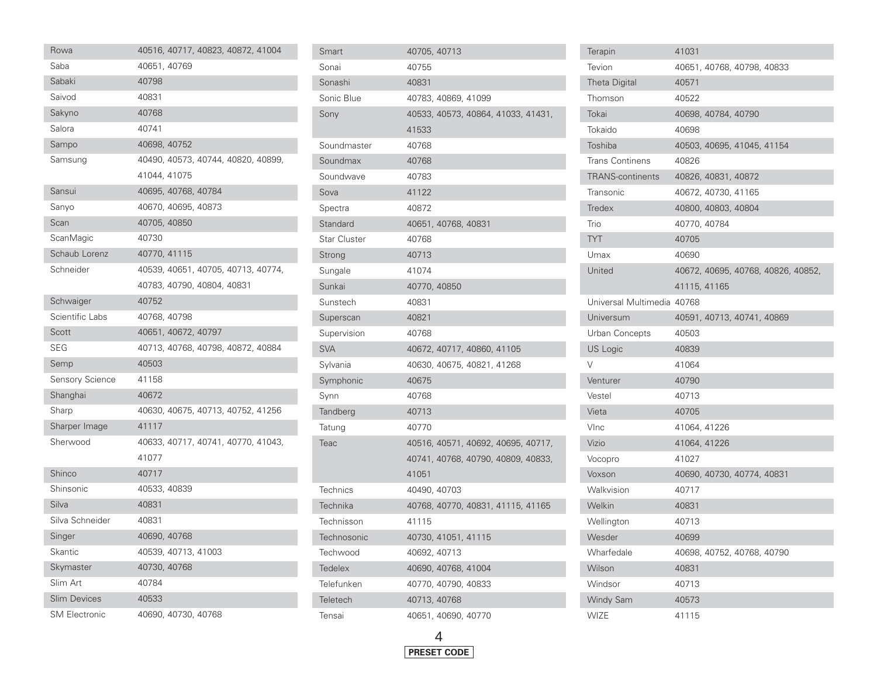| Rowa                   | 40516, 40717, 40823, 40872, 41004  |
|------------------------|------------------------------------|
| Saba                   | 40651, 40769                       |
| Sabaki                 | 40798                              |
| Saivod                 | 40831                              |
| Sakyno                 | 40768                              |
| Salora                 | 40741                              |
| Sampo                  | 40698, 40752                       |
| Samsung                | 40490, 40573, 40744, 40820, 40899, |
|                        | 41044, 41075                       |
| Sansui                 | 40695, 40768, 40784                |
| Sanyo                  | 40670, 40695, 40873                |
| Scan                   | 40705, 40850                       |
| ScanMagic              | 40730                              |
| Schaub Lorenz          | 40770, 41115                       |
| Schneider              | 40539, 40651, 40705, 40713, 40774, |
|                        | 40783, 40790, 40804, 40831         |
| Schwaiger              | 40752                              |
| Scientific Labs        | 40768, 40798                       |
| Scott                  | 40651, 40672, 40797                |
| <b>SEG</b>             | 40713, 40768, 40798, 40872, 40884  |
| Semp                   | 40503                              |
| <b>Sensory Science</b> | 41158                              |
| Shanghai               | 40672                              |
| Sharp                  | 40630, 40675, 40713, 40752, 41256  |
| Sharper Image          | 41117                              |
| Sherwood               | 40633, 40717, 40741, 40770, 41043, |
|                        | 41077                              |
| Shinco                 | 40717                              |
| Shinsonic              | 40533, 40839                       |
| Silva                  | 40831                              |
| Silva Schneider        | 40831                              |
| Singer                 | 40690, 40768                       |
| Skantic                | 40539, 40713, 41003                |
| Skymaster              | 40730, 40768                       |
| Slim Art               | 40784                              |
| <b>Slim Devices</b>    | 40533                              |
| <b>SM Electronic</b>   | 40690, 40730, 40768                |

| Smart               | 40705, 40713                       |
|---------------------|------------------------------------|
| Sonai               | 40755                              |
| Sonashi             | 40831                              |
| Sonic Blue          | 40783, 40869, 41099                |
| Sony                | 40533, 40573, 40864, 41033, 41431, |
|                     | 41533                              |
| Soundmaster         | 40768                              |
| Soundmax            | 40768                              |
| Soundwave           | 40783                              |
| Sova                | 41122                              |
| Spectra             | 40872                              |
| Standard            | 40651, 40768, 40831                |
| <b>Star Cluster</b> | 40768                              |
| Strong              | 40713                              |
| Sungale             | 41074                              |
| Sunkai              | 40770, 40850                       |
| Sunstech            | 40831                              |
| Superscan           | 40821                              |
| Supervision         | 40768                              |
| <b>SVA</b>          | 40672, 40717, 40860, 41105         |
| Sylvania            | 40630, 40675, 40821, 41268         |
| Symphonic           | 40675                              |
| Synn                | 40768                              |
| Tandberg            | 40713                              |
| Tatung              | 40770                              |
| Teac                | 40516, 40571, 40692, 40695, 40717, |
|                     | 40741, 40768, 40790, 40809, 40833, |
|                     | 41051                              |
| <b>Technics</b>     | 40490, 40703                       |
| Technika            | 40768, 40770, 40831, 41115, 41165  |
| Technisson          | 41115                              |
| Technosonic         | 40730, 41051, 41115                |
| Techwood            | 40692, 40713                       |
| Tedelex             | 40690, 40768, 41004                |
| Telefunken          | 40770, 40790, 40833                |
| Teletech            | 40713, 40768                       |
| Tensai              | 40651, 40690, 40770                |

| <b>Terapin</b>             | 41031                              |
|----------------------------|------------------------------------|
| Tevion                     | 40651, 40768, 40798, 40833         |
| <b>Theta Digital</b>       | 40571                              |
| Thomson                    | 40522                              |
| Tokai                      | 40698, 40784, 40790                |
| Tokaido                    | 40698                              |
| Toshiba                    | 40503, 40695, 41045, 41154         |
| <b>Trans Continens</b>     | 40826                              |
| <b>TRANS-continents</b>    | 40826, 40831, 40872                |
| Transonic                  | 40672, 40730, 41165                |
| Tredex                     | 40800, 40803, 40804                |
| Trio                       | 40770, 40784                       |
| <b>TYT</b>                 | 40705                              |
| Umax                       | 40690                              |
| United                     | 40672, 40695, 40768, 40826, 40852, |
|                            | 41115, 41165                       |
| Universal Multimedia 40768 |                                    |
| Universum                  | 40591, 40713, 40741, 40869         |
| Urban Concepts             | 40503                              |
| US Logic                   | 40839                              |
| V                          | 41064                              |
| Venturer                   | 40790                              |
| Vestel                     | 40713                              |
| Vieta                      | 40705                              |
| VInc                       | 41064, 41226                       |
| Vizio                      | 41064, 41226                       |
| Vocopro                    | 41027                              |
| Voxson                     | 40690, 40730, 40774, 40831         |
| Walkvision                 | 40717                              |
| Welkin                     | 40831                              |
| Wellington                 | 40713                              |
| Wesder                     | 40699                              |
| Wharfedale                 | 40698, 40752, 40768, 40790         |
| Wilson                     | 40831                              |
| Windsor                    | 40713                              |
| <b>Windy Sam</b>           | 40573                              |
| <b>WIZE</b>                | 41115                              |

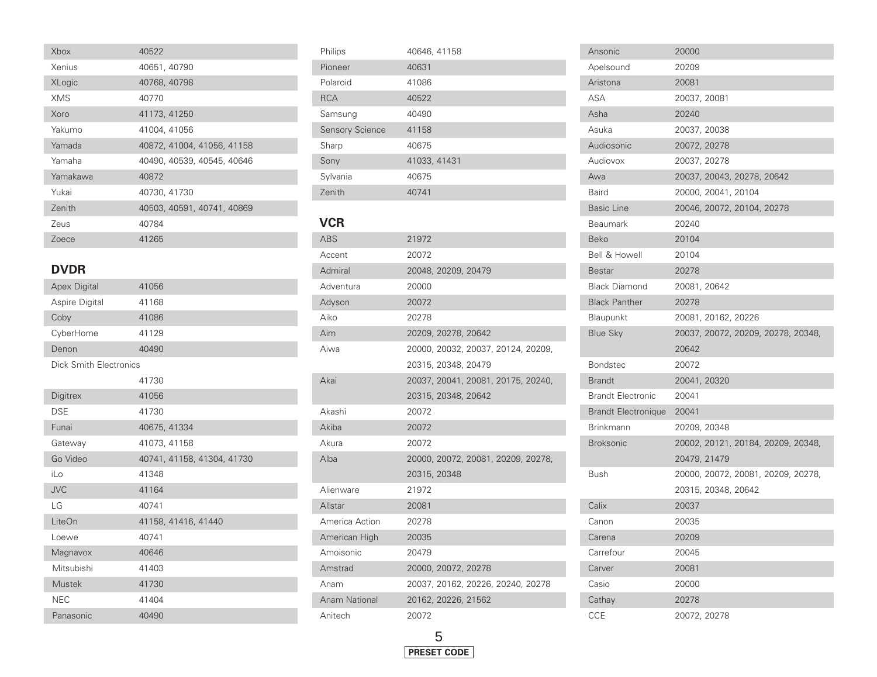| Xbox                          | 40522                      |
|-------------------------------|----------------------------|
| Xenius                        | 40651, 40790               |
| <b>XLogic</b>                 | 40768, 40798               |
| <b>XMS</b>                    | 40770                      |
| Xoro                          | 41173, 41250               |
| Yakumo                        | 41004, 41056               |
| Yamada                        | 40872, 41004, 41056, 41158 |
| Yamaha                        | 40490, 40539, 40545, 40646 |
| Yamakawa                      | 40872                      |
| Yukai                         | 40730, 41730               |
| Zenith                        | 40503, 40591, 40741, 40869 |
| Zeus                          | 40784                      |
| Zoece                         | 41265                      |
|                               |                            |
| <b>DVDR</b>                   |                            |
| <b>Apex Digital</b>           | 41056                      |
| Aspire Digital                | 41168                      |
| Coby                          | 41086                      |
| CyberHome                     | 41129                      |
| Denon                         | 40490                      |
| <b>Dick Smith Electronics</b> |                            |
|                               | 41730                      |
| Digitrex                      | 41056                      |
| <b>DSE</b>                    | 41730                      |
| Funai                         | 40675, 41334               |
| Gateway                       | 41073, 41158               |
| Go Video                      | 40741, 41158, 41304, 41730 |
| iLo                           | 41348                      |
| <b>JVC</b>                    | 41164                      |
| LG                            | 40741                      |
| LiteOn                        | 41158, 41416, 41440        |
| Loewe                         | 40741                      |
| Magnavox                      | 40646                      |
| Mitsubishi                    | 41403                      |
| <b>Mustek</b>                 | 41730                      |
| <b>NEC</b>                    | 41404                      |
| Panasonic                     | 40490                      |

| Philips                | 40646, 41158 |                     |                                    |                                    |  |
|------------------------|--------------|---------------------|------------------------------------|------------------------------------|--|
| Pioneer                | 40631        |                     |                                    |                                    |  |
| Polaroid               | 41086        |                     |                                    |                                    |  |
| <b>RCA</b>             | 40522        |                     |                                    |                                    |  |
| Samsung                | 40490        |                     |                                    |                                    |  |
| <b>Sensory Science</b> | 41158        |                     |                                    |                                    |  |
| Sharp                  | 40675        |                     |                                    |                                    |  |
| Sony                   | 41033, 41431 |                     |                                    |                                    |  |
| Sylvania               | 40675        |                     |                                    |                                    |  |
| Zenith                 | 40741        |                     |                                    |                                    |  |
|                        |              |                     |                                    |                                    |  |
| <b>VCR</b>             |              |                     |                                    |                                    |  |
| <b>ABS</b>             | 21972        |                     |                                    |                                    |  |
| Accent                 | 20072        |                     |                                    |                                    |  |
| Admiral                |              | 20048, 20209, 20479 |                                    |                                    |  |
| Adventura              | 20000        |                     |                                    |                                    |  |
| Adyson                 | 20072        |                     |                                    |                                    |  |
| Aiko                   | 20278        |                     |                                    |                                    |  |
| Aim                    |              | 20209, 20278, 20642 |                                    |                                    |  |
| Aiwa                   |              |                     | 20000, 20032, 20037, 20124, 20209, |                                    |  |
|                        |              | 20315, 20348, 20479 |                                    |                                    |  |
| Akai                   |              |                     | 20037, 20041, 20081, 20175, 20240, |                                    |  |
|                        |              | 20315, 20348, 20642 |                                    |                                    |  |
| Akashi                 | 20072        |                     |                                    |                                    |  |
| Akiba                  | 20072        |                     |                                    |                                    |  |
| Akura                  | 20072        |                     |                                    |                                    |  |
| Alba                   |              |                     |                                    | 20000, 20072, 20081, 20209, 20278, |  |
|                        | 20315, 20348 |                     |                                    |                                    |  |
| Alienware              | 21972        |                     |                                    |                                    |  |
| Allstar                | 20081        |                     |                                    |                                    |  |
| America Action         | 20278        |                     |                                    |                                    |  |
| American High          | 20035        |                     |                                    |                                    |  |
| Amoisonic              | 20479        |                     |                                    |                                    |  |
| Amstrad                |              | 20000, 20072, 20278 |                                    |                                    |  |
| Anam                   |              |                     | 20037, 20162, 20226, 20240, 20278  |                                    |  |
| <b>Anam National</b>   |              | 20162, 20226, 21562 |                                    |                                    |  |
| Anitech                | 20072        |                     |                                    |                                    |  |

ı

| Ansonic                    | 20000                              |
|----------------------------|------------------------------------|
| Apelsound                  | 20209                              |
| Aristona                   | 20081                              |
| ASA                        | 20037, 20081                       |
| Asha                       | 20240                              |
| Asuka                      | 20037, 20038                       |
| Audiosonic                 | 20072, 20278                       |
| Audiovox                   | 20037, 20278                       |
| Awa                        | 20037, 20043, 20278, 20642         |
| Baird                      | 20000, 20041, 20104                |
| <b>Basic Line</b>          | 20046, 20072, 20104, 20278         |
| Beaumark                   | 20240                              |
| <b>Beko</b>                | 20104                              |
| <b>Bell &amp; Howell</b>   | 20104                              |
| <b>Bestar</b>              | 20278                              |
| <b>Black Diamond</b>       | 20081, 20642                       |
| <b>Black Panther</b>       | 20278                              |
| Blaupunkt                  | 20081, 20162, 20226                |
| <b>Blue Sky</b>            | 20037, 20072, 20209, 20278, 20348, |
|                            | 20642                              |
| <b>Bondstec</b>            | 20072                              |
| <b>Brandt</b>              | 20041, 20320                       |
| <b>Brandt Electronic</b>   | 20041                              |
| <b>Brandt Electronique</b> | 20041                              |
| <b>Brinkmann</b>           | 20209, 20348                       |
| <b>Broksonic</b>           | 20002, 20121, 20184, 20209, 20348, |
|                            | 20479, 21479                       |
| Bush                       | 20000, 20072, 20081, 20209, 20278, |
|                            | 20315, 20348, 20642                |
| Calix                      | 20037                              |
| Canon                      | 20035                              |
| Carena                     | 20209                              |
| Carrefour                  | 20045                              |
| Carver                     | 20081                              |
| Casio                      | 20000                              |
| Cathay                     | 20278                              |
| CCE                        | 20072, 20278                       |

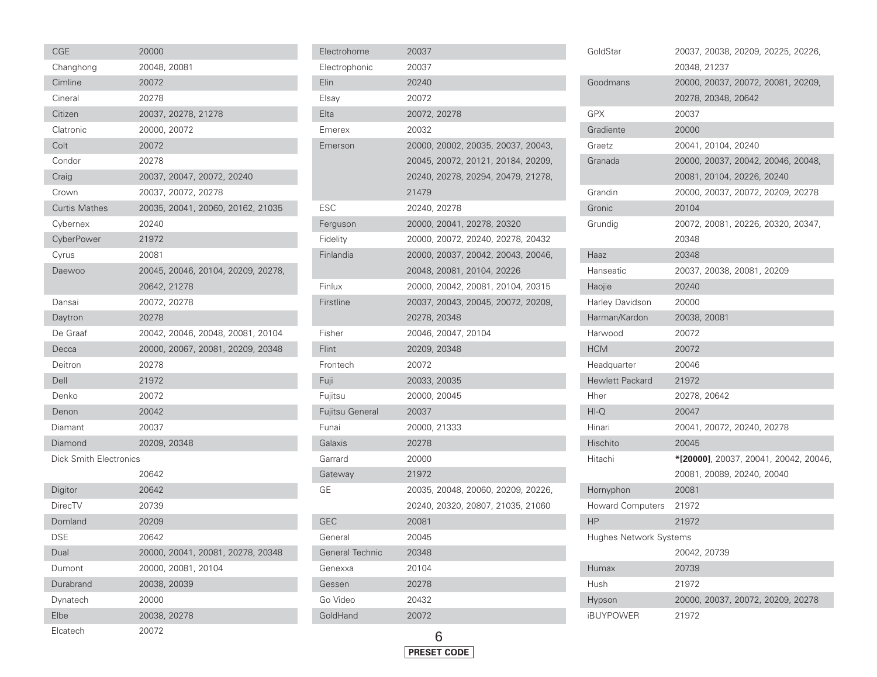| <b>CGE</b>                    | 20000        |                                   |  |                                    |
|-------------------------------|--------------|-----------------------------------|--|------------------------------------|
| Changhong                     | 20048, 20081 |                                   |  |                                    |
| Cimline                       | 20072        |                                   |  |                                    |
| Cineral                       | 20278        |                                   |  |                                    |
| Citizen                       |              | 20037, 20278, 21278               |  |                                    |
| Clatronic                     | 20000, 20072 |                                   |  |                                    |
| Colt                          | 20072        |                                   |  |                                    |
| Condor                        | 20278        |                                   |  |                                    |
| Craig                         |              | 20037, 20047, 20072, 20240        |  |                                    |
| Crown                         |              | 20037, 20072, 20278               |  |                                    |
| <b>Curtis Mathes</b>          |              | 20035, 20041, 20060, 20162, 21035 |  |                                    |
| Cybernex                      | 20240        |                                   |  |                                    |
| CyberPower                    | 21972        |                                   |  |                                    |
| Cyrus                         | 20081        |                                   |  |                                    |
| Daewoo                        |              |                                   |  | 20045, 20046, 20104, 20209, 20278, |
|                               | 20642, 21278 |                                   |  |                                    |
| Dansai                        | 20072, 20278 |                                   |  |                                    |
| Daytron                       | 20278        |                                   |  |                                    |
| De Graaf                      |              | 20042, 20046, 20048, 20081, 20104 |  |                                    |
| Decca                         |              | 20000, 20067, 20081, 20209, 20348 |  |                                    |
| Deitron                       | 20278        |                                   |  |                                    |
| Dell                          | 21972        |                                   |  |                                    |
| Denko                         | 20072        |                                   |  |                                    |
| Denon                         | 20042        |                                   |  |                                    |
| Diamant                       | 20037        |                                   |  |                                    |
| Diamond                       | 20209, 20348 |                                   |  |                                    |
| <b>Dick Smith Electronics</b> |              |                                   |  |                                    |
|                               | 20642        |                                   |  |                                    |
| Digitor                       | 20642        |                                   |  |                                    |
| DirecTV                       | 20739        |                                   |  |                                    |
| Domland                       | 20209        |                                   |  |                                    |
| DSE                           | 20642        |                                   |  |                                    |
| Dual                          |              | 20000, 20041, 20081, 20278, 20348 |  |                                    |
| Dumont                        |              | 20000, 20081, 20104               |  |                                    |
| Durabrand                     | 20038, 20039 |                                   |  |                                    |
| Dynatech                      | 20000        |                                   |  |                                    |
| Elbe                          | 20038, 20278 |                                   |  |                                    |
| Floatech                      | 20072        |                                   |  |                                    |

| Electrohome            | 20037                              |
|------------------------|------------------------------------|
| Electrophonic          | 20037                              |
| Elin                   | 20240                              |
| Elsay                  | 20072                              |
| Elta                   | 20072, 20278                       |
| Emerex                 | 20032                              |
| Emerson                | 20000, 20002, 20035, 20037, 20043, |
|                        | 20045, 20072, 20121, 20184, 20209, |
|                        | 20240, 20278, 20294, 20479, 21278, |
|                        | 21479                              |
| ESC                    | 20240, 20278                       |
| Ferguson               | 20000, 20041, 20278, 20320         |
| Fidelity               | 20000, 20072, 20240, 20278, 20432  |
| Finlandia              | 20000, 20037, 20042, 20043, 20046, |
|                        | 20048, 20081, 20104, 20226         |
| Finlux                 | 20000, 20042, 20081, 20104, 20315  |
| Firstline              | 20037, 20043, 20045, 20072, 20209, |
|                        | 20278, 20348                       |
| Fisher                 | 20046, 20047, 20104                |
| Flint                  | 20209, 20348                       |
| Frontech               | 20072                              |
| Fuji                   | 20033, 20035                       |
| Fujitsu                | 20000, 20045                       |
| Fujitsu General        | 20037                              |
| Funai                  | 20000, 21333                       |
| Galaxis                | 20278                              |
| Garrard                | 20000                              |
| Gateway                | 21972                              |
| GЕ                     | 20035, 20048, 20060, 20209, 20226, |
|                        | 20240, 20320, 20807, 21035, 21060  |
| <b>GEC</b>             | 20081                              |
| General                | 20045                              |
| <b>General Technic</b> | 20348                              |
| Genexxa                | 20104                              |
| Gessen                 | 20278                              |
| Go Video               | 20432                              |
| GoldHand               | 20072                              |
|                        |                                    |



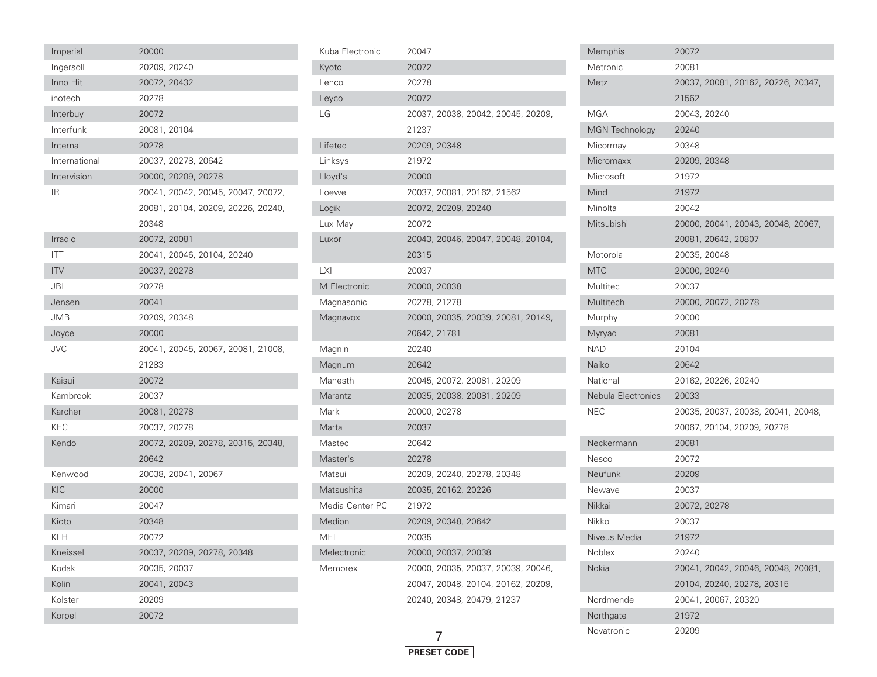| Imperial      | 20000        |                     |                            |                                    |  |
|---------------|--------------|---------------------|----------------------------|------------------------------------|--|
| Ingersoll     | 20209, 20240 |                     |                            |                                    |  |
| Inno Hit      | 20072, 20432 |                     |                            |                                    |  |
| inotech       | 20278        |                     |                            |                                    |  |
| Interbuy      | 20072        |                     |                            |                                    |  |
| Interfunk     | 20081, 20104 |                     |                            |                                    |  |
| Internal      | 20278        |                     |                            |                                    |  |
| International |              | 20037, 20278, 20642 |                            |                                    |  |
| Intervision   |              | 20000, 20209, 20278 |                            |                                    |  |
| IR.           |              |                     |                            | 20041, 20042, 20045, 20047, 20072, |  |
|               |              |                     |                            | 20081, 20104, 20209, 20226, 20240, |  |
|               | 20348        |                     |                            |                                    |  |
| Irradio       | 20072, 20081 |                     |                            |                                    |  |
| <b>ITT</b>    |              |                     | 20041, 20046, 20104, 20240 |                                    |  |
| <b>ITV</b>    | 20037, 20278 |                     |                            |                                    |  |
| JBL           | 20278        |                     |                            |                                    |  |
| Jensen        | 20041        |                     |                            |                                    |  |
| <b>JMB</b>    | 20209, 20348 |                     |                            |                                    |  |
| Joyce         | 20000        |                     |                            |                                    |  |
| <b>JVC</b>    |              |                     |                            | 20041, 20045, 20067, 20081, 21008, |  |
|               | 21283        |                     |                            |                                    |  |
| Kaisui        | 20072        |                     |                            |                                    |  |
| Kambrook      | 20037        |                     |                            |                                    |  |
| Karcher       | 20081, 20278 |                     |                            |                                    |  |
| <b>KEC</b>    | 20037, 20278 |                     |                            |                                    |  |
| Kendo         |              |                     |                            | 20072, 20209, 20278, 20315, 20348, |  |
|               | 20642        |                     |                            |                                    |  |
| Kenwood       |              | 20038, 20041, 20067 |                            |                                    |  |
| KIC           | 20000        |                     |                            |                                    |  |
| Kimari        | 20047        |                     |                            |                                    |  |
| Kioto         | 20348        |                     |                            |                                    |  |
| <b>KLH</b>    | 20072        |                     |                            |                                    |  |
| Kneissel      |              |                     | 20037, 20209, 20278, 20348 |                                    |  |
| Kodak         | 20035, 20037 |                     |                            |                                    |  |
| Kolin         | 20041, 20043 |                     |                            |                                    |  |
| Kolster       | 20209        |                     |                            |                                    |  |
| Korpel        | 20072        |                     |                            |                                    |  |

| Kuba Electronic | 20047                              |
|-----------------|------------------------------------|
| Kyoto           | 20072                              |
| Lenco           | 20278                              |
| Leyco           | 20072                              |
| LG              | 20037, 20038, 20042, 20045, 20209, |
|                 | 21237                              |
| Lifetec         | 20209, 20348                       |
| Linksys         | 21972                              |
| Lloyd's         | 20000                              |
| Loewe           | 20037, 20081, 20162, 21562         |
| Logik           | 20072, 20209, 20240                |
| Lux May         | 20072                              |
| Luxor           | 20043, 20046, 20047, 20048, 20104, |
|                 | 20315                              |
| LXI             | 20037                              |
| M Electronic    | 20000, 20038                       |
| Magnasonic      | 20278, 21278                       |
| Magnavox        | 20000, 20035, 20039, 20081, 20149, |
|                 | 20642, 21781                       |
| Magnin          | 20240                              |
| Magnum          | 20642                              |
| Manesth         | 20045, 20072, 20081, 20209         |
| Marantz         | 20035, 20038, 20081, 20209         |
| Mark            | 20000, 20278                       |
| Marta           | 20037                              |
| Mastec          | 20642                              |
| Master's        | 20278                              |
| Matsui          | 20209, 20240, 20278, 20348         |
| Matsushita      | 20035, 20162, 20226                |
| Media Center PC | 21972                              |
| Medion          | 20209, 20348, 20642                |
| MEI             | 20035                              |
| Melectronic     | 20000, 20037, 20038                |
| Memorex         | 20000, 20035, 20037, 20039, 20046, |
|                 | 20047, 20048, 20104, 20162, 20209, |
|                 | 20240, 20348, 20479, 21237         |
|                 |                                    |



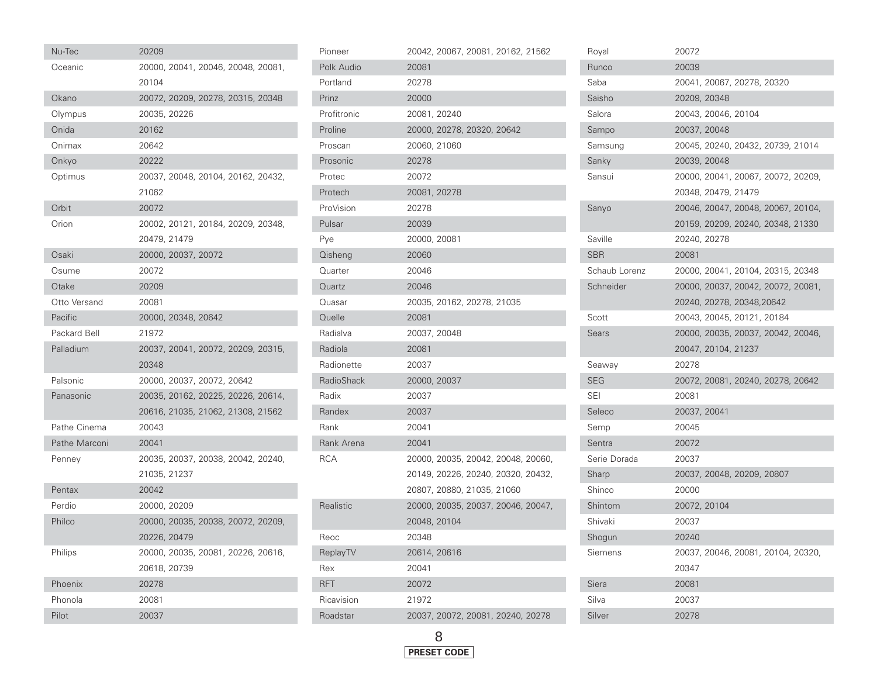| Nu-Tec        | 20209                              |  |  |
|---------------|------------------------------------|--|--|
| Oceanic       | 20000, 20041, 20046, 20048, 20081, |  |  |
|               | 20104                              |  |  |
| Okano         | 20072, 20209, 20278, 20315, 20348  |  |  |
| Olympus       | 20035, 20226                       |  |  |
| Onida         | 20162                              |  |  |
| Onimax        | 20642                              |  |  |
| Onkyo         | 20222                              |  |  |
| Optimus       | 20037, 20048, 20104, 20162, 20432, |  |  |
|               | 21062                              |  |  |
| Orbit         | 20072                              |  |  |
| Orion         | 20002, 20121, 20184, 20209, 20348, |  |  |
|               | 20479, 21479                       |  |  |
| Osaki         | 20000, 20037, 20072                |  |  |
| Osume         | 20072                              |  |  |
| Otake         | 20209                              |  |  |
| Otto Versand  | 20081                              |  |  |
| Pacific       | 20000, 20348, 20642                |  |  |
| Packard Bell  | 21972                              |  |  |
| Palladium     | 20037, 20041, 20072, 20209, 20315, |  |  |
|               | 20348                              |  |  |
| Palsonic      | 20000, 20037, 20072, 20642         |  |  |
| Panasonic     | 20035, 20162, 20225, 20226, 20614, |  |  |
|               | 20616, 21035, 21062, 21308, 21562  |  |  |
| Pathe Cinema  | 20043                              |  |  |
| Pathe Marconi | 20041                              |  |  |
| Penney        | 20035, 20037, 20038, 20042, 20240, |  |  |
|               | 21035, 21237                       |  |  |
| Pentax        | 20042                              |  |  |
| Perdio        | 20000, 20209                       |  |  |
| Philco        | 20000, 20035, 20038, 20072, 20209, |  |  |
|               | 20226, 20479                       |  |  |
| Philips       | 20000, 20035, 20081, 20226, 20616, |  |  |
|               | 20618, 20739                       |  |  |
| Phoenix       | 20278                              |  |  |
| Phonola       | 20081                              |  |  |
| Pilot         | 20037                              |  |  |

| Pioneer     | 20042, 20067, 20081, 20162, 21562  |
|-------------|------------------------------------|
| Polk Audio  | 20081                              |
| Portland    | 20278                              |
| Prinz       | 20000                              |
| Profitronic | 20081, 20240                       |
| Proline     | 20000, 20278, 20320, 20642         |
| Proscan     | 20060, 21060                       |
| Prosonic    | 20278                              |
| Protec      | 20072                              |
| Protech     | 20081, 20278                       |
| ProVision   | 20278                              |
| Pulsar      | 20039                              |
| Pye         | 20000, 20081                       |
| Qisheng     | 20060                              |
| Quarter     | 20046                              |
| Quartz      | 20046                              |
| Quasar      | 20035, 20162, 20278, 21035         |
| Quelle      | 20081                              |
| Radialva    | 20037, 20048                       |
| Radiola     | 20081                              |
| Radionette  | 20037                              |
| RadioShack  | 20000, 20037                       |
| Radix       | 20037                              |
| Randex      | 20037                              |
| Rank        | 20041                              |
| Rank Arena  | 20041                              |
| <b>RCA</b>  | 20000, 20035, 20042, 20048, 20060, |
|             | 20149, 20226, 20240, 20320, 20432, |
|             | 20807, 20880, 21035, 21060         |
| Realistic   | 20000, 20035, 20037, 20046, 20047, |
|             | 20048, 20104                       |
| Reoc        | 20348                              |
| ReplayTV    | 20614, 20616                       |
| Rex         | 20041                              |
| <b>RFT</b>  | 20072                              |
| Ricavision  | 21972                              |
| Roadstar    | 20037, 20072, 20081, 20240, 20278  |

| Roval         | 20072                              |
|---------------|------------------------------------|
| Runco         | 20039                              |
| Saba          | 20041, 20067, 20278, 20320         |
| Saisho        | 20209, 20348                       |
| Salora        | 20043, 20046, 20104                |
| Sampo         | 20037, 20048                       |
| Samsung       | 20045, 20240, 20432, 20739, 21014  |
| Sanky         | 20039, 20048                       |
| Sansui        | 20000, 20041, 20067, 20072, 20209, |
|               | 20348, 20479, 21479                |
| Sanyo         | 20046, 20047, 20048, 20067, 20104, |
|               | 20159, 20209, 20240, 20348, 21330  |
| Saville       | 20240, 20278                       |
| SBR           | 20081                              |
| Schaub Lorenz | 20000, 20041, 20104, 20315, 20348  |
| Schneider     | 20000, 20037, 20042, 20072, 20081, |
|               | 20240, 20278, 20348,20642          |
| Scott         | 20043, 20045, 20121, 20184         |
| Sears         | 20000, 20035, 20037, 20042, 20046, |
|               | 20047, 20104, 21237                |
| Seaway        | 20278                              |
| SEG           | 20072, 20081, 20240, 20278, 20642  |
| SEI           | 20081                              |
| Seleco        | 20037, 20041                       |
| Semp          | 20045                              |
| Sentra        | 20072                              |
| Serie Dorada  | 20037                              |
| Sharp         | 20037, 20048, 20209, 20807         |
| Shinco        | 20000                              |
| Shintom       | 20072, 20104                       |
| Shivaki       | 20037                              |
| Shogun        | 20240                              |
| Siemens       | 20037, 20046, 20081, 20104, 20320, |
|               | 20347                              |
| Siera         | 20081                              |
| Silva         | 20037                              |
| Silver        | 20278                              |

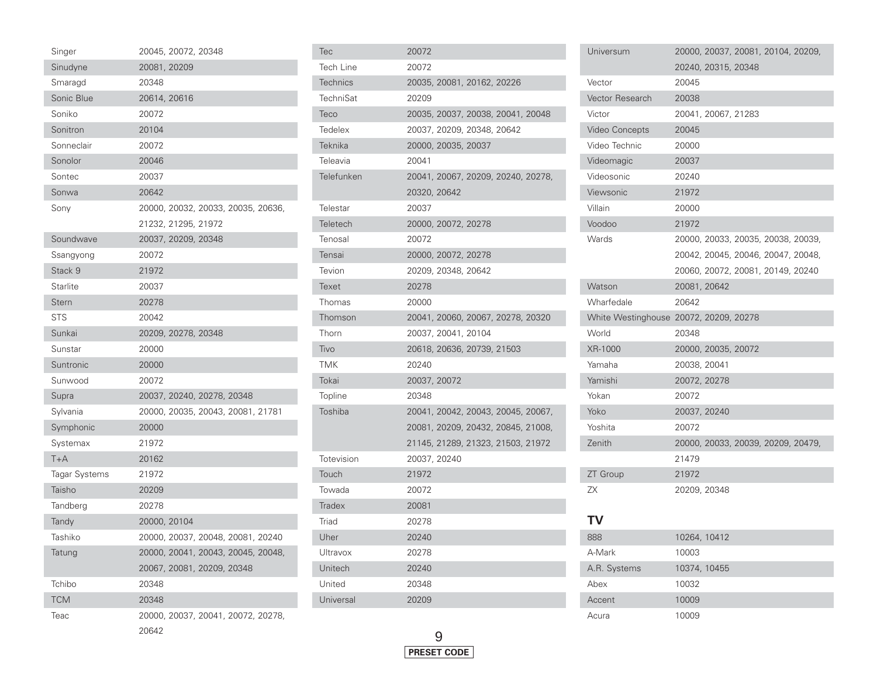| 20081, 20209<br>Sinudyne<br>20348<br>Smaragd<br>Sonic Blue<br>20614, 20616<br>Soniko<br>20072<br>Sonitron<br>20104<br>Sonneclair<br>20072<br>Sonolor<br>20046<br>Sontec<br>20037<br>Sonwa<br>20642<br>20000, 20032, 20033, 20035, 20636,<br>Sony<br>21232, 21295, 21972<br>20037, 20209, 20348<br>Soundwave<br>20072<br>Ssangyong<br>Stack 9<br>21972<br>Starlite<br>20037<br>Stern<br>20278<br><b>STS</b><br>20042<br>Sunkai<br>20209, 20278, 20348<br>20000<br>Sunstar<br>Suntronic<br>20000<br>Sunwood<br>20072<br>Supra<br>20037, 20240, 20278, 20348<br>Sylvania<br>20000, 20035, 20043, 20081, 21781<br>Symphonic<br>20000<br>Systemax<br>21972<br>$T+A$<br>20162<br><b>Tagar Systems</b><br>21972<br>Taisho<br>20209<br>Tandberg<br>20278<br>20000, 20104<br>Tandy |  |
|---------------------------------------------------------------------------------------------------------------------------------------------------------------------------------------------------------------------------------------------------------------------------------------------------------------------------------------------------------------------------------------------------------------------------------------------------------------------------------------------------------------------------------------------------------------------------------------------------------------------------------------------------------------------------------------------------------------------------------------------------------------------------|--|
|                                                                                                                                                                                                                                                                                                                                                                                                                                                                                                                                                                                                                                                                                                                                                                           |  |
|                                                                                                                                                                                                                                                                                                                                                                                                                                                                                                                                                                                                                                                                                                                                                                           |  |
|                                                                                                                                                                                                                                                                                                                                                                                                                                                                                                                                                                                                                                                                                                                                                                           |  |
|                                                                                                                                                                                                                                                                                                                                                                                                                                                                                                                                                                                                                                                                                                                                                                           |  |
|                                                                                                                                                                                                                                                                                                                                                                                                                                                                                                                                                                                                                                                                                                                                                                           |  |
|                                                                                                                                                                                                                                                                                                                                                                                                                                                                                                                                                                                                                                                                                                                                                                           |  |
|                                                                                                                                                                                                                                                                                                                                                                                                                                                                                                                                                                                                                                                                                                                                                                           |  |
|                                                                                                                                                                                                                                                                                                                                                                                                                                                                                                                                                                                                                                                                                                                                                                           |  |
|                                                                                                                                                                                                                                                                                                                                                                                                                                                                                                                                                                                                                                                                                                                                                                           |  |
|                                                                                                                                                                                                                                                                                                                                                                                                                                                                                                                                                                                                                                                                                                                                                                           |  |
|                                                                                                                                                                                                                                                                                                                                                                                                                                                                                                                                                                                                                                                                                                                                                                           |  |
|                                                                                                                                                                                                                                                                                                                                                                                                                                                                                                                                                                                                                                                                                                                                                                           |  |
|                                                                                                                                                                                                                                                                                                                                                                                                                                                                                                                                                                                                                                                                                                                                                                           |  |
|                                                                                                                                                                                                                                                                                                                                                                                                                                                                                                                                                                                                                                                                                                                                                                           |  |
|                                                                                                                                                                                                                                                                                                                                                                                                                                                                                                                                                                                                                                                                                                                                                                           |  |
|                                                                                                                                                                                                                                                                                                                                                                                                                                                                                                                                                                                                                                                                                                                                                                           |  |
|                                                                                                                                                                                                                                                                                                                                                                                                                                                                                                                                                                                                                                                                                                                                                                           |  |
|                                                                                                                                                                                                                                                                                                                                                                                                                                                                                                                                                                                                                                                                                                                                                                           |  |
|                                                                                                                                                                                                                                                                                                                                                                                                                                                                                                                                                                                                                                                                                                                                                                           |  |
|                                                                                                                                                                                                                                                                                                                                                                                                                                                                                                                                                                                                                                                                                                                                                                           |  |
|                                                                                                                                                                                                                                                                                                                                                                                                                                                                                                                                                                                                                                                                                                                                                                           |  |
|                                                                                                                                                                                                                                                                                                                                                                                                                                                                                                                                                                                                                                                                                                                                                                           |  |
|                                                                                                                                                                                                                                                                                                                                                                                                                                                                                                                                                                                                                                                                                                                                                                           |  |
|                                                                                                                                                                                                                                                                                                                                                                                                                                                                                                                                                                                                                                                                                                                                                                           |  |
|                                                                                                                                                                                                                                                                                                                                                                                                                                                                                                                                                                                                                                                                                                                                                                           |  |
|                                                                                                                                                                                                                                                                                                                                                                                                                                                                                                                                                                                                                                                                                                                                                                           |  |
|                                                                                                                                                                                                                                                                                                                                                                                                                                                                                                                                                                                                                                                                                                                                                                           |  |
|                                                                                                                                                                                                                                                                                                                                                                                                                                                                                                                                                                                                                                                                                                                                                                           |  |
|                                                                                                                                                                                                                                                                                                                                                                                                                                                                                                                                                                                                                                                                                                                                                                           |  |
|                                                                                                                                                                                                                                                                                                                                                                                                                                                                                                                                                                                                                                                                                                                                                                           |  |
| Tashiko<br>20000, 20037, 20048, 20081, 20240                                                                                                                                                                                                                                                                                                                                                                                                                                                                                                                                                                                                                                                                                                                              |  |
| 20000, 20041, 20043, 20045, 20048,<br>Tatung                                                                                                                                                                                                                                                                                                                                                                                                                                                                                                                                                                                                                                                                                                                              |  |
| 20067, 20081, 20209, 20348                                                                                                                                                                                                                                                                                                                                                                                                                                                                                                                                                                                                                                                                                                                                                |  |
| Tchibo<br>20348                                                                                                                                                                                                                                                                                                                                                                                                                                                                                                                                                                                                                                                                                                                                                           |  |
| <b>TCM</b><br>20348                                                                                                                                                                                                                                                                                                                                                                                                                                                                                                                                                                                                                                                                                                                                                       |  |
| 20000, 20037, 20041, 20072, 20278,<br>Teac                                                                                                                                                                                                                                                                                                                                                                                                                                                                                                                                                                                                                                                                                                                                |  |

| Tec              | 20072                              |
|------------------|------------------------------------|
| <b>Tech Line</b> | 20072                              |
| Technics         | 20035, 20081, 20162, 20226         |
| <b>TechniSat</b> | 20209                              |
| Teco             | 20035, 20037, 20038, 20041, 20048  |
| Tedelex          | 20037, 20209, 20348, 20642         |
| Teknika          | 20000, 20035, 20037                |
| Teleavia         | 20041                              |
| Telefunken       | 20041, 20067, 20209, 20240, 20278, |
|                  | 20320, 20642                       |
| Telestar         | 20037                              |
| Teletech         | 20000, 20072, 20278                |
| Tenosal          | 20072                              |
| Tensai           | 20000, 20072, 20278                |
| Tevion           | 20209, 20348, 20642                |
| Texet            | 20278                              |
| Thomas           | 20000                              |
| Thomson          | 20041, 20060, 20067, 20278, 20320  |
| Thorn            | 20037, 20041, 20104                |
| Tivo             | 20618, 20636, 20739, 21503         |
| <b>TMK</b>       | 20240                              |
| Tokai            | 20037, 20072                       |
| Topline          | 20348                              |
| Toshiba          | 20041, 20042, 20043, 20045, 20067, |
|                  | 20081, 20209, 20432, 20845, 21008, |
|                  | 21145, 21289, 21323, 21503, 21972  |
| Totevision       | 20037, 20240                       |
| Touch            | 21972                              |
| Towada           | 20072                              |
| <b>Tradex</b>    | 20081                              |
| Triad            | 20278                              |
| Uher             | 20240                              |
| Ultravox         | 20278                              |
| Unitech          | 20240                              |
| United           | 20348                              |
| Universal        | 20209                              |

| Universum       | 20000, 20037, 20081, 20104, 20209,     |
|-----------------|----------------------------------------|
|                 | 20240, 20315, 20348                    |
| Vector          | 20045                                  |
| Vector Research | 20038                                  |
| Victor          | 20041, 20067, 21283                    |
| Video Concepts  | 20045                                  |
| Video Technic   | 20000                                  |
| Videomagic      | 20037                                  |
| Videosonic      | 20240                                  |
| Viewsonic       | 21972                                  |
| Villain         | 20000                                  |
| Voodoo          | 21972                                  |
| Wards           | 20000, 20033, 20035, 20038, 20039,     |
|                 | 20042, 20045, 20046, 20047, 20048,     |
|                 | 20060, 20072, 20081, 20149, 20240      |
| Watson          | 20081, 20642                           |
| Wharfedale      | 20642                                  |
|                 | White Westinghouse 20072, 20209, 20278 |
| World           | 20348                                  |
| XR-1000         | 20000, 20035, 20072                    |
| Yamaha          | 20038, 20041                           |
| Yamishi         | 20072, 20278                           |
| Yokan           | 20072                                  |
| Yoko            | 20037, 20240                           |
| Yoshita         | 20072                                  |
| Zenith          | 20000, 20033, 20039, 20209, 20479,     |
|                 | 21479                                  |
| ZT Group        | 21972                                  |
| ΖX              | 20209, 20348                           |
|                 |                                        |
| TV              |                                        |
| 888             | 10264, 10412                           |
| A-Mark          | 10003                                  |

A.R. Systems 10374, 10455

10009

Abex 10032

Acura 10009

Accent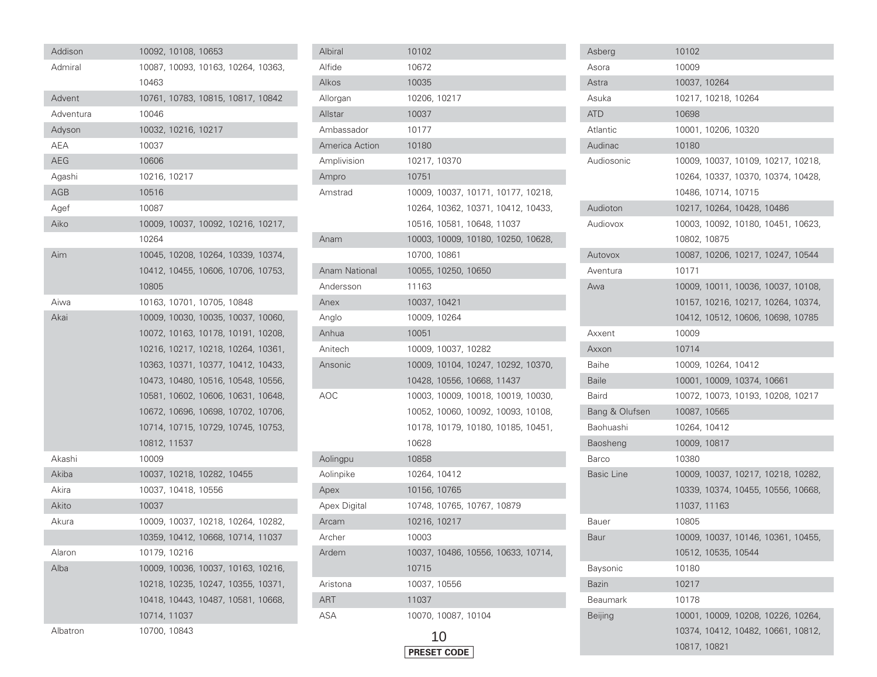| Addison    |              | 10092, 10108, 10653 |                                    |  |
|------------|--------------|---------------------|------------------------------------|--|
| Admiral    |              |                     | 10087, 10093, 10163, 10264, 10363, |  |
|            | 10463        |                     |                                    |  |
| Advent     |              |                     | 10761, 10783, 10815, 10817, 10842  |  |
| Adventura  | 10046        |                     |                                    |  |
| Adyson     |              | 10032, 10216, 10217 |                                    |  |
| AEA        | 10037        |                     |                                    |  |
| <b>AEG</b> | 10606        |                     |                                    |  |
| Aqashi     | 10216, 10217 |                     |                                    |  |
| AGB        | 10516        |                     |                                    |  |
| Agef       | 10087        |                     |                                    |  |
| Aiko       |              |                     | 10009, 10037, 10092, 10216, 10217, |  |
|            | 10264        |                     |                                    |  |
| Aim        |              |                     | 10045, 10208, 10264, 10339, 10374, |  |
|            |              |                     | 10412, 10455, 10606, 10706, 10753, |  |
|            | 10805        |                     |                                    |  |
| Aiwa       |              |                     | 10163, 10701, 10705, 10848         |  |
| Akai       |              |                     | 10009, 10030, 10035, 10037, 10060, |  |
|            |              |                     | 10072, 10163, 10178, 10191, 10208, |  |
|            |              |                     | 10216, 10217, 10218, 10264, 10361, |  |
|            |              |                     | 10363, 10371, 10377, 10412, 10433, |  |
|            |              |                     | 10473, 10480, 10516, 10548, 10556, |  |
|            |              |                     | 10581, 10602, 10606, 10631, 10648, |  |
|            |              |                     | 10672, 10696, 10698, 10702, 10706, |  |
|            |              |                     | 10714, 10715, 10729, 10745, 10753, |  |
|            | 10812, 11537 |                     |                                    |  |
| Akashi     | 10009        |                     |                                    |  |
| Akiba      |              |                     | 10037, 10218, 10282, 10455         |  |
| Akira      |              | 10037, 10418, 10556 |                                    |  |
| Akito      | 10037        |                     |                                    |  |
| Akura      |              |                     | 10009, 10037, 10218, 10264, 10282, |  |
|            |              |                     | 10359, 10412, 10668, 10714, 11037  |  |
| Alaron     | 10179, 10216 |                     |                                    |  |
| Alba       |              |                     | 10009, 10036, 10037, 10163, 10216, |  |
|            |              |                     | 10218, 10235, 10247, 10355, 10371, |  |
|            |              |                     | 10418, 10443, 10487, 10581, 10668, |  |
|            | 10714, 11037 |                     |                                    |  |
| Albatron   | 10700, 10843 |                     |                                    |  |

| Albiral              | 10102                              |
|----------------------|------------------------------------|
| Alfide               | 10672                              |
| Alkos                | 10035                              |
| Allorgan             | 10206, 10217                       |
| Allstar              | 10037                              |
| Ambassador           | 10177                              |
| America Action       | 10180                              |
| Amplivision          | 10217, 10370                       |
| Ampro                | 10751                              |
| Amstrad              | 10009, 10037, 10171, 10177, 10218, |
|                      | 10264, 10362, 10371, 10412, 10433, |
|                      | 10516, 10581, 10648, 11037         |
| Anam                 | 10003, 10009, 10180, 10250, 10628, |
|                      | 10700, 10861                       |
| <b>Anam National</b> | 10055, 10250, 10650                |
| Andersson            | 11163                              |
| Anex                 | 10037, 10421                       |
| Anglo                | 10009, 10264                       |
| Anhua                | 10051                              |
| Anitech              | 10009, 10037, 10282                |
| Ansonic              | 10009, 10104, 10247, 10292, 10370, |
|                      | 10428, 10556, 10668, 11437         |
| AOC                  | 10003, 10009, 10018, 10019, 10030, |
|                      | 10052, 10060, 10092, 10093, 10108, |
|                      | 10178, 10179, 10180, 10185, 10451, |
|                      | 10628                              |
| Aolingpu             | 10858                              |
| Aolinpike            | 10264, 10412                       |
| Apex                 | 10156, 10765                       |
| Apex Digital         | 10748, 10765, 10767, 10879         |
| Arcam                | 10216, 10217                       |
| Archer               | 10003                              |
| Ardem                | 10037, 10486, 10556, 10633, 10714, |
|                      | 10715                              |
| Aristona             | 10037, 10556                       |
| ART                  | 11037                              |
| ASA                  | 10070, 10087, 10104                |



| Asberg            | 10102                              |
|-------------------|------------------------------------|
| Asora             | 10009                              |
| Astra             | 10037, 10264                       |
| Asuka             | 10217, 10218, 10264                |
| ATD               | 10698                              |
| Atlantic          | 10001, 10206, 10320                |
| Audinac           | 10180                              |
| Audiosonic        | 10009, 10037, 10109, 10217, 10218, |
|                   | 10264, 10337, 10370, 10374, 10428, |
|                   | 10486, 10714, 10715                |
| Audioton          | 10217, 10264, 10428, 10486         |
| Audiovox          | 10003, 10092, 10180, 10451, 10623, |
|                   | 10802, 10875                       |
| Autovox           | 10087, 10206, 10217, 10247, 10544  |
| Aventura          | 10171                              |
| Awa               | 10009, 10011, 10036, 10037, 10108, |
|                   | 10157, 10216, 10217, 10264, 10374, |
|                   | 10412, 10512, 10606, 10698, 10785  |
| Axxent            | 10009                              |
| Axxon             | 10714                              |
| Baihe             | 10009, 10264, 10412                |
| <b>Baile</b>      | 10001, 10009, 10374, 10661         |
| Baird             | 10072, 10073, 10193, 10208, 10217  |
| Bang & Olufsen    | 10087, 10565                       |
| Baohuashi         | 10264, 10412                       |
| Baosheng          | 10009, 10817                       |
| Barco             | 10380                              |
| <b>Basic Line</b> | 10009, 10037, 10217, 10218, 10282, |
|                   | 10339, 10374, 10455, 10556, 10668, |
|                   | 11037, 11163                       |
| <b>Bauer</b>      | 10805                              |
| Baur              | 10009, 10037, 10146, 10361, 10455, |
|                   | 10512, 10535, 10544                |
| <b>Baysonic</b>   | 10180                              |
| <b>Bazin</b>      | 10217                              |
| <b>Beaumark</b>   | 10178                              |
| Beijing           | 10001, 10009, 10208, 10226, 10264, |
|                   | 10374, 10412, 10482, 10661, 10812, |
|                   | 10817, 10821                       |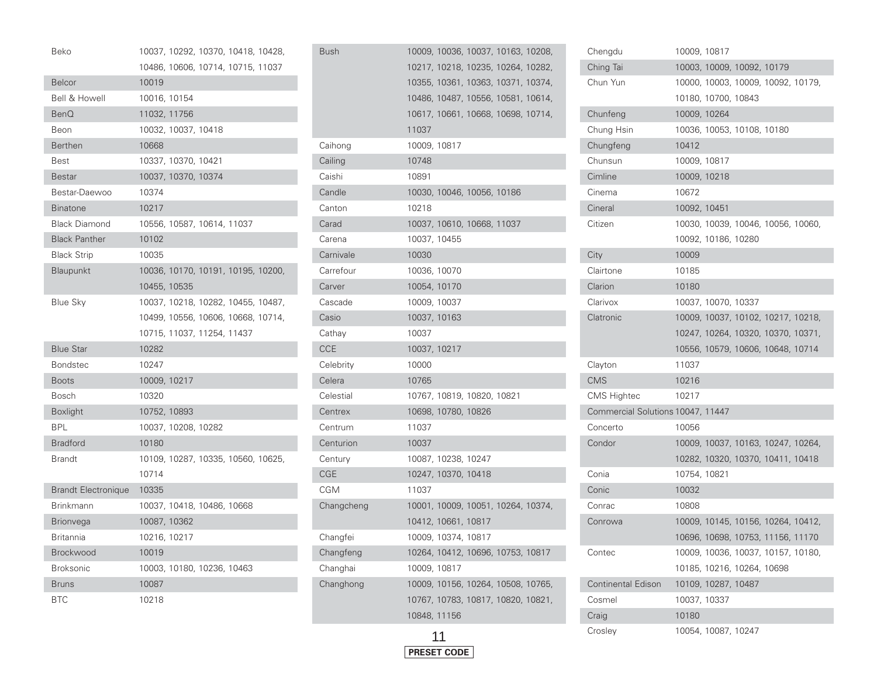| Beko                       | 10037, 10292, 10370, 10418, 10428, |
|----------------------------|------------------------------------|
|                            | 10486, 10606, 10714, 10715, 11037  |
| <b>Belcor</b>              | 10019                              |
| <b>Bell &amp; Howell</b>   | 10016, 10154                       |
| <b>BenQ</b>                | 11032, 11756                       |
| Beon                       | 10032, 10037, 10418                |
| <b>Berthen</b>             | 10668                              |
| Best                       | 10337, 10370, 10421                |
| <b>Bestar</b>              | 10037, 10370, 10374                |
| Bestar-Daewoo              | 10374                              |
| <b>Binatone</b>            | 10217                              |
| <b>Black Diamond</b>       | 10556, 10587, 10614, 11037         |
| <b>Black Panther</b>       | 10102                              |
| <b>Black Strip</b>         | 10035                              |
| <b>Blaupunkt</b>           | 10036, 10170, 10191, 10195, 10200, |
|                            | 10455, 10535                       |
| Blue Sky                   | 10037, 10218, 10282, 10455, 10487, |
|                            | 10499, 10556, 10606, 10668, 10714, |
|                            | 10715, 11037, 11254, 11437         |
| <b>Blue Star</b>           | 10282                              |
| <b>Bondstec</b>            | 10247                              |
| <b>Boots</b>               | 10009, 10217                       |
| Bosch                      | 10320                              |
| <b>Boxlight</b>            | 10752, 10893                       |
| <b>BPL</b>                 | 10037, 10208, 10282                |
| <b>Bradford</b>            | 10180                              |
| <b>Brandt</b>              | 10109, 10287, 10335, 10560, 10625, |
|                            | 10714                              |
| <b>Brandt Electronique</b> | 10335                              |
| Brinkmann                  | 10037, 10418, 10486, 10668         |
| <b>Brionvega</b>           | 10087, 10362                       |
| Britannia                  | 10216, 10217                       |
| Brockwood                  | 10019                              |
| <b>Broksonic</b>           | 10003, 10180, 10236, 10463         |
| <b>Bruns</b>               | 10087                              |
| <b>BTC</b>                 | 10218                              |

| Bush       |              | 10009, 10036, 10037, 10163, 10208, |  |  |
|------------|--------------|------------------------------------|--|--|
|            |              | 10217, 10218, 10235, 10264, 10282, |  |  |
|            |              | 10355, 10361, 10363, 10371, 10374, |  |  |
|            |              | 10486, 10487, 10556, 10581, 10614, |  |  |
|            |              | 10617, 10661, 10668, 10698, 10714, |  |  |
|            | 11037        |                                    |  |  |
| Caihong    | 10009, 10817 |                                    |  |  |
| Cailing    | 10748        |                                    |  |  |
| Caishi     | 10891        |                                    |  |  |
| Candle     |              | 10030, 10046, 10056, 10186         |  |  |
| Canton     | 10218        |                                    |  |  |
| Carad      |              | 10037, 10610, 10668, 11037         |  |  |
| Carena     | 10037, 10455 |                                    |  |  |
| Carnivale  | 10030        |                                    |  |  |
| Carrefour  | 10036, 10070 |                                    |  |  |
| Carver     | 10054, 10170 |                                    |  |  |
| Cascade    | 10009, 10037 |                                    |  |  |
| Casio      | 10037, 10163 |                                    |  |  |
| Cathay     | 10037        |                                    |  |  |
| <b>CCE</b> | 10037, 10217 |                                    |  |  |
| Celebrity  | 10000        |                                    |  |  |
| Celera     | 10765        |                                    |  |  |
| Celestial  |              | 10767, 10819, 10820, 10821         |  |  |
| Centrex    |              | 10698, 10780, 10826                |  |  |
| Centrum    | 11037        |                                    |  |  |
| Centurion  | 10037        |                                    |  |  |
| Century    |              | 10087, 10238, 10247                |  |  |
| CGE        |              | 10247, 10370, 10418                |  |  |
| CGM        | 11037        |                                    |  |  |
| Changcheng |              | 10001, 10009, 10051, 10264, 10374, |  |  |
|            |              | 10412, 10661, 10817                |  |  |
| Changfei   |              | 10009, 10374, 10817                |  |  |
| Changfeng  |              | 10264, 10412, 10696, 10753, 10817  |  |  |
| Changhai   | 10009, 10817 |                                    |  |  |
| Changhong  |              | 10009, 10156, 10264, 10508, 10765, |  |  |
|            |              | 10767, 10783, 10817, 10820, 10821, |  |  |
|            | 10848, 11156 |                                    |  |  |
|            |              |                                    |  |  |



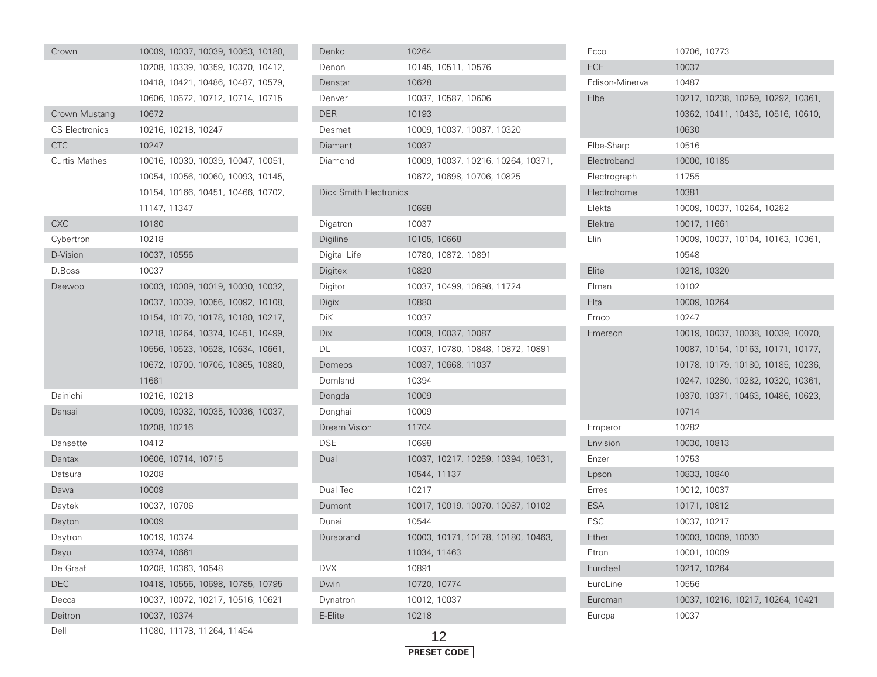| Crown                 |              |                     | 10009, 10037, 10039, 10053, 10180, |  |
|-----------------------|--------------|---------------------|------------------------------------|--|
|                       |              |                     | 10208, 10339, 10359, 10370, 10412, |  |
|                       |              |                     | 10418, 10421, 10486, 10487, 10579, |  |
|                       |              |                     | 10606, 10672, 10712, 10714, 10715  |  |
| Crown Mustang         | 10672        |                     |                                    |  |
| <b>CS Electronics</b> |              | 10216, 10218, 10247 |                                    |  |
| <b>CTC</b>            | 10247        |                     |                                    |  |
| Curtis Mathes         |              |                     | 10016, 10030, 10039, 10047, 10051, |  |
|                       |              |                     | 10054, 10056, 10060, 10093, 10145, |  |
|                       |              |                     | 10154, 10166, 10451, 10466, 10702, |  |
|                       | 11147, 11347 |                     |                                    |  |
| <b>CXC</b>            | 10180        |                     |                                    |  |
| Cybertron             | 10218        |                     |                                    |  |
| D-Vision              | 10037, 10556 |                     |                                    |  |
| D.Boss                | 10037        |                     |                                    |  |
| Daewoo                |              |                     | 10003, 10009, 10019, 10030, 10032, |  |
|                       |              |                     | 10037, 10039, 10056, 10092, 10108, |  |
|                       |              |                     | 10154, 10170, 10178, 10180, 10217, |  |
|                       |              |                     | 10218, 10264, 10374, 10451, 10499, |  |
|                       |              |                     | 10556, 10623, 10628, 10634, 10661, |  |
|                       |              |                     | 10672, 10700, 10706, 10865, 10880, |  |
|                       | 11661        |                     |                                    |  |
| Dainichi              | 10216, 10218 |                     |                                    |  |
| Dansai                |              |                     | 10009, 10032, 10035, 10036, 10037, |  |
|                       | 10208, 10216 |                     |                                    |  |
| Dansette              | 10412        |                     |                                    |  |
| Dantax                |              | 10606, 10714, 10715 |                                    |  |
| Datsura               | 10208        |                     |                                    |  |
| Dawa                  | 10009        |                     |                                    |  |
| Daytek                | 10037, 10706 |                     |                                    |  |
| Dayton                | 10009        |                     |                                    |  |
| Daytron               | 10019, 10374 |                     |                                    |  |
| Dayu                  | 10374, 10661 |                     |                                    |  |
| De Graaf              |              | 10208, 10363, 10548 |                                    |  |
| <b>DEC</b>            |              |                     | 10418, 10556, 10698, 10785, 10795  |  |
| Decca                 |              |                     | 10037, 10072, 10217, 10516, 10621  |  |
| Deitron               | 10037, 10374 |                     |                                    |  |
| Dell                  |              |                     | 11080, 11178, 11264, 11454         |  |

| Denko                         | 10264                              |
|-------------------------------|------------------------------------|
| Denon                         | 10145, 10511, 10576                |
| Denstar                       | 10628                              |
| Denver                        | 10037, 10587, 10606                |
| <b>DER</b>                    | 10193                              |
| Desmet                        | 10009, 10037, 10087, 10320         |
| Diamant                       | 10037                              |
| Diamond                       | 10009, 10037, 10216, 10264, 10371, |
|                               | 10672, 10698, 10706, 10825         |
| <b>Dick Smith Electronics</b> |                                    |
|                               | 10698                              |
| Digatron                      | 10037                              |
| Digiline                      | 10105, 10668                       |
| Digital Life                  | 10780, 10872, 10891                |
| Digitex                       | 10820                              |
| Digitor                       | 10037, 10499, 10698, 11724         |
| Digix                         | 10880                              |
| DiK                           | 10037                              |
| Dixi                          | 10009, 10037, 10087                |
| DL                            | 10037, 10780, 10848, 10872, 10891  |
| Domeos                        | 10037, 10668, 11037                |
| Domland                       | 10394                              |
| Dongda                        | 10009                              |
| Donghai                       | 10009                              |
| Dream Vision                  | 11704                              |
| <b>DSE</b>                    | 10698                              |
| Dual                          | 10037, 10217, 10259, 10394, 10531, |
|                               | 10544, 11137                       |
| Dual Tec                      | 10217                              |
| Dumont                        | 10017, 10019, 10070, 10087, 10102  |
| Dunai                         | 10544                              |
| Durabrand                     | 10003, 10171, 10178, 10180, 10463, |
|                               | 11034, 11463                       |
| <b>DVX</b>                    | 10891                              |
| Dwin                          | 10720, 10774                       |
| Dynatron                      | 10012, 10037                       |
| E-Elite                       | 10218                              |



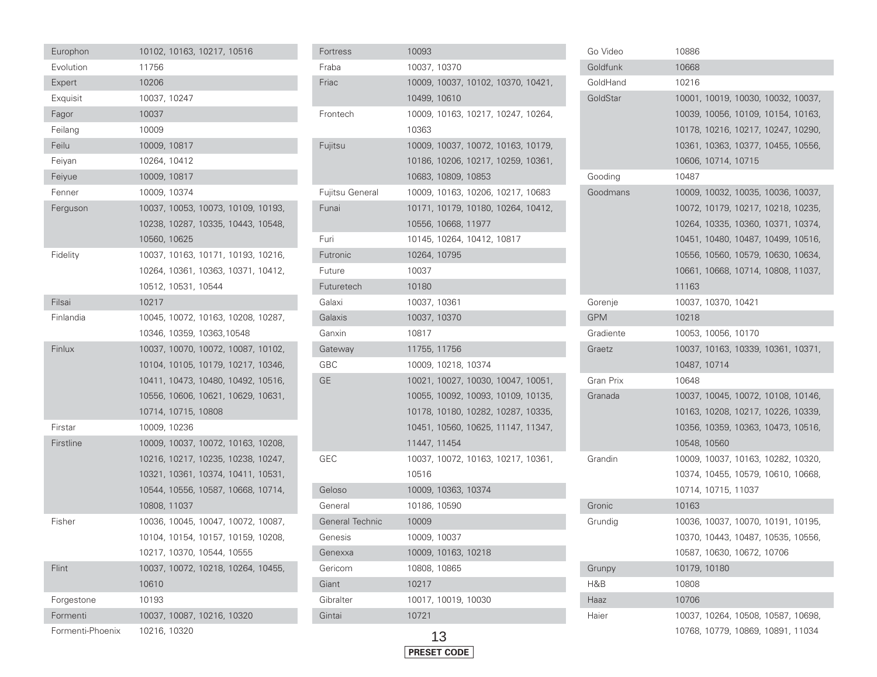| Europhon         |              | 10102, 10163, 10217, 10516 |                                    |  |
|------------------|--------------|----------------------------|------------------------------------|--|
| Evolution        | 11756        |                            |                                    |  |
| Expert           | 10206        |                            |                                    |  |
| Exquisit         | 10037, 10247 |                            |                                    |  |
| Fagor            | 10037        |                            |                                    |  |
| Feilang          | 10009        |                            |                                    |  |
| Feilu            | 10009, 10817 |                            |                                    |  |
| Feiyan           | 10264, 10412 |                            |                                    |  |
| Feiyue           | 10009, 10817 |                            |                                    |  |
| Fenner           | 10009, 10374 |                            |                                    |  |
| Ferguson         |              |                            | 10037, 10053, 10073, 10109, 10193, |  |
|                  |              |                            | 10238, 10287, 10335, 10443, 10548, |  |
|                  | 10560, 10625 |                            |                                    |  |
| Fidelity         |              |                            | 10037, 10163, 10171, 10193, 10216, |  |
|                  |              |                            | 10264, 10361, 10363, 10371, 10412, |  |
|                  |              | 10512, 10531, 10544        |                                    |  |
| Filsai           | 10217        |                            |                                    |  |
| Finlandia        |              |                            | 10045, 10072, 10163, 10208, 10287, |  |
|                  |              | 10346, 10359, 10363, 10548 |                                    |  |
| Finlux           |              |                            | 10037, 10070, 10072, 10087, 10102, |  |
|                  |              |                            | 10104, 10105, 10179, 10217, 10346, |  |
|                  |              |                            | 10411, 10473, 10480, 10492, 10516, |  |
|                  |              |                            | 10556, 10606, 10621, 10629, 10631, |  |
|                  |              | 10714, 10715, 10808        |                                    |  |
| Firstar          | 10009, 10236 |                            |                                    |  |
| Firstline        |              |                            | 10009, 10037, 10072, 10163, 10208, |  |
|                  |              |                            | 10216, 10217, 10235, 10238, 10247, |  |
|                  |              |                            | 10321, 10361, 10374, 10411, 10531, |  |
|                  |              |                            | 10544, 10556, 10587, 10668, 10714, |  |
|                  | 10808, 11037 |                            |                                    |  |
| Fisher           |              |                            | 10036, 10045, 10047, 10072, 10087, |  |
|                  |              |                            | 10104, 10154, 10157, 10159, 10208, |  |
|                  |              | 10217, 10370, 10544, 10555 |                                    |  |
| Flint            |              |                            | 10037, 10072, 10218, 10264, 10455, |  |
|                  | 10610        |                            |                                    |  |
| Forgestone       | 10193        |                            |                                    |  |
| Formenti         |              | 10037, 10087, 10216, 10320 |                                    |  |
| Formenti-Phoenix | 10216, 10320 |                            |                                    |  |

| Fortress        | 10093                              |
|-----------------|------------------------------------|
| Fraba           | 10037, 10370                       |
| Friac           | 10009, 10037, 10102, 10370, 10421, |
|                 | 10499, 10610                       |
| Frontech        | 10009, 10163, 10217, 10247, 10264, |
|                 | 10363                              |
| Fujitsu         | 10009, 10037, 10072, 10163, 10179, |
|                 | 10186, 10206, 10217, 10259, 10361, |
|                 | 10683, 10809, 10853                |
| Fujitsu General | 10009, 10163, 10206, 10217, 10683  |
| Funai           | 10171, 10179, 10180, 10264, 10412, |
|                 | 10556, 10668, 11977                |
| Furi            | 10145, 10264, 10412, 10817         |
| Futronic        | 10264, 10795                       |
| Future          | 10037                              |
| Futuretech      | 10180                              |
| Galaxi          | 10037, 10361                       |
| Galaxis         | 10037, 10370                       |
| Ganxin          | 10817                              |
| Gateway         | 11755, 11756                       |
| GBC             | 10009, 10218, 10374                |
| GЕ              | 10021, 10027, 10030, 10047, 10051, |
|                 | 10055, 10092, 10093, 10109, 10135, |
|                 | 10178, 10180, 10282, 10287, 10335, |
|                 | 10451, 10560, 10625, 11147, 11347, |
|                 | 11447, 11454                       |
| GEC             | 10037, 10072, 10163, 10217, 10361, |
|                 | 10516                              |
| Geloso          | 10009, 10363, 10374                |
| General         | 10186, 10590                       |
| General Technic | 10009                              |
| Genesis         | 10009, 10037                       |
| Genexxa         | 10009, 10163, 10218                |
| Gericom         | 10808, 10865                       |
| Giant           | 10217                              |
| Gibralter       | 10017, 10019, 10030                |
| Gintai          | 10721                              |
|                 |                                    |

#### Go Video 10886 Goldfunk 10668 GoldHand 10216 GoldStar 10001, 10019, 10030, 10032, 10037, 10039, 10056, 10109, 10154, 10163, 10178, 10216, 10217, 10247, 10290, 10361, 10363, 10377, 10455, 10556, 10606, 10714, 10715 Gooding 10487 Goodmans 10009, 10032, 10035, 10036, 10037, 10072, 10179, 10217, 10218, 10235, 10264, 10335, 10360, 10371, 10374, 10451, 10480, 10487, 10499, 10516, 10556, 10560, 10579, 10630, 10634, 10661, 10668, 10714, 10808, 11037, 11163Gorenje 10037, 10370, 10421 GPM 10218 Gradiente 10053, 10056, 10170 Graetz 10037, 10163, 10339, 10361, 10371, 10487, 10714 Gran Prix 10648 Granada 10037, 10045, 10072, 10108, 10146, 10163, 10208, 10217, 10226, 10339, 10356, 10359, 10363, 10473, 10516, 10548, 10560 Grandin 10009, 10037, 10163, 10282, 10320, 10374, 10455, 10579, 10610, 10668, 10714, 10715, 11037 Gronic 10163 Grundig 10036, 10037, 10070, 10191, 10195, 10370, 10443, 10487, 10535, 10556, 10587, 10630, 10672, 10706 Grunpy 10179, 10180 H&B 10808Haaz 10706 Haier 10037, 10264, 10508, 10587, 10698, 10768, 10779, 10869, 10891, 11034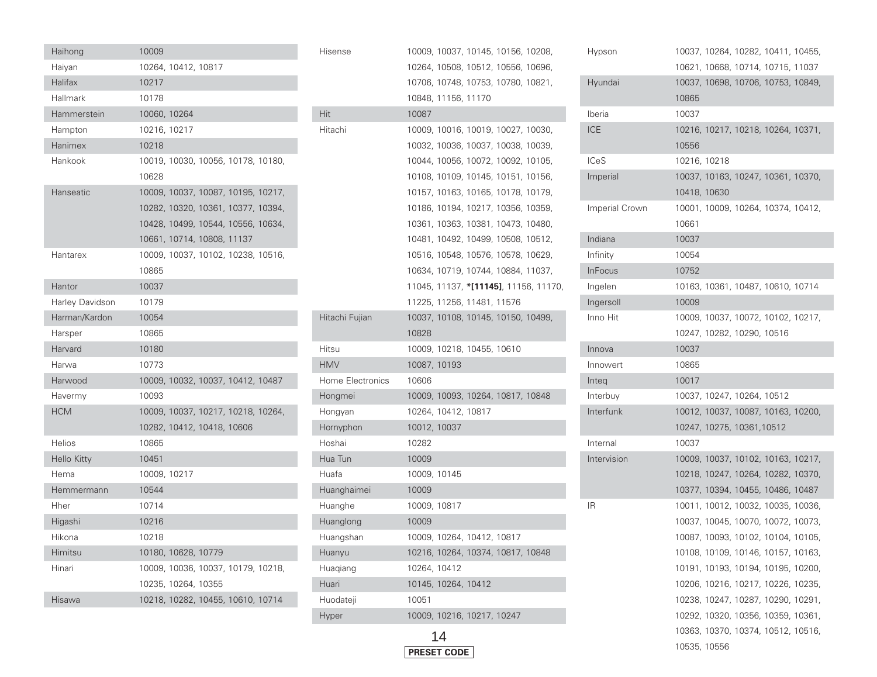| Haihong         | 10009                              | Hisense          | 10009, 10037, 10145, 10156, 10208,    |
|-----------------|------------------------------------|------------------|---------------------------------------|
| Haiyan          | 10264, 10412, 10817                |                  | 10264, 10508, 10512, 10556, 10696,    |
| Halifax         | 10217                              |                  | 10706, 10748, 10753, 10780, 10821,    |
| Hallmark        | 10178                              |                  | 10848, 11156, 11170                   |
| Hammerstein     | 10060, 10264                       | Hit              | 10087                                 |
| Hampton         | 10216, 10217                       | Hitachi          | 10009, 10016, 10019, 10027, 10030,    |
| Hanimex         | 10218                              |                  | 10032, 10036, 10037, 10038, 10039,    |
| Hankook         | 10019, 10030, 10056, 10178, 10180, |                  | 10044, 10056, 10072, 10092, 10105,    |
|                 | 10628                              |                  | 10108, 10109, 10145, 10151, 10156,    |
| Hanseatic       | 10009, 10037, 10087, 10195, 10217, |                  | 10157, 10163, 10165, 10178, 10179,    |
|                 | 10282, 10320, 10361, 10377, 10394, |                  | 10186, 10194, 10217, 10356, 10359,    |
|                 | 10428, 10499, 10544, 10556, 10634, |                  | 10361, 10363, 10381, 10473, 10480,    |
|                 | 10661, 10714, 10808, 11137         |                  | 10481, 10492, 10499, 10508, 10512,    |
| Hantarex        | 10009, 10037, 10102, 10238, 10516, |                  | 10516, 10548, 10576, 10578, 10629,    |
|                 | 10865                              |                  | 10634, 10719, 10744, 10884, 11037,    |
| Hantor          | 10037                              |                  | 11045, 11137, *[11145], 11156, 11170, |
| Harley Davidson | 10179                              |                  | 11225, 11256, 11481, 11576            |
| Harman/Kardon   | 10054                              | Hitachi Fujian   | 10037, 10108, 10145, 10150, 10499,    |
| Harsper         | 10865                              |                  | 10828                                 |
| Harvard         | 10180                              | Hitsu            | 10009, 10218, 10455, 10610            |
| Harwa           | 10773                              | <b>HMV</b>       | 10087, 10193                          |
| Harwood         | 10009, 10032, 10037, 10412, 10487  | Home Electronics | 10606                                 |
| Havermy         | 10093                              | Hongmei          | 10009, 10093, 10264, 10817, 10848     |
| <b>HCM</b>      | 10009, 10037, 10217, 10218, 10264, | Hongyan          | 10264, 10412, 10817                   |
|                 | 10282, 10412, 10418, 10606         | Hornyphon        | 10012, 10037                          |
| <b>Helios</b>   | 10865                              | Hoshai           | 10282                                 |
| Hello Kitty     | 10451                              | Hua Tun          | 10009                                 |
| Hema            | 10009, 10217                       | Huafa            | 10009, 10145                          |
| Hemmermann      | 10544                              | Huanghaimei      | 10009                                 |
| Hher            | 10714                              | Huanghe          | 10009, 10817                          |
| Higashi         | 10216                              | Huanglong        | 10009                                 |
| Hikona          | 10218                              | Huangshan        | 10009, 10264, 10412, 10817            |
| Himitsu         | 10180, 10628, 10779                | Huanyu           | 10216, 10264, 10374, 10817, 10848     |
| Hinari          | 10009, 10036, 10037, 10179, 10218, | Huagiang         | 10264, 10412                          |
|                 | 10235, 10264, 10355                | Huari            | 10145, 10264, 10412                   |
| Hisawa          | 10218, 10282, 10455, 10610, 10714  | Huodateji        | 10051                                 |
|                 |                                    | Hyper            | 10009, 10216, 10217, 10247            |

| Hypson                | 10037, 10264, 10282, 10411, 10455, |
|-----------------------|------------------------------------|
|                       | 10621, 10668, 10714, 10715, 11037  |
| Hyundai               | 10037, 10698, 10706, 10753, 10849, |
|                       | 10865                              |
| Iberia                | 10037                              |
| ICE                   | 10216, 10217, 10218, 10264, 10371, |
|                       | 10556                              |
| ICeS                  | 10216, 10218                       |
| Imperial              | 10037, 10163, 10247, 10361, 10370, |
|                       | 10418, 10630                       |
| <b>Imperial Crown</b> | 10001, 10009, 10264, 10374, 10412, |
|                       | 10661                              |
| Indiana               | 10037                              |
| Infinity              | 10054                              |
| InFocus               | 10752                              |
| Ingelen               | 10163, 10361, 10487, 10610, 10714  |
| Ingersoll             | 10009                              |
| Inno Hit              | 10009, 10037, 10072, 10102, 10217, |
|                       | 10247, 10282, 10290, 10516         |
| Innova                | 10037                              |
| Innowert              | 10865                              |
| Integ                 | 10017                              |
| Interbuy              | 10037, 10247, 10264, 10512         |
| Interfunk             | 10012, 10037, 10087, 10163, 10200, |
|                       | 10247, 10275, 10361, 10512         |
| Internal              | 10037                              |
| Intervision           | 10009, 10037, 10102, 10163, 10217, |
|                       | 10218, 10247, 10264, 10282, 10370, |
|                       | 10377, 10394, 10455, 10486, 10487  |
| ΙR                    | 10011, 10012, 10032, 10035, 10036, |
|                       | 10037, 10045, 10070, 10072, 10073, |
|                       | 10087, 10093, 10102, 10104, 10105, |
|                       | 10108, 10109, 10146, 10157, 10163, |
|                       | 10191, 10193, 10194, 10195, 10200, |
|                       | 10206, 10216, 10217, 10226, 10235, |
|                       | 10238, 10247, 10287, 10290, 10291, |
|                       | 10292, 10320, 10356, 10359, 10361, |
|                       | 10363, 10370, 10374, 10512, 10516, |
|                       | 10535, 10556                       |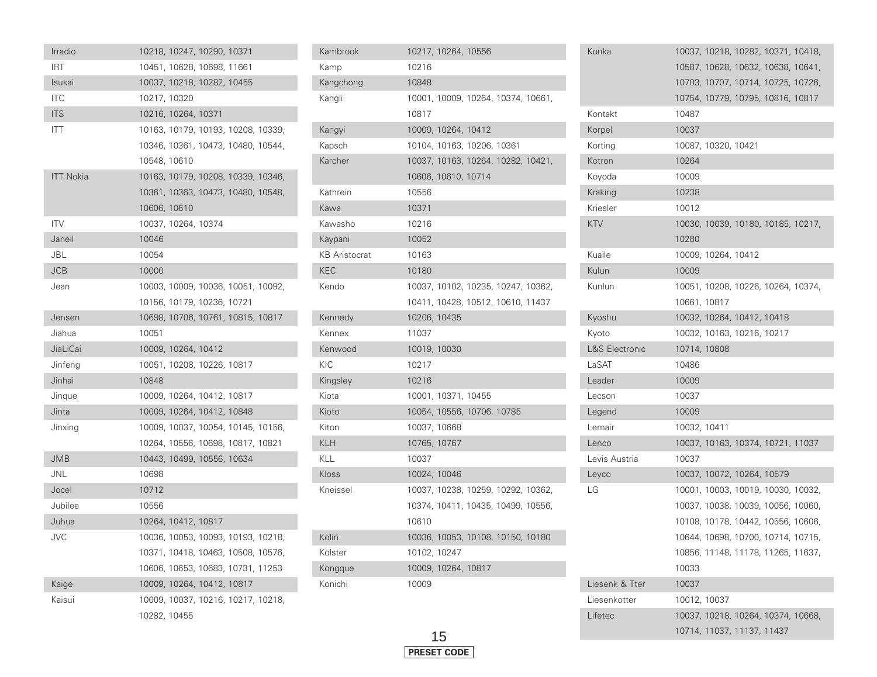| Irradio          |              |                     | 10218, 10247, 10290, 10371         |  |
|------------------|--------------|---------------------|------------------------------------|--|
| <b>IRT</b>       |              |                     | 10451, 10628, 10698, 11661         |  |
| Isukai           |              |                     | 10037, 10218, 10282, 10455         |  |
| <b>ITC</b>       | 10217, 10320 |                     |                                    |  |
| <b>ITS</b>       |              | 10216, 10264, 10371 |                                    |  |
| <b>ITT</b>       |              |                     | 10163, 10179, 10193, 10208, 10339, |  |
|                  |              |                     | 10346, 10361, 10473, 10480, 10544, |  |
|                  | 10548, 10610 |                     |                                    |  |
| <b>ITT Nokia</b> |              |                     | 10163, 10179, 10208, 10339, 10346, |  |
|                  |              |                     | 10361, 10363, 10473, 10480, 10548, |  |
|                  | 10606, 10610 |                     |                                    |  |
| <b>ITV</b>       |              | 10037, 10264, 10374 |                                    |  |
| Janeil           | 10046        |                     |                                    |  |
| JBL              | 10054        |                     |                                    |  |
| <b>JCB</b>       | 10000        |                     |                                    |  |
| Jean             |              |                     | 10003, 10009, 10036, 10051, 10092, |  |
|                  |              |                     | 10156, 10179, 10236, 10721         |  |
| Jensen           |              |                     | 10698, 10706, 10761, 10815, 10817  |  |
| Jiahua           | 10051        |                     |                                    |  |
| JiaLiCai         |              | 10009, 10264, 10412 |                                    |  |
| Jinfeng          |              |                     | 10051, 10208, 10226, 10817         |  |
| Jinhai           | 10848        |                     |                                    |  |
| Jinque           |              |                     | 10009, 10264, 10412, 10817         |  |
| Jinta            |              |                     | 10009, 10264, 10412, 10848         |  |
| Jinxing          |              |                     | 10009, 10037, 10054, 10145, 10156, |  |
|                  |              |                     | 10264, 10556, 10698, 10817, 10821  |  |
| <b>JMB</b>       |              |                     | 10443, 10499, 10556, 10634         |  |
| <b>JNL</b>       | 10698        |                     |                                    |  |
| Jocel            | 10712        |                     |                                    |  |
| Jubilee          | 10556        |                     |                                    |  |
| Juhua            |              | 10264, 10412, 10817 |                                    |  |
| <b>JVC</b>       |              |                     | 10036, 10053, 10093, 10193, 10218, |  |
|                  |              |                     | 10371, 10418, 10463, 10508, 10576, |  |
|                  |              |                     | 10606, 10653, 10683, 10731, 11253  |  |
| Kaige            |              |                     | 10009, 10264, 10412, 10817         |  |
| Kaisui           |              |                     | 10009, 10037, 10216, 10217, 10218, |  |
|                  | 10282, 10455 |                     |                                    |  |

| Kambrook             | 10217, 10264, 10556                |
|----------------------|------------------------------------|
| Kamp                 | 10216                              |
| Kangchong            | 10848                              |
| Kangli               | 10001, 10009, 10264, 10374, 10661, |
|                      | 10817                              |
| Kangyi               | 10009, 10264, 10412                |
| Kapsch               | 10104, 10163, 10206, 10361         |
| Karcher              | 10037, 10163, 10264, 10282, 10421, |
|                      | 10606, 10610, 10714                |
| Kathrein             | 10556                              |
| Kawa                 | 10371                              |
| Kawasho              | 10216                              |
| Kaypani              | 10052                              |
| <b>KB Aristocrat</b> | 10163                              |
| <b>KEC</b>           | 10180                              |
| Kendo                | 10037, 10102, 10235, 10247, 10362, |
|                      | 10411, 10428, 10512, 10610, 11437  |
| Kennedy              | 10206, 10435                       |
| Kennex               | 11037                              |
| Kenwood              | 10019, 10030                       |
| KIC                  | 10217                              |
| Kingsley             | 10216                              |
| Kiota                | 10001, 10371, 10455                |
| Kioto                | 10054, 10556, 10706, 10785         |
| Kiton                | 10037, 10668                       |
| <b>KLH</b>           | 10765, 10767                       |
| KLL                  | 10037                              |
| Kloss                | 10024, 10046                       |
| Kneissel             | 10037, 10238, 10259, 10292, 10362, |
|                      | 10374, 10411, 10435, 10499, 10556, |
|                      | 10610                              |
| Kolin                | 10036, 10053, 10108, 10150, 10180  |
| Kolster              | 10102, 10247                       |
| Kongque              | 10009, 10264, 10817                |
| Konichi              | 10009                              |

| Konka                     |              |                     |                            | 10037, 10218, 10282, 10371, 10418, |  |
|---------------------------|--------------|---------------------|----------------------------|------------------------------------|--|
|                           |              |                     |                            | 10587, 10628, 10632, 10638, 10641, |  |
|                           |              |                     |                            | 10703, 10707, 10714, 10725, 10726, |  |
|                           |              |                     |                            | 10754, 10779, 10795, 10816, 10817  |  |
| Kontakt                   | 10487        |                     |                            |                                    |  |
| Korpel                    | 10037        |                     |                            |                                    |  |
| Korting                   |              | 10087, 10320, 10421 |                            |                                    |  |
| Kotron                    | 10264        |                     |                            |                                    |  |
| Koyoda                    | 10009        |                     |                            |                                    |  |
| Kraking                   | 10238        |                     |                            |                                    |  |
| Kriesler                  | 10012        |                     |                            |                                    |  |
| KTV                       |              |                     |                            | 10030, 10039, 10180, 10185, 10217, |  |
|                           | 10280        |                     |                            |                                    |  |
| Kuaile                    |              | 10009, 10264, 10412 |                            |                                    |  |
| Kulun                     | 10009        |                     |                            |                                    |  |
| Kunlun                    |              |                     |                            | 10051, 10208, 10226, 10264, 10374, |  |
|                           | 10661, 10817 |                     |                            |                                    |  |
| Kyoshu                    |              |                     | 10032, 10264, 10412, 10418 |                                    |  |
| Kyoto                     |              |                     | 10032, 10163, 10216, 10217 |                                    |  |
| <b>L&amp;S Electronic</b> | 10714, 10808 |                     |                            |                                    |  |
| LaSAT                     | 10486        |                     |                            |                                    |  |
| Leader                    | 10009        |                     |                            |                                    |  |
| Lecson                    | 10037        |                     |                            |                                    |  |
| Legend                    | 10009        |                     |                            |                                    |  |
| Lemair                    | 10032, 10411 |                     |                            |                                    |  |
| Lenco                     |              |                     |                            | 10037, 10163, 10374, 10721, 11037  |  |
| Levis Austria             | 10037        |                     |                            |                                    |  |
| Leyco                     |              |                     | 10037, 10072, 10264, 10579 |                                    |  |
| LG                        |              |                     |                            | 10001, 10003, 10019, 10030, 10032, |  |
|                           |              |                     |                            | 10037, 10038, 10039, 10056, 10060, |  |
|                           |              |                     |                            | 10108, 10178, 10442, 10556, 10606, |  |
|                           |              |                     |                            | 10644, 10698, 10700, 10714, 10715, |  |
|                           |              |                     |                            | 10856, 11148, 11178, 11265, 11637, |  |
|                           | 10033        |                     |                            |                                    |  |
| Liesenk & Tter            | 10037        |                     |                            |                                    |  |
| Liesenkotter              | 10012, 10037 |                     |                            |                                    |  |
| Lifetec                   |              |                     |                            | 10037, 10218, 10264, 10374, 10668, |  |
|                           |              |                     | 10714, 11037, 11137, 11437 |                                    |  |

F

Г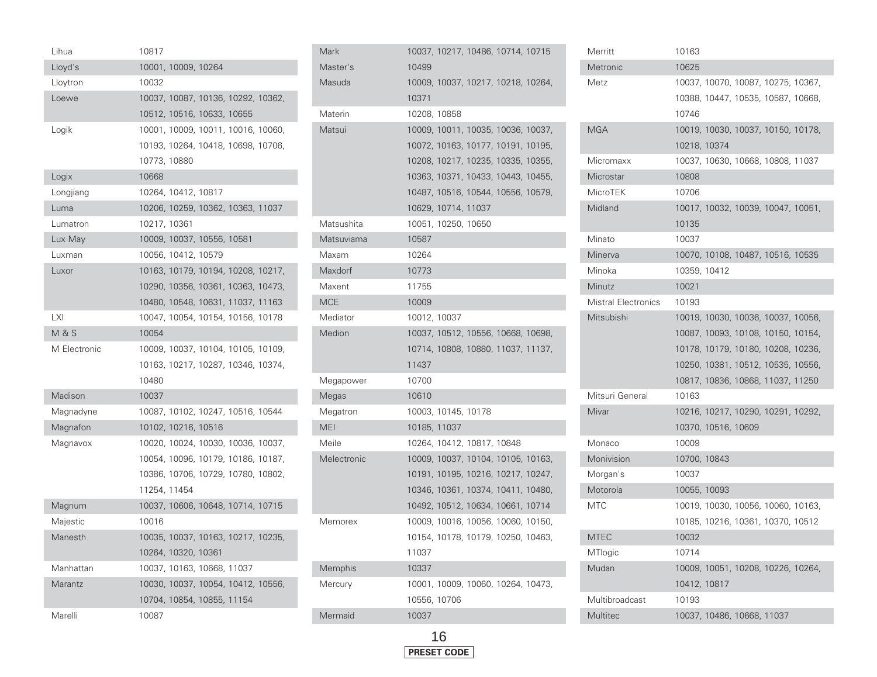| Lihua            | 10817        |                     |                                    |  |
|------------------|--------------|---------------------|------------------------------------|--|
| Lloyd's          |              | 10001, 10009, 10264 |                                    |  |
| Lloytron         | 10032        |                     |                                    |  |
| Loewe            |              |                     | 10037, 10087, 10136, 10292, 10362, |  |
|                  |              |                     | 10512, 10516, 10633, 10655         |  |
| Logik            |              |                     | 10001, 10009, 10011, 10016, 10060, |  |
|                  |              |                     | 10193, 10264, 10418, 10698, 10706, |  |
|                  | 10773, 10880 |                     |                                    |  |
| Logix            | 10668        |                     |                                    |  |
| Longjiang        |              | 10264, 10412, 10817 |                                    |  |
| Luma             |              |                     | 10206, 10259, 10362, 10363, 11037  |  |
| Lumatron         | 10217, 10361 |                     |                                    |  |
| Lux May          |              |                     | 10009, 10037, 10556, 10581         |  |
| Luxman           |              | 10056, 10412, 10579 |                                    |  |
| Luxor            |              |                     | 10163, 10179, 10194, 10208, 10217, |  |
|                  |              |                     | 10290, 10356, 10361, 10363, 10473, |  |
|                  |              |                     | 10480, 10548, 10631, 11037, 11163  |  |
| <b>LXI</b>       |              |                     | 10047, 10054, 10154, 10156, 10178  |  |
| <b>M &amp; S</b> | 10054        |                     |                                    |  |
| M Electronic     |              |                     | 10009, 10037, 10104, 10105, 10109, |  |
|                  |              |                     | 10163, 10217, 10287, 10346, 10374, |  |
|                  | 10480        |                     |                                    |  |
| Madison          | 10037        |                     |                                    |  |
| Magnadyne        |              |                     | 10087, 10102, 10247, 10516, 10544  |  |
| Magnafon         |              | 10102, 10216, 10516 |                                    |  |
| Magnavox         |              |                     | 10020, 10024, 10030, 10036, 10037, |  |
|                  |              |                     | 10054, 10096, 10179, 10186, 10187, |  |
|                  |              |                     | 10386, 10706, 10729, 10780, 10802, |  |
|                  | 11254, 11454 |                     |                                    |  |
| Magnum           |              |                     | 10037, 10606, 10648, 10714, 10715  |  |
| Majestic         | 10016        |                     |                                    |  |
| Manesth          |              |                     | 10035, 10037, 10163, 10217, 10235, |  |
|                  |              | 10264, 10320, 10361 |                                    |  |
| Manhattan        |              |                     | 10037, 10163, 10668, 11037         |  |
| Marantz          |              |                     | 10030, 10037, 10054, 10412, 10556, |  |
|                  |              |                     | 10704, 10854, 10855, 11154         |  |
| Marelli          | 10087        |                     |                                    |  |

| Mark        |              |                            | 10037, 10217, 10486, 10714, 10715  |  |
|-------------|--------------|----------------------------|------------------------------------|--|
| Master's    | 10499        |                            |                                    |  |
| Masuda      |              |                            | 10009, 10037, 10217, 10218, 10264, |  |
|             | 10371        |                            |                                    |  |
| Materin     | 10208, 10858 |                            |                                    |  |
| Matsui      |              |                            | 10009, 10011, 10035, 10036, 10037, |  |
|             |              |                            | 10072, 10163, 10177, 10191, 10195, |  |
|             |              |                            | 10208, 10217, 10235, 10335, 10355, |  |
|             |              |                            | 10363, 10371, 10433, 10443, 10455, |  |
|             |              |                            | 10487, 10516, 10544, 10556, 10579, |  |
|             |              | 10629, 10714, 11037        |                                    |  |
| Matsushita  |              | 10051, 10250, 10650        |                                    |  |
| Matsuviama  | 10587        |                            |                                    |  |
| Maxam       | 10264        |                            |                                    |  |
| Maxdorf     | 10773        |                            |                                    |  |
| Maxent      | 11755        |                            |                                    |  |
| MCE         | 10009        |                            |                                    |  |
| Mediator    | 10012, 10037 |                            |                                    |  |
| Medion      |              |                            | 10037, 10512, 10556, 10668, 10698, |  |
|             |              |                            | 10714, 10808, 10880, 11037, 11137, |  |
|             | 11437        |                            |                                    |  |
| Megapower   | 10700        |                            |                                    |  |
| Megas       | 10610        |                            |                                    |  |
| Megatron    |              | 10003, 10145, 10178        |                                    |  |
| MEI         | 10185, 11037 |                            |                                    |  |
| Meile       |              | 10264, 10412, 10817, 10848 |                                    |  |
| Melectronic |              |                            | 10009, 10037, 10104, 10105, 10163, |  |
|             |              |                            | 10191, 10195, 10216, 10217, 10247, |  |
|             |              |                            | 10346, 10361, 10374, 10411, 10480, |  |
|             |              |                            | 10492, 10512, 10634, 10661, 10714  |  |
| Memorex     |              |                            | 10009, 10016, 10056, 10060, 10150, |  |
|             |              |                            | 10154, 10178, 10179, 10250, 10463, |  |
|             | 11037        |                            |                                    |  |
| Memphis     | 10337        |                            |                                    |  |
| Mercury     |              |                            | 10001, 10009, 10060, 10264, 10473, |  |
|             | 10556, 10706 |                            |                                    |  |
| Mermaid     | 10037        |                            |                                    |  |
|             |              |                            |                                    |  |

| Merritt                    | 10163        |                     |                                    |  |
|----------------------------|--------------|---------------------|------------------------------------|--|
| Metronic                   | 10625        |                     |                                    |  |
| Metz                       |              |                     | 10037, 10070, 10087, 10275, 10367, |  |
|                            |              |                     | 10388, 10447, 10535, 10587, 10668, |  |
|                            | 10746        |                     |                                    |  |
| <b>MGA</b>                 |              |                     | 10019, 10030, 10037, 10150, 10178, |  |
|                            | 10218, 10374 |                     |                                    |  |
| Micromaxx                  |              |                     | 10037, 10630, 10668, 10808, 11037  |  |
| Microstar                  | 10808        |                     |                                    |  |
| MicroTEK                   | 10706        |                     |                                    |  |
| Midland                    |              |                     | 10017, 10032, 10039, 10047, 10051, |  |
|                            | 10135        |                     |                                    |  |
| Minato                     | 10037        |                     |                                    |  |
| Minerva                    |              |                     | 10070, 10108, 10487, 10516, 10535  |  |
| Minoka                     | 10359, 10412 |                     |                                    |  |
| Minutz                     | 10021        |                     |                                    |  |
| <b>Mistral Electronics</b> | 10193        |                     |                                    |  |
| Mitsubishi                 |              |                     | 10019, 10030, 10036, 10037, 10056, |  |
|                            |              |                     | 10087, 10093, 10108, 10150, 10154, |  |
|                            |              |                     | 10178, 10179, 10180, 10208, 10236, |  |
|                            |              |                     | 10250, 10381, 10512, 10535, 10556, |  |
|                            |              |                     | 10817, 10836, 10868, 11037, 11250  |  |
| Mitsuri General            | 10163        |                     |                                    |  |
| Mivar                      |              |                     | 10216, 10217, 10290, 10291, 10292, |  |
|                            |              | 10370, 10516, 10609 |                                    |  |
| Monaco                     | 10009        |                     |                                    |  |
| Monivision                 | 10700, 10843 |                     |                                    |  |
| Morgan's                   | 10037        |                     |                                    |  |
| Motorola                   | 10055, 10093 |                     |                                    |  |
| MTC                        |              |                     | 10019, 10030, 10056, 10060, 10163, |  |
|                            |              |                     | 10185, 10216, 10361, 10370, 10512  |  |
| <b>MTEC</b>                | 10032        |                     |                                    |  |
| MTlogic                    | 10714        |                     |                                    |  |
| Mudan                      |              |                     | 10009, 10051, 10208, 10226, 10264, |  |
|                            | 10412, 10817 |                     |                                    |  |
| Multibroadcast             | 10193        |                     |                                    |  |
| Multitec                   |              |                     | 10037, 10486, 10668, 11037         |  |

Γ

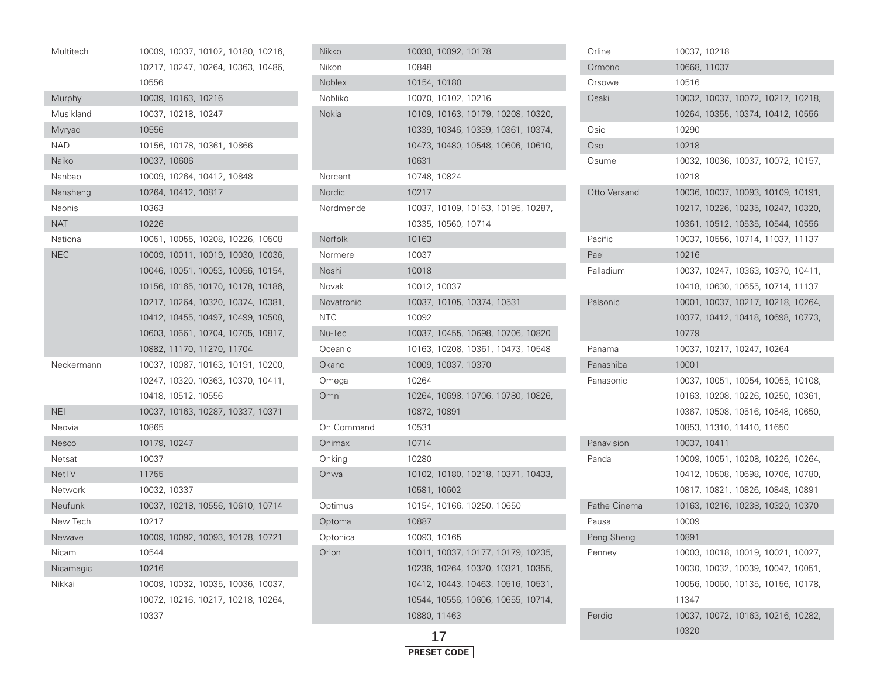| Multitech    | 10009, 10037, 10102, 10180, 10216, |
|--------------|------------------------------------|
|              | 10217, 10247, 10264, 10363, 10486, |
|              | 10556                              |
| Murphy       | 10039, 10163, 10216                |
| Musikland    | 10037, 10218, 10247                |
| Myryad       | 10556                              |
| <b>NAD</b>   | 10156, 10178, 10361, 10866         |
| Naiko        | 10037, 10606                       |
| Nanbao       | 10009, 10264, 10412, 10848         |
| Nansheng     | 10264, 10412, 10817                |
| Naonis       | 10363                              |
| <b>NAT</b>   | 10226                              |
| National     | 10051, 10055, 10208, 10226, 10508  |
| <b>NEC</b>   | 10009, 10011, 10019, 10030, 10036, |
|              | 10046, 10051, 10053, 10056, 10154, |
|              | 10156, 10165, 10170, 10178, 10186, |
|              | 10217, 10264, 10320, 10374, 10381, |
|              | 10412, 10455, 10497, 10499, 10508, |
|              | 10603, 10661, 10704, 10705, 10817, |
|              | 10882, 11170, 11270, 11704         |
| Neckermann   | 10037, 10087, 10163, 10191, 10200, |
|              | 10247, 10320, 10363, 10370, 10411, |
|              | 10418, 10512, 10556                |
| <b>NEI</b>   | 10037, 10163, 10287, 10337, 10371  |
| Neovia       | 10865                              |
| <b>Nesco</b> | 10179, 10247                       |
| Netsat       | 10037                              |
| <b>NetTV</b> | 11755                              |
| Network      | 10032, 10337                       |
| Neufunk      | 10037, 10218, 10556, 10610, 10714  |
| New Tech     | 10217                              |
| Newave       | 10009, 10092, 10093, 10178, 10721  |
| Nicam        | 10544                              |
| Nicamagic    | 10216                              |
| Nikkai       | 10009, 10032, 10035, 10036, 10037, |
|              | 10072, 10216, 10217, 10218, 10264, |
|              | 10337                              |

| Nikko         | 10030, 10092, 10178                |
|---------------|------------------------------------|
| Nikon         | 10848                              |
| <b>Noblex</b> | 10154, 10180                       |
| Nobliko       | 10070, 10102, 10216                |
| Nokia         | 10109, 10163, 10179, 10208, 10320, |
|               | 10339, 10346, 10359, 10361, 10374, |
|               | 10473, 10480, 10548, 10606, 10610, |
|               | 10631                              |
| Norcent       | 10748, 10824                       |
| Nordic        | 10217                              |
| Nordmende     | 10037, 10109, 10163, 10195, 10287, |
|               | 10335, 10560, 10714                |
| Norfolk       | 10163                              |
| Normerel      | 10037                              |
| Noshi         | 10018                              |
| Novak         | 10012, 10037                       |
| Novatronic    | 10037, 10105, 10374, 10531         |
| <b>NTC</b>    | 10092                              |
| Nu-Tec        | 10037, 10455, 10698, 10706, 10820  |
| Oceanic       | 10163, 10208, 10361, 10473, 10548  |
| Okano         | 10009, 10037, 10370                |
| Omega         | 10264                              |
| Omni          | 10264, 10698, 10706, 10780, 10826, |
|               | 10872, 10891                       |
| On Command    | 10531                              |
| Onimax        | 10714                              |
| Onking        | 10280                              |
| Onwa          | 10102, 10180, 10218, 10371, 10433, |
|               | 10581, 10602                       |
| Optimus       | 10154, 10166, 10250, 10650         |
| Optoma        | 10887                              |
| Optonica      | 10093, 10165                       |
| Orion         | 10011, 10037, 10177, 10179, 10235, |
|               | 10236, 10264, 10320, 10321, 10355, |
|               | 10412, 10443, 10463, 10516, 10531, |
|               | 10544, 10556, 10606, 10655, 10714, |
|               | 10880, 11463                       |
|               |                                    |



| Orline       | 10037, 10218                       |
|--------------|------------------------------------|
| Ormond       | 10668, 11037                       |
| Orsowe       | 10516                              |
| Osaki        | 10032, 10037, 10072, 10217, 10218, |
|              | 10264, 10355, 10374, 10412, 10556  |
| Osio         | 10290                              |
| Oso          | 10218                              |
| Osume        | 10032, 10036, 10037, 10072, 10157, |
|              | 10218                              |
| Otto Versand | 10036, 10037, 10093, 10109, 10191, |
|              | 10217, 10226, 10235, 10247, 10320, |
|              | 10361, 10512, 10535, 10544, 10556  |
| Pacific      | 10037, 10556, 10714, 11037, 11137  |
| Pael         | 10216                              |
| Palladium    | 10037, 10247, 10363, 10370, 10411, |
|              | 10418, 10630, 10655, 10714, 11137  |
| Palsonic     | 10001, 10037, 10217, 10218, 10264, |
|              | 10377, 10412, 10418, 10698, 10773, |
|              | 10779                              |
| Panama       | 10037, 10217, 10247, 10264         |
|              |                                    |
| Panashiba    | 10001                              |
| Panasonic    | 10037, 10051, 10054, 10055, 10108, |
|              | 10163, 10208, 10226, 10250, 10361, |
|              | 10367, 10508, 10516, 10548, 10650, |
|              | 10853, 11310, 11410, 11650         |
| Panavision   | 10037, 10411                       |
| Panda        | 10009, 10051, 10208, 10226, 10264, |
|              | 10412, 10508, 10698, 10706, 10780, |
|              | 10817, 10821, 10826, 10848, 10891  |
| Pathe Cinema | 10163, 10216, 10238, 10320, 10370  |
| Pausa        | 10009                              |
| Peng Sheng   | 10891                              |
| Penney       | 10003, 10018, 10019, 10021, 10027, |
|              | 10030, 10032, 10039, 10047, 10051, |
|              | 10056, 10060, 10135, 10156, 10178, |
|              | 11347                              |
| Perdio       | 10037, 10072, 10163, 10216, 10282, |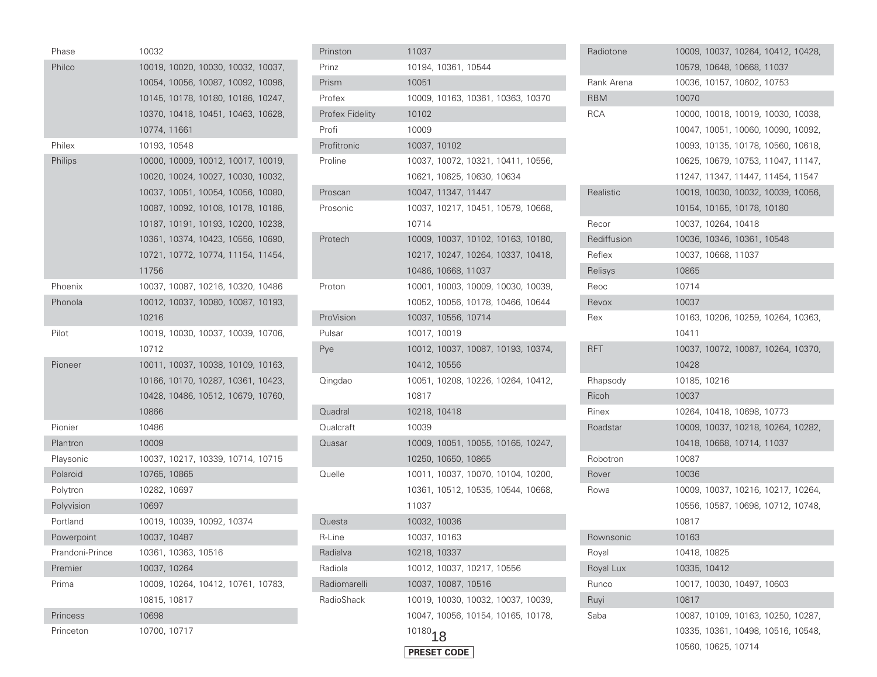| Phase           | 10032        |                     |                                    |  |
|-----------------|--------------|---------------------|------------------------------------|--|
| Philco          |              |                     | 10019, 10020, 10030, 10032, 10037, |  |
|                 |              |                     | 10054, 10056, 10087, 10092, 10096, |  |
|                 |              |                     | 10145, 10178, 10180, 10186, 10247, |  |
|                 |              |                     | 10370, 10418, 10451, 10463, 10628, |  |
|                 | 10774, 11661 |                     |                                    |  |
| Philex          | 10193, 10548 |                     |                                    |  |
| Philips         |              |                     | 10000, 10009, 10012, 10017, 10019, |  |
|                 |              |                     | 10020, 10024, 10027, 10030, 10032, |  |
|                 |              |                     | 10037, 10051, 10054, 10056, 10080, |  |
|                 |              |                     | 10087, 10092, 10108, 10178, 10186, |  |
|                 |              |                     | 10187, 10191, 10193, 10200, 10238, |  |
|                 |              |                     | 10361, 10374, 10423, 10556, 10690, |  |
|                 |              |                     | 10721, 10772, 10774, 11154, 11454, |  |
|                 | 11756        |                     |                                    |  |
| Phoenix         |              |                     | 10037, 10087, 10216, 10320, 10486  |  |
| Phonola         |              |                     | 10012, 10037, 10080, 10087, 10193, |  |
|                 | 10216        |                     |                                    |  |
| Pilot           |              |                     | 10019, 10030, 10037, 10039, 10706, |  |
|                 | 10712        |                     |                                    |  |
| Pioneer         |              |                     | 10011, 10037, 10038, 10109, 10163, |  |
|                 |              |                     | 10166, 10170, 10287, 10361, 10423, |  |
|                 |              |                     | 10428, 10486, 10512, 10679, 10760, |  |
|                 | 10866        |                     |                                    |  |
| Pionier         | 10486        |                     |                                    |  |
| Plantron        | 10009        |                     |                                    |  |
| Playsonic       |              |                     | 10037, 10217, 10339, 10714, 10715  |  |
| Polaroid        | 10765, 10865 |                     |                                    |  |
| Polytron        | 10282, 10697 |                     |                                    |  |
| Polyvision      | 10697        |                     |                                    |  |
| Portland        |              |                     | 10019, 10039, 10092, 10374         |  |
| Powerpoint      | 10037, 10487 |                     |                                    |  |
| Prandoni-Prince |              | 10361, 10363, 10516 |                                    |  |
| Premier         | 10037, 10264 |                     |                                    |  |
| Prima           |              |                     | 10009, 10264, 10412, 10761, 10783, |  |
|                 | 10815, 10817 |                     |                                    |  |
| <b>Princess</b> | 10698        |                     |                                    |  |
| Princeton       | 10700, 10717 |                     |                                    |  |

| Prinston               | 11037                              |
|------------------------|------------------------------------|
| Prinz                  | 10194, 10361, 10544                |
| Prism                  | 10051                              |
| Profex                 | 10009, 10163, 10361, 10363, 10370  |
| <b>Profex Fidelity</b> | 10102                              |
| Profi                  | 10009                              |
| Profitronic            | 10037, 10102                       |
| Proline                | 10037, 10072, 10321, 10411, 10556, |
|                        | 10621, 10625, 10630, 10634         |
| Proscan                | 10047, 11347, 11447                |
| Prosonic               | 10037, 10217, 10451, 10579, 10668, |
|                        | 10714                              |
| Protech                | 10009, 10037, 10102, 10163, 10180, |
|                        | 10217, 10247, 10264, 10337, 10418, |
|                        | 10486, 10668, 11037                |
| Proton                 | 10001, 10003, 10009, 10030, 10039, |
|                        | 10052, 10056, 10178, 10466, 10644  |
| ProVision              | 10037, 10556, 10714                |
| Pulsar                 | 10017, 10019                       |
| Pye                    | 10012, 10037, 10087, 10193, 10374, |
|                        | 10412, 10556                       |
| Qingdao                | 10051, 10208, 10226, 10264, 10412, |
|                        | 10817                              |
| Quadral                | 10218, 10418                       |
| Qualcraft              | 10039                              |
| Quasar                 | 10009, 10051, 10055, 10165, 10247, |
|                        | 10250, 10650, 10865                |
| Quelle                 | 10011, 10037, 10070, 10104, 10200, |
|                        | 10361, 10512, 10535, 10544, 10668, |
|                        | 11037                              |
| Questa                 | 10032, 10036                       |
| R-Line                 | 10037, 10163                       |
| Radialva               | 10218, 10337                       |
| Radiola                | 10012, 10037, 10217, 10556         |
| Radiomarelli           | 10037, 10087, 10516                |
| RadioShack             | 10019, 10030, 10032, 10037, 10039, |
|                        | 10047, 10056, 10154, 10165, 10178, |
|                        | $10180$ 18                         |
|                        | PRESET CODE                        |

| Radiotone   |              |                            | 10009, 10037, 10264, 10412, 10428, |  |
|-------------|--------------|----------------------------|------------------------------------|--|
|             |              | 10579, 10648, 10668, 11037 |                                    |  |
| Rank Arena  |              | 10036, 10157, 10602, 10753 |                                    |  |
| RBM         | 10070        |                            |                                    |  |
| RCA         |              |                            | 10000, 10018, 10019, 10030, 10038, |  |
|             |              |                            | 10047, 10051, 10060, 10090, 10092, |  |
|             |              |                            | 10093, 10135, 10178, 10560, 10618, |  |
|             |              |                            | 10625, 10679, 10753, 11047, 11147, |  |
|             |              |                            | 11247, 11347, 11447, 11454, 11547  |  |
| Realistic   |              |                            | 10019, 10030, 10032, 10039, 10056, |  |
|             |              | 10154, 10165, 10178, 10180 |                                    |  |
| Recor       |              | 10037, 10264, 10418        |                                    |  |
| Rediffusion |              | 10036, 10346, 10361, 10548 |                                    |  |
| Reflex      |              | 10037, 10668, 11037        |                                    |  |
| Relisys     | 10865        |                            |                                    |  |
| Reoc        | 10714        |                            |                                    |  |
| Revox       | 10037        |                            |                                    |  |
| Rex         |              |                            | 10163, 10206, 10259, 10264, 10363, |  |
|             | 10411        |                            |                                    |  |
| RFT         |              |                            | 10037, 10072, 10087, 10264, 10370, |  |
|             | 10428        |                            |                                    |  |
| Rhapsody    | 10185, 10216 |                            |                                    |  |
| Ricoh       | 10037        |                            |                                    |  |
| Rinex       |              | 10264, 10418, 10698, 10773 |                                    |  |
| Roadstar    |              |                            | 10009, 10037, 10218, 10264, 10282, |  |
|             |              | 10418, 10668, 10714, 11037 |                                    |  |
| Robotron    | 10087        |                            |                                    |  |
| Rover       | 10036        |                            |                                    |  |
| Rowa        |              |                            | 10009, 10037, 10216, 10217, 10264, |  |
|             |              |                            | 10556, 10587, 10698, 10712, 10748, |  |
|             | 10817        |                            |                                    |  |
| Rownsonic   | 10163        |                            |                                    |  |
| Royal       | 10418, 10825 |                            |                                    |  |
| Royal Lux   | 10335, 10412 |                            |                                    |  |
| Runco       |              | 10017, 10030, 10497, 10603 |                                    |  |
| Ruyi        | 10817        |                            |                                    |  |
| Saba        |              |                            | 10087, 10109, 10163, 10250, 10287, |  |
|             |              |                            | 10335, 10361, 10498, 10516, 10548, |  |
|             |              | 10560, 10625, 10714        |                                    |  |
|             |              |                            |                                    |  |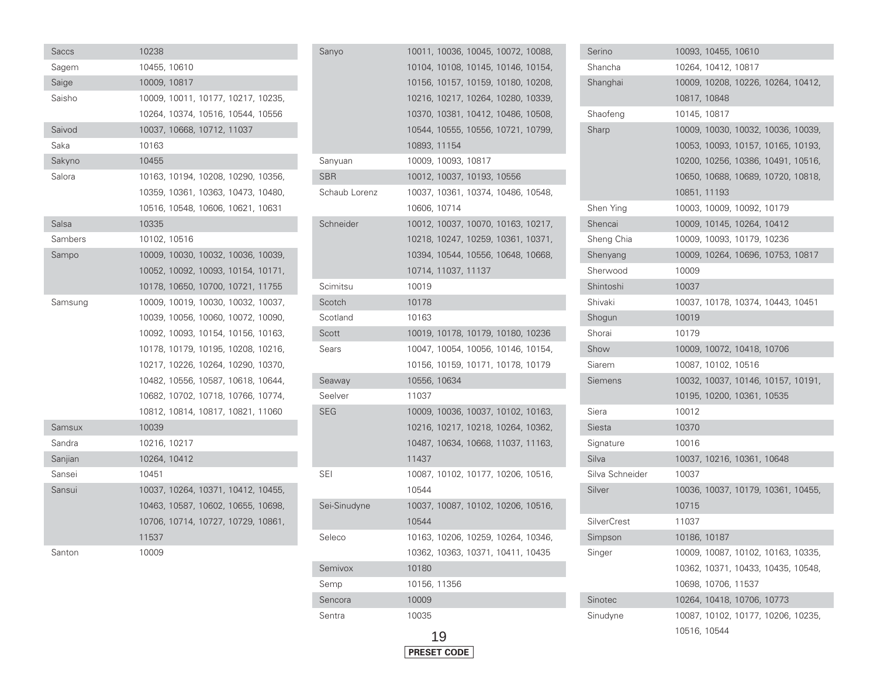| Saccs   | 10238                              |
|---------|------------------------------------|
| Sagem   | 10455, 10610                       |
| Saige   | 10009, 10817                       |
| Saisho  | 10009, 10011, 10177, 10217, 10235, |
|         | 10264, 10374, 10516, 10544, 10556  |
| Saivod  | 10037, 10668, 10712, 11037         |
| Saka    | 10163                              |
| Sakyno  | 10455                              |
| Salora  | 10163, 10194, 10208, 10290, 10356, |
|         | 10359, 10361, 10363, 10473, 10480, |
|         | 10516, 10548, 10606, 10621, 10631  |
| Salsa   | 10335                              |
| Sambers | 10102, 10516                       |
| Sampo   | 10009, 10030, 10032, 10036, 10039, |
|         | 10052, 10092, 10093, 10154, 10171, |
|         | 10178, 10650, 10700, 10721, 11755  |
| Samsung | 10009, 10019, 10030, 10032, 10037, |
|         | 10039, 10056, 10060, 10072, 10090, |
|         | 10092, 10093, 10154, 10156, 10163, |
|         | 10178, 10179, 10195, 10208, 10216, |
|         | 10217, 10226, 10264, 10290, 10370, |
|         | 10482, 10556, 10587, 10618, 10644, |
|         | 10682, 10702, 10718, 10766, 10774, |
|         | 10812, 10814, 10817, 10821, 11060  |
| Samsux  | 10039                              |
| Sandra  | 10216, 10217                       |
| Sanjian | 10264, 10412                       |
| Sansei  | 10451                              |
| Sansui  | 10037, 10264, 10371, 10412, 10455, |
|         | 10463, 10587, 10602, 10655, 10698, |
|         | 10706, 10714, 10727, 10729, 10861, |
|         | 11537                              |
| Santon  | 10009                              |

| Sanyo         | 10011, 10036, 10045, 10072, 10088, |
|---------------|------------------------------------|
|               | 10104, 10108, 10145, 10146, 10154, |
|               | 10156, 10157, 10159, 10180, 10208, |
|               | 10216, 10217, 10264, 10280, 10339, |
|               | 10370, 10381, 10412, 10486, 10508, |
|               | 10544, 10555, 10556, 10721, 10799, |
|               | 10893, 11154                       |
| Sanyuan       | 10009, 10093, 10817                |
| <b>SBR</b>    | 10012, 10037, 10193, 10556         |
| Schaub Lorenz | 10037, 10361, 10374, 10486, 10548, |
|               | 10606, 10714                       |
| Schneider     | 10012, 10037, 10070, 10163, 10217, |
|               | 10218, 10247, 10259, 10361, 10371, |
|               | 10394, 10544, 10556, 10648, 10668, |
|               | 10714, 11037, 11137                |
| Scimitsu      | 10019                              |
| Scotch        | 10178                              |
| Scotland      | 10163                              |
| Scott         | 10019, 10178, 10179, 10180, 10236  |
| Sears         | 10047, 10054, 10056, 10146, 10154, |
|               | 10156, 10159, 10171, 10178, 10179  |
| Seaway        | 10556, 10634                       |
| Seelver       | 11037                              |
| SEG           | 10009, 10036, 10037, 10102, 10163, |
|               | 10216, 10217, 10218, 10264, 10362, |
|               | 10487, 10634, 10668, 11037, 11163, |
|               | 11437                              |
| SEI           | 10087, 10102, 10177, 10206, 10516, |
|               | 10544                              |
| Sei-Sinudyne  | 10037, 10087, 10102, 10206, 10516, |
|               | 10544                              |
| Seleco        | 10163, 10206, 10259, 10264, 10346, |
|               | 10362, 10363, 10371, 10411, 10435  |
| Semivox       | 10180                              |
| Semp          | 10156, 11356                       |
| Sencora       | 10009                              |
| Sentra        | 10035                              |

| Serino             | 10093, 10455, 10610                |
|--------------------|------------------------------------|
| Shancha            | 10264, 10412, 10817                |
| Shanghai           | 10009, 10208, 10226, 10264, 10412, |
|                    | 10817, 10848                       |
| Shaofeng           | 10145, 10817                       |
| Sharp              | 10009, 10030, 10032, 10036, 10039, |
|                    | 10053, 10093, 10157, 10165, 10193, |
|                    | 10200, 10256, 10386, 10491, 10516, |
|                    | 10650, 10688, 10689, 10720, 10818, |
|                    | 10851, 11193                       |
| Shen Ying          | 10003, 10009, 10092, 10179         |
| Shencai            | 10009, 10145, 10264, 10412         |
| Sheng Chia         | 10009, 10093, 10179, 10236         |
| Shenyang           | 10009, 10264, 10696, 10753, 10817  |
| Sherwood           | 10009                              |
| Shintoshi          | 10037                              |
| Shivaki            | 10037, 10178, 10374, 10443, 10451  |
| Shogun             | 10019                              |
| Shorai             | 10179                              |
| Show               | 10009, 10072, 10418, 10706         |
| Siarem             | 10087, 10102, 10516                |
| Siemens            | 10032, 10037, 10146, 10157, 10191, |
|                    | 10195, 10200, 10361, 10535         |
| Siera              | 10012                              |
| Siesta             | 10370                              |
| Signature          | 10016                              |
| Silva              | 10037, 10216, 10361, 10648         |
| Silva Schneider    | 10037                              |
| Silver             | 10036, 10037, 10179, 10361, 10455, |
|                    | 10715                              |
| <b>SilverCrest</b> | 11037                              |
| Simpson            | 10186, 10187                       |
| Singer             | 10009, 10087, 10102, 10163, 10335, |
|                    | 10362, 10371, 10433, 10435, 10548, |
|                    | 10698, 10706, 11537                |
| Sinotec            | 10264, 10418, 10706, 10773         |
| Sinudyne           | 10087, 10102, 10177, 10206, 10235, |
|                    | 10516, 10544                       |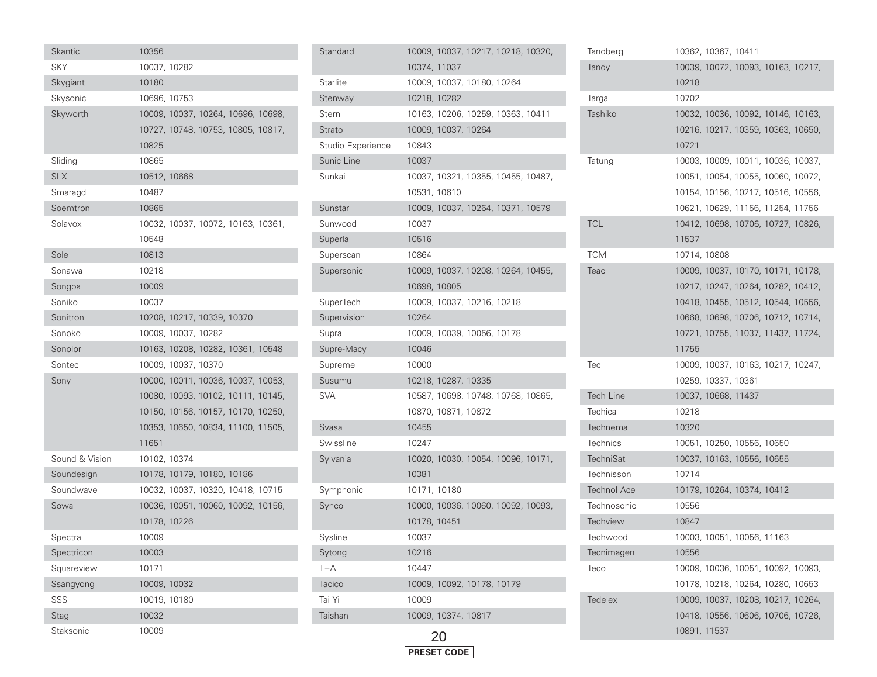| Skantic        | 10356        |                            |                                    |  |
|----------------|--------------|----------------------------|------------------------------------|--|
| <b>SKY</b>     | 10037, 10282 |                            |                                    |  |
| Skygiant       | 10180        |                            |                                    |  |
| Skysonic       | 10696, 10753 |                            |                                    |  |
| Skyworth       |              |                            | 10009, 10037, 10264, 10696, 10698, |  |
|                |              |                            | 10727, 10748, 10753, 10805, 10817, |  |
|                | 10825        |                            |                                    |  |
| Sliding        | 10865        |                            |                                    |  |
| <b>SLX</b>     | 10512, 10668 |                            |                                    |  |
| Smaragd        | 10487        |                            |                                    |  |
| Soemtron       | 10865        |                            |                                    |  |
| Solavox        |              |                            | 10032, 10037, 10072, 10163, 10361, |  |
|                | 10548        |                            |                                    |  |
| Sole           | 10813        |                            |                                    |  |
| Sonawa         | 10218        |                            |                                    |  |
| Songba         | 10009        |                            |                                    |  |
| Soniko         | 10037        |                            |                                    |  |
| Sonitron       |              | 10208, 10217, 10339, 10370 |                                    |  |
| Sonoko         |              | 10009, 10037, 10282        |                                    |  |
| Sonolor        |              |                            | 10163, 10208, 10282, 10361, 10548  |  |
| Sontec         |              | 10009, 10037, 10370        |                                    |  |
| Sony           |              |                            | 10000, 10011, 10036, 10037, 10053, |  |
|                |              |                            | 10080, 10093, 10102, 10111, 10145, |  |
|                |              |                            | 10150, 10156, 10157, 10170, 10250, |  |
|                |              |                            | 10353, 10650, 10834, 11100, 11505, |  |
|                | 11651        |                            |                                    |  |
| Sound & Vision | 10102, 10374 |                            |                                    |  |
| Soundesign     |              | 10178, 10179, 10180, 10186 |                                    |  |
| Soundwave      |              |                            | 10032, 10037, 10320, 10418, 10715  |  |
| Sowa           |              |                            | 10036, 10051, 10060, 10092, 10156, |  |
|                | 10178, 10226 |                            |                                    |  |
| Spectra        | 10009        |                            |                                    |  |
| Spectricon     | 10003        |                            |                                    |  |
| Squareview     | 10171        |                            |                                    |  |
| Ssangyong      | 10009, 10032 |                            |                                    |  |
| SSS            | 10019, 10180 |                            |                                    |  |
| Stag           | 10032        |                            |                                    |  |
| Staksonic      | 10009        |                            |                                    |  |

| Standard          | 10009, 10037, 10217, 10218, 10320, |
|-------------------|------------------------------------|
|                   | 10374, 11037                       |
| Starlite          | 10009, 10037, 10180, 10264         |
| Stenway           | 10218, 10282                       |
| Stern             | 10163, 10206, 10259, 10363, 10411  |
| Strato            | 10009, 10037, 10264                |
| Studio Experience | 10843                              |
| Sunic Line        | 10037                              |
| Sunkai            | 10037, 10321, 10355, 10455, 10487, |
|                   | 10531, 10610                       |
| Sunstar           | 10009, 10037, 10264, 10371, 10579  |
| Sunwood           | 10037                              |
| Superla           | 10516                              |
| Superscan         | 10864                              |
| Supersonic        | 10009, 10037, 10208, 10264, 10455, |
|                   | 10698, 10805                       |
| SuperTech         | 10009, 10037, 10216, 10218         |
| Supervision       | 10264                              |
| Supra             | 10009, 10039, 10056, 10178         |
| Supre-Macy        | 10046                              |
| Supreme           | 10000                              |
| Susumu            | 10218, 10287, 10335                |
| <b>SVA</b>        | 10587, 10698, 10748, 10768, 10865, |
|                   | 10870, 10871, 10872                |
| Svasa             | 10455                              |
| Swissline         | 10247                              |
| Sylvania          | 10020, 10030, 10054, 10096, 10171, |
|                   | 10381                              |
| Symphonic         | 10171, 10180                       |
| Synco             | 10000, 10036, 10060, 10092, 10093, |
|                   | 10178, 10451                       |
| Sysline           | 10037                              |
| Sytong            | 10216                              |
| T+A               | 10447                              |
| Tacico            | 10009, 10092, 10178, 10179         |
| Tai Yi            | 10009                              |
| Taishan           | 10009, 10374, 10817                |
|                   |                                    |



| Tandberg           |              | 10362, 10367, 10411 |                                    |  |
|--------------------|--------------|---------------------|------------------------------------|--|
| Tandy              |              |                     | 10039, 10072, 10093, 10163, 10217, |  |
|                    | 10218        |                     |                                    |  |
| Targa              | 10702        |                     |                                    |  |
| Tashiko            |              |                     | 10032, 10036, 10092, 10146, 10163, |  |
|                    |              |                     | 10216, 10217, 10359, 10363, 10650, |  |
|                    | 10721        |                     |                                    |  |
| Tatung             |              |                     | 10003, 10009, 10011, 10036, 10037, |  |
|                    |              |                     | 10051, 10054, 10055, 10060, 10072, |  |
|                    |              |                     | 10154, 10156, 10217, 10516, 10556, |  |
|                    |              |                     | 10621, 10629, 11156, 11254, 11756  |  |
| <b>TCL</b>         |              |                     | 10412, 10698, 10706, 10727, 10826, |  |
|                    | 11537        |                     |                                    |  |
| <b>TCM</b>         | 10714, 10808 |                     |                                    |  |
| Teac               |              |                     | 10009, 10037, 10170, 10171, 10178, |  |
|                    |              |                     | 10217, 10247, 10264, 10282, 10412, |  |
|                    |              |                     | 10418, 10455, 10512, 10544, 10556, |  |
|                    |              |                     | 10668, 10698, 10706, 10712, 10714, |  |
|                    |              |                     | 10721, 10755, 11037, 11437, 11724, |  |
|                    |              |                     |                                    |  |
|                    | 11755        |                     |                                    |  |
| Tec                |              |                     | 10009, 10037, 10163, 10217, 10247, |  |
|                    |              | 10259, 10337, 10361 |                                    |  |
| <b>Tech Line</b>   |              | 10037, 10668, 11437 |                                    |  |
| Techica            | 10218        |                     |                                    |  |
| Technema           | 10320        |                     |                                    |  |
| <b>Technics</b>    |              |                     | 10051, 10250, 10556, 10650         |  |
| <b>TechniSat</b>   |              |                     | 10037, 10163, 10556, 10655         |  |
| Technisson         | 10714        |                     |                                    |  |
| <b>Technol Ace</b> |              |                     | 10179, 10264, 10374, 10412         |  |
| Technosonic        | 10556        |                     |                                    |  |
| <b>Techview</b>    | 10847        |                     |                                    |  |
| Techwood           |              |                     | 10003, 10051, 10056, 11163         |  |
| Tecnimagen         | 10556        |                     |                                    |  |
| Teco               |              |                     | 10009, 10036, 10051, 10092, 10093, |  |
|                    |              |                     | 10178, 10218, 10264, 10280, 10653  |  |
| Tedelex            |              |                     | 10009, 10037, 10208, 10217, 10264, |  |
|                    |              |                     | 10418, 10556, 10606, 10706, 10726, |  |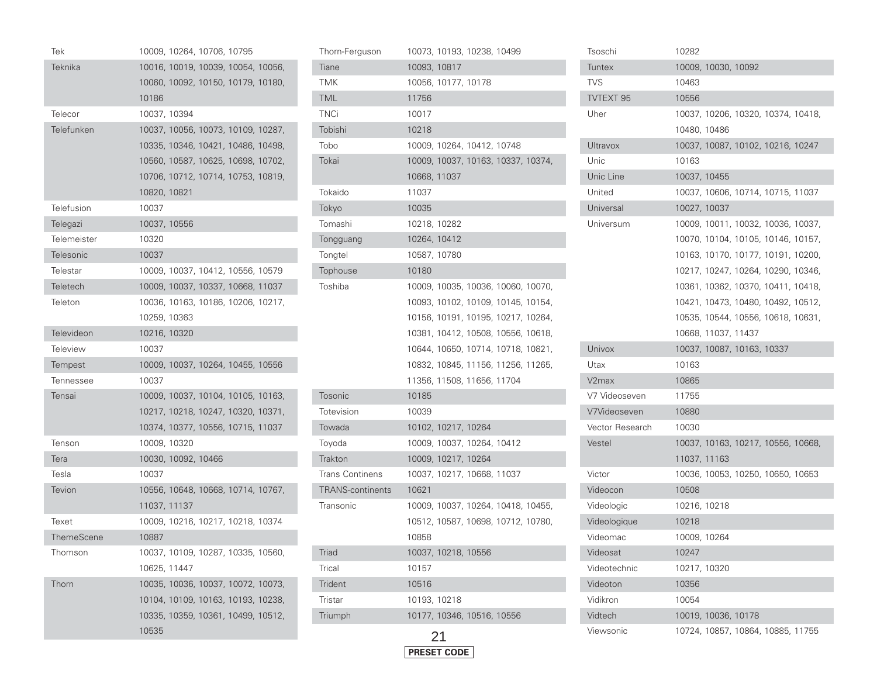| Tek                | 10009, 10264, 10706, 10795         |
|--------------------|------------------------------------|
| Teknika            | 10016, 10019, 10039, 10054, 10056, |
|                    | 10060, 10092, 10150, 10179, 10180, |
|                    | 10186                              |
| Telecor            | 10037, 10394                       |
| Telefunken         | 10037, 10056, 10073, 10109, 10287, |
|                    | 10335, 10346, 10421, 10486, 10498, |
|                    | 10560, 10587, 10625, 10698, 10702, |
|                    | 10706, 10712, 10714, 10753, 10819, |
|                    | 10820, 10821                       |
| Telefusion         | 10037                              |
| Telegazi           | 10037, 10556                       |
| <b>Telemeister</b> | 10320                              |
| Telesonic          | 10037                              |
| Telestar           | 10009, 10037, 10412, 10556, 10579  |
| Teletech           | 10009, 10037, 10337, 10668, 11037  |
| Teleton            | 10036, 10163, 10186, 10206, 10217, |
|                    | 10259, 10363                       |
| Televideon         | 10216, 10320                       |
| <b>Teleview</b>    | 10037                              |
| Tempest            | 10009, 10037, 10264, 10455, 10556  |
| Tennessee          | 10037                              |
| Tensai             | 10009, 10037, 10104, 10105, 10163, |
|                    | 10217, 10218, 10247, 10320, 10371, |
|                    | 10374, 10377, 10556, 10715, 11037  |
| Tenson             | 10009, 10320                       |
| Tera               | 10030, 10092, 10466                |
| Tesla              | 10037                              |
| Tevion             | 10556, 10648, 10668, 10714, 10767, |
|                    | 11037, 11137                       |
| Texet              | 10009, 10216, 10217, 10218, 10374  |
| ThemeScene         | 10887                              |
| Thomson            | 10037, 10109, 10287, 10335, 10560, |
|                    | 10625, 11447                       |
| Thorn              | 10035, 10036, 10037, 10072, 10073, |
|                    | 10104, 10109, 10163, 10193, 10238, |
|                    | 10335, 10359, 10361, 10499, 10512, |
|                    | 10535                              |

| Thorn-Ferguson          | 10073, 10193, 10238, 10499         |
|-------------------------|------------------------------------|
| Tiane                   | 10093, 10817                       |
| <b>TMK</b>              | 10056, 10177, 10178                |
| <b>TML</b>              | 11756                              |
| <b>TNCi</b>             | 10017                              |
| Tobishi                 | 10218                              |
| Tobo                    | 10009, 10264, 10412, 10748         |
| Tokai                   | 10009, 10037, 10163, 10337, 10374, |
|                         | 10668, 11037                       |
| Tokaido                 | 11037                              |
| Tokyo                   | 10035                              |
| Tomashi                 | 10218, 10282                       |
| Tongguang               | 10264, 10412                       |
| Tongtel                 | 10587, 10780                       |
| Tophouse                | 10180                              |
| Toshiba                 | 10009, 10035, 10036, 10060, 10070, |
|                         | 10093, 10102, 10109, 10145, 10154, |
|                         | 10156, 10191, 10195, 10217, 10264, |
|                         | 10381, 10412, 10508, 10556, 10618, |
|                         | 10644, 10650, 10714, 10718, 10821, |
|                         | 10832, 10845, 11156, 11256, 11265, |
|                         | 11356, 11508, 11656, 11704         |
| Tosonic                 | 10185                              |
| Totevision              | 10039                              |
| Towada                  | 10102, 10217, 10264                |
| Toyoda                  | 10009, 10037, 10264, 10412         |
| Trakton                 | 10009, 10217, 10264                |
| <b>Trans Continens</b>  | 10037, 10217, 10668, 11037         |
| <b>TRANS-continents</b> | 10621                              |
| Transonic               | 10009, 10037, 10264, 10418, 10455, |
|                         | 10512, 10587, 10698, 10712, 10780, |
|                         | 10858                              |
| Triad                   | 10037, 10218, 10556                |
| Trical                  | 10157                              |
| <b>Trident</b>          | 10516                              |
| Tristar                 | 10193, 10218                       |
| Triumph                 | 10177, 10346, 10516, 10556         |
|                         |                                    |

| FSET CI<br>חרור<br>ΡВ |
|-----------------------|

| Tsoschi          | 10282                              |
|------------------|------------------------------------|
| Tuntex           | 10009, 10030, 10092                |
| TVS              | 10463                              |
| <b>TVTEXT 95</b> | 10556                              |
| Uher             | 10037, 10206, 10320, 10374, 10418, |
|                  | 10480, 10486                       |
| Ultravox         | 10037, 10087, 10102, 10216, 10247  |
| Unic             | 10163                              |
| Unic Line        | 10037, 10455                       |
| United           | 10037, 10606, 10714, 10715, 11037  |
| Universal        | 10027, 10037                       |
| Universum        | 10009, 10011, 10032, 10036, 10037, |
|                  | 10070, 10104, 10105, 10146, 10157, |
|                  | 10163, 10170, 10177, 10191, 10200, |
|                  | 10217, 10247, 10264, 10290, 10346, |
|                  | 10361, 10362, 10370, 10411, 10418, |
|                  | 10421, 10473, 10480, 10492, 10512, |
|                  | 10535, 10544, 10556, 10618, 10631, |
|                  | 10668, 11037, 11437                |
| Univox           | 10037, 10087, 10163, 10337         |
| Utax             | 10163                              |
| V2max            | 10865                              |
| V7 Videoseven    |                                    |
|                  | 11755                              |
| V7Videoseven     | 10880                              |
| Vector Research  | 10030                              |
| Vestel           | 10037, 10163, 10217, 10556, 10668, |
|                  | 11037, 11163                       |
| Victor           | 10036, 10053, 10250, 10650, 10653  |
| Videocon         | 10508                              |
| Videologic       | 10216, 10218                       |
| Videologique     | 10218                              |
| Videomac         | 10009, 10264                       |
| Videosat         | 10247                              |
| Videotechnic     | 10217, 10320                       |
| Videoton         | 10356                              |
| Vidikron         | 10054                              |
| Vidtech          | 10019, 10036, 10178                |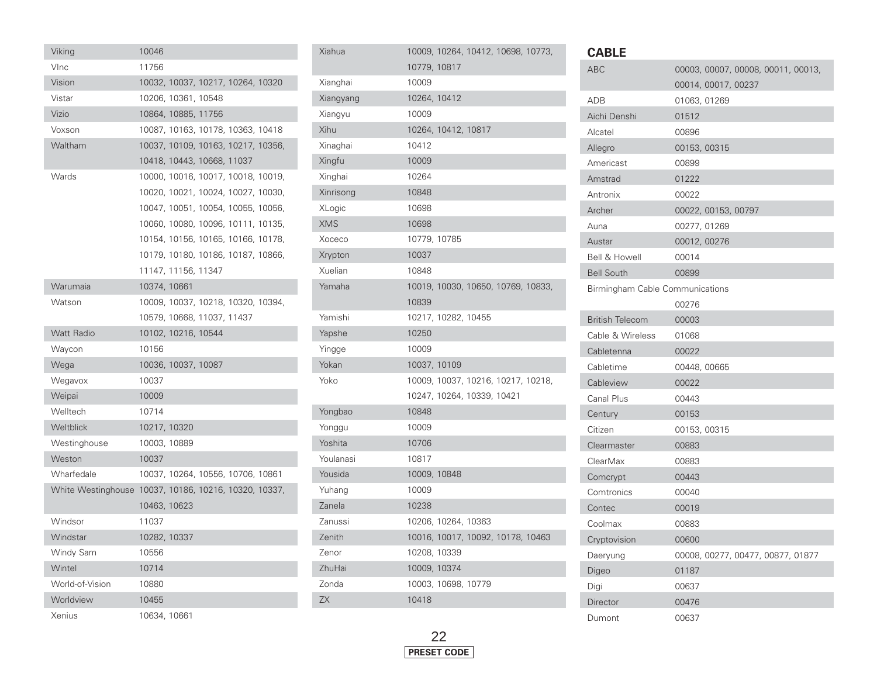| Viking             | 10046                              |                     |                                    |  |  |
|--------------------|------------------------------------|---------------------|------------------------------------|--|--|
| VInc               | 11756                              |                     |                                    |  |  |
| Vision             |                                    |                     | 10032, 10037, 10217, 10264, 10320  |  |  |
| Vistar             |                                    | 10206, 10361, 10548 |                                    |  |  |
| Vizio              |                                    | 10864, 10885, 11756 |                                    |  |  |
| Voxson             |                                    |                     | 10087, 10163, 10178, 10363, 10418  |  |  |
| Waltham            |                                    |                     | 10037, 10109, 10163, 10217, 10356, |  |  |
|                    |                                    |                     | 10418, 10443, 10668, 11037         |  |  |
| Wards              |                                    |                     | 10000, 10016, 10017, 10018, 10019, |  |  |
|                    |                                    |                     | 10020, 10021, 10024, 10027, 10030, |  |  |
|                    |                                    |                     | 10047, 10051, 10054, 10055, 10056, |  |  |
|                    |                                    |                     | 10060, 10080, 10096, 10111, 10135, |  |  |
|                    |                                    |                     | 10154, 10156, 10165, 10166, 10178, |  |  |
|                    |                                    |                     | 10179, 10180, 10186, 10187, 10866, |  |  |
|                    |                                    | 11147, 11156, 11347 |                                    |  |  |
| Warumaia           | 10374, 10661                       |                     |                                    |  |  |
| Watson             |                                    |                     | 10009, 10037, 10218, 10320, 10394, |  |  |
|                    |                                    |                     | 10579, 10668, 11037, 11437         |  |  |
| <b>Watt Radio</b>  |                                    | 10102, 10216, 10544 |                                    |  |  |
| Waycon             | 10156                              |                     |                                    |  |  |
| Wega               |                                    | 10036, 10037, 10087 |                                    |  |  |
| Wegavox            | 10037                              |                     |                                    |  |  |
| Weipai             | 10009                              |                     |                                    |  |  |
| Welltech           | 10714                              |                     |                                    |  |  |
| Weltblick          | 10217, 10320                       |                     |                                    |  |  |
| Westinghouse       | 10003, 10889                       |                     |                                    |  |  |
| Weston             | 10037                              |                     |                                    |  |  |
| Wharfedale         |                                    |                     | 10037, 10264, 10556, 10706, 10861  |  |  |
| White Westinghouse | 10037, 10186, 10216, 10320, 10337, |                     |                                    |  |  |
|                    | 10463, 10623                       |                     |                                    |  |  |
| Windsor            | 11037                              |                     |                                    |  |  |
| Windstar           | 10282, 10337                       |                     |                                    |  |  |
| Windy Sam          | 10556                              |                     |                                    |  |  |
| Wintel             | 10714                              |                     |                                    |  |  |
| World-of-Vision    | 10880                              |                     |                                    |  |  |
| Worldview          | 10455                              |                     |                                    |  |  |
| Xenius             | 10634, 10661                       |                     |                                    |  |  |

| Xiahua        |              |                     | 10009, 10264, 10412, 10698, 10773, |  |
|---------------|--------------|---------------------|------------------------------------|--|
|               | 10779, 10817 |                     |                                    |  |
| Xianghai      | 10009        |                     |                                    |  |
| Xiangyang     | 10264, 10412 |                     |                                    |  |
| Xiangyu       | 10009        |                     |                                    |  |
| Xihu          |              | 10264, 10412, 10817 |                                    |  |
| Xinaghai      | 10412        |                     |                                    |  |
| Xingfu        | 10009        |                     |                                    |  |
| Xinghai       | 10264        |                     |                                    |  |
| Xinrisong     | 10848        |                     |                                    |  |
| <b>XLogic</b> | 10698        |                     |                                    |  |
| <b>XMS</b>    | 10698        |                     |                                    |  |
| Xoceco        | 10779, 10785 |                     |                                    |  |
| Xrypton       | 10037        |                     |                                    |  |
| Xuelian       | 10848        |                     |                                    |  |
| Yamaha        |              |                     | 10019, 10030, 10650, 10769, 10833, |  |
|               | 10839        |                     |                                    |  |
| Yamishi       |              | 10217, 10282, 10455 |                                    |  |
| Yapshe        | 10250        |                     |                                    |  |
| Yingge        | 10009        |                     |                                    |  |
| Yokan         | 10037, 10109 |                     |                                    |  |
| Yoko          |              |                     | 10009, 10037, 10216, 10217, 10218, |  |
|               |              |                     | 10247, 10264, 10339, 10421         |  |
| Yongbao       | 10848        |                     |                                    |  |
| Yonggu        | 10009        |                     |                                    |  |
| Yoshita       | 10706        |                     |                                    |  |
| Youlanasi     | 10817        |                     |                                    |  |
| Yousida       | 10009, 10848 |                     |                                    |  |
| Yuhang        | 10009        |                     |                                    |  |
| Zanela        | 10238        |                     |                                    |  |
| Zanussi       |              | 10206, 10264, 10363 |                                    |  |
| Zenith        |              |                     | 10016, 10017, 10092, 10178, 10463  |  |
| Zenor         | 10208, 10339 |                     |                                    |  |
| ZhuHai        | 10009, 10374 |                     |                                    |  |
| Zonda         |              | 10003, 10698, 10779 |                                    |  |
| <b>ZX</b>     | 10418        |                     |                                    |  |
|               |              |                     |                                    |  |



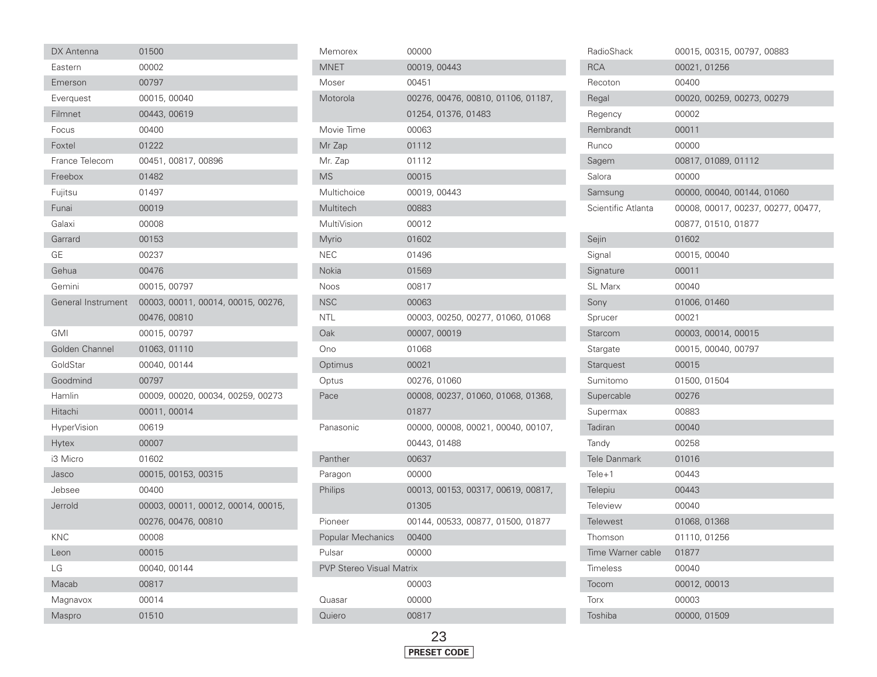| DX Antenna         | 01500                              |
|--------------------|------------------------------------|
| Eastern            | 00002                              |
| Emerson            | 00797                              |
| Everquest          | 00015, 00040                       |
| Filmnet            | 00443, 00619                       |
| Focus              | 00400                              |
| Foxtel             | 01222                              |
| France Telecom     | 00451, 00817, 00896                |
| Freebox            | 01482                              |
| Fujitsu            | 01497                              |
| Funai              | 00019                              |
| Galaxi             | 00008                              |
| Garrard            | 00153                              |
| GE                 | 00237                              |
| Gehua              | 00476                              |
| Gemini             | 00015, 00797                       |
| General Instrument | 00003, 00011, 00014, 00015, 00276, |
|                    | 00476, 00810                       |
| GMI                | 00015, 00797                       |
| Golden Channel     | 01063, 01110                       |
| GoldStar           | 00040, 00144                       |
| Goodmind           | 00797                              |
| Hamlin             | 00009, 00020, 00034, 00259, 00273  |
| Hitachi            | 00011,00014                        |
| HyperVision        | 00619                              |
| Hytex              | 00007                              |
| i3 Micro           | 01602                              |
| Jasco              | 00015, 00153, 00315                |
| Jebsee             | 00400                              |
| Jerrold            | 00003, 00011, 00012, 00014, 00015, |
|                    | 00276, 00476, 00810                |
| <b>KNC</b>         | 00008                              |
| Leon               | 00015                              |
| LG                 | 00040, 00144                       |
| Macab              | 00817                              |
| Magnavox           | 00014                              |
| Maspro             | 01510                              |

ŋ I

| Memorex                         | 00000        |                     |                                    |  |
|---------------------------------|--------------|---------------------|------------------------------------|--|
| MNET                            | 00019, 00443 |                     |                                    |  |
| Moser                           | 00451        |                     |                                    |  |
| Motorola                        |              |                     | 00276, 00476, 00810, 01106, 01187, |  |
|                                 |              | 01254, 01376, 01483 |                                    |  |
| Movie Time                      | 00063        |                     |                                    |  |
| Mr Zap                          | 01112        |                     |                                    |  |
| Mr. Zap                         | 01112        |                     |                                    |  |
| MS                              | 00015        |                     |                                    |  |
| Multichoice                     | 00019, 00443 |                     |                                    |  |
| Multitech                       | 00883        |                     |                                    |  |
| MultiVision                     | 00012        |                     |                                    |  |
| Myrio                           | 01602        |                     |                                    |  |
| <b>NEC</b>                      | 01496        |                     |                                    |  |
| Nokia                           | 01569        |                     |                                    |  |
| <b>Noos</b>                     | 00817        |                     |                                    |  |
| NSC                             | 00063        |                     |                                    |  |
| NTL                             |              |                     | 00003, 00250, 00277, 01060, 01068  |  |
| Oak                             | 00007, 00019 |                     |                                    |  |
| Ono                             | 01068        |                     |                                    |  |
| Optimus                         | 00021        |                     |                                    |  |
| Optus                           | 00276, 01060 |                     |                                    |  |
| Pace                            |              |                     | 00008, 00237, 01060, 01068, 01368, |  |
|                                 | 01877        |                     |                                    |  |
| Panasonic                       |              |                     | 00000, 00008, 00021, 00040, 00107, |  |
|                                 | 00443, 01488 |                     |                                    |  |
| Panther                         | 00637        |                     |                                    |  |
| Paragon                         | 00000        |                     |                                    |  |
| Philips                         |              |                     | 00013, 00153, 00317, 00619, 00817, |  |
|                                 | 01305        |                     |                                    |  |
| Pioneer                         |              |                     | 00144, 00533, 00877, 01500, 01877  |  |
| Popular Mechanics               | 00400        |                     |                                    |  |
| Pulsar                          | 00000        |                     |                                    |  |
| <b>PVP Stereo Visual Matrix</b> |              |                     |                                    |  |
|                                 | 00003        |                     |                                    |  |
| Quasar                          | 00000        |                     |                                    |  |
| Quiero                          | 00817        |                     |                                    |  |
|                                 |              |                     |                                    |  |

| RadioShack         | 00015, 00315, 00797, 00883         |
|--------------------|------------------------------------|
| RCA                | 00021, 01256                       |
| Recoton            | 00400                              |
| Regal              | 00020, 00259, 00273, 00279         |
| Regency            | 00002                              |
| Rembrandt          | 00011                              |
| Runco              | 00000                              |
| Sagem              | 00817, 01089, 01112                |
| Salora             | 00000                              |
| Samsung            | 00000, 00040, 00144, 01060         |
| Scientific Atlanta | 00008, 00017, 00237, 00277, 00477, |
|                    | 00877, 01510, 01877                |
| Sejin              | 01602                              |
| Signal             | 00015, 00040                       |
| Signature          | 00011                              |
| <b>SL Marx</b>     | 00040                              |
| Sony               | 01006, 01460                       |
| Sprucer            | 00021                              |
| Starcom            | 00003, 00014, 00015                |
| Stargate           | 00015, 00040, 00797                |
| Starquest          | 00015                              |
| Sumitomo           | 01500, 01504                       |
| Supercable         | 00276                              |
| Supermax           | 00883                              |
| Tadiran            | 00040                              |
| Tandy              | 00258                              |
| Tele Danmark       | 01016                              |
| $Tele+1$           | 00443                              |
| Telepiu            | 00443                              |
| Teleview           | 00040                              |
| Telewest           | 01068, 01368                       |
| Thomson            | 01110, 01256                       |
| Time Warner cable  | 01877                              |
| <b>Timeless</b>    | 00040                              |
| Tocom              | 00012, 00013                       |
| Torx               | 00003                              |
| Toshiba            | 00000, 01509                       |

Г

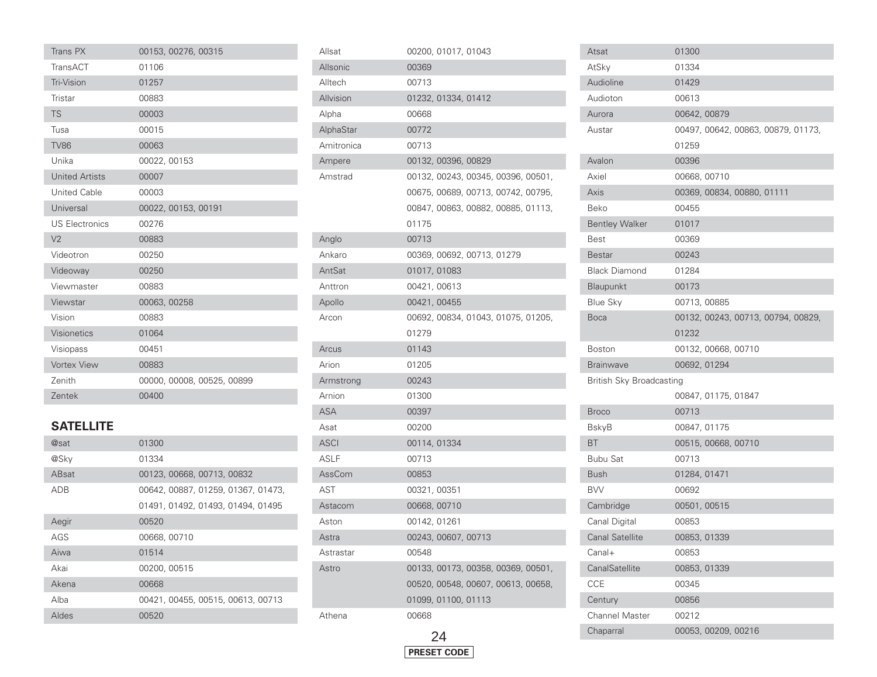| Trans PX              | 00153, 00276, 00315        |
|-----------------------|----------------------------|
| TransACT              | 01106                      |
| <b>Tri-Vision</b>     | 01257                      |
| Tristar               | 00883                      |
| <b>TS</b>             | 00003                      |
| Tusa                  | 00015                      |
| <b>TV86</b>           | 00063                      |
| Unika                 | 00022, 00153               |
| <b>United Artists</b> | 00007                      |
| <b>United Cable</b>   | 00003                      |
| Universal             | 00022, 00153, 00191        |
| <b>US Electronics</b> | 00276                      |
| V <sub>2</sub>        | 00883                      |
| Videotron             | 00250                      |
| Videoway              | 00250                      |
| Viewmaster            | 00883                      |
| Viewstar              | 00063, 00258               |
| Vision                | 00883                      |
| <b>Visionetics</b>    | 01064                      |
| Visiopass             | 00451                      |
| <b>Vortex View</b>    | 00883                      |
| Zenith                | 00000, 00008, 00525, 00899 |
| Zentek                | 00400                      |

#### **SATELLITE**

| @sat  | 01300                              |
|-------|------------------------------------|
| @Sky  | 01334                              |
| ABsat | 00123, 00668, 00713, 00832         |
| ADB   | 00642, 00887, 01259, 01367, 01473, |
|       | 01491, 01492, 01493, 01494, 01495  |
| Aegir | 00520                              |
| AGS   | 00668, 00710                       |
| Aiwa  | 01514                              |
| Akai  | 00200, 00515                       |
| Akena | 00668                              |
| Alba  | 00421, 00455, 00515, 00613, 00713  |
| Aldes | 00520                              |

| Allsat     | 00200, 01017, 01043                |
|------------|------------------------------------|
| Allsonic   | 00369                              |
| Alltech    | 00713                              |
| Allvision  | 01232, 01334, 01412                |
| Alpha      | 00668                              |
| AlphaStar  | 00772                              |
| Amitronica | 00713                              |
| Ampere     | 00132, 00396, 00829                |
| Amstrad    | 00132, 00243, 00345, 00396, 00501, |
|            | 00675, 00689, 00713, 00742, 00795, |
|            | 00847, 00863, 00882, 00885, 01113, |
|            | 01175                              |
| Anglo      | 00713                              |
| Ankaro     | 00369, 00692, 00713, 01279         |
| AntSat     | 01017, 01083                       |
| Anttron    | 00421, 00613                       |
| Apollo     | 00421, 00455                       |
| Arcon      | 00692, 00834, 01043, 01075, 01205, |
|            | 01279                              |
| Arcus      | 01143                              |
| Arion      | 01205                              |
| Armstrong  | 00243                              |
| Arnion     | 01300                              |
| ASA        | 00397                              |
| Asat       | 00200                              |
| ASCI       | 00114, 01334                       |
| ASLF       | 00713                              |
| AssCom     | 00853                              |
| AST        | 00321, 00351                       |
| Astacom    | 00668, 00710                       |
| Aston      | 00142, 01261                       |
| Astra      | 00243, 00607, 00713                |
| Astrastar  | 00548                              |
| Astro      | 00133, 00173, 00358, 00369, 00501, |
|            | 00520, 00548, 00607, 00613, 00658, |
|            | 01099, 01100, 01113                |
| Athena     | 00668                              |
|            |                                    |



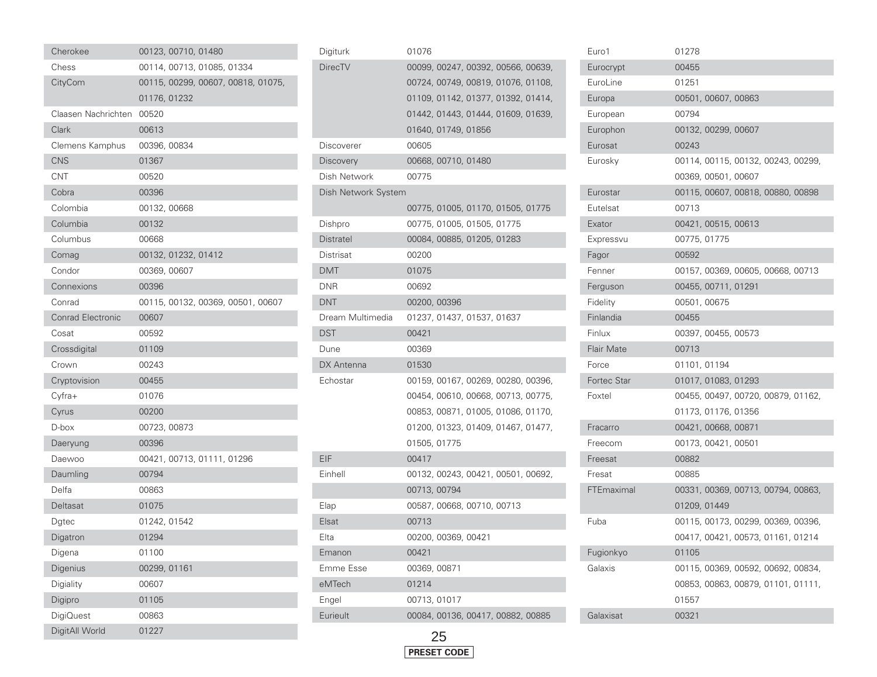| Cherokee                 |              | 00123, 00710, 01480 |                                    |  |  |
|--------------------------|--------------|---------------------|------------------------------------|--|--|
| Chess                    |              |                     | 00114, 00713, 01085, 01334         |  |  |
| CityCom                  |              |                     | 00115, 00299, 00607, 00818, 01075, |  |  |
|                          | 01176, 01232 |                     |                                    |  |  |
| Claasen Nachrichten      | 00520        |                     |                                    |  |  |
| Clark                    | 00613        |                     |                                    |  |  |
| Clemens Kamphus          | 00396, 00834 |                     |                                    |  |  |
| <b>CNS</b>               | 01367        |                     |                                    |  |  |
| <b>CNT</b>               | 00520        |                     |                                    |  |  |
| Cobra                    | 00396        |                     |                                    |  |  |
| Colombia                 | 00132, 00668 |                     |                                    |  |  |
| Columbia                 | 00132        |                     |                                    |  |  |
| Columbus                 | 00668        |                     |                                    |  |  |
| Comag                    |              | 00132, 01232, 01412 |                                    |  |  |
| Condor                   | 00369, 00607 |                     |                                    |  |  |
| Connexions               | 00396        |                     |                                    |  |  |
| Conrad                   |              |                     | 00115, 00132, 00369, 00501, 00607  |  |  |
| <b>Conrad Electronic</b> | 00607        |                     |                                    |  |  |
| Cosat                    | 00592        |                     |                                    |  |  |
| Crossdigital             | 01109        |                     |                                    |  |  |
| Crown                    | 00243        |                     |                                    |  |  |
| Cryptovision             | 00455        |                     |                                    |  |  |
| Cyfra+                   | 01076        |                     |                                    |  |  |
| Cyrus                    | 00200        |                     |                                    |  |  |
| D-box                    | 00723, 00873 |                     |                                    |  |  |
| Daeryung                 | 00396        |                     |                                    |  |  |
| Daewoo                   |              |                     | 00421, 00713, 01111, 01296         |  |  |
| Daumling                 | 00794        |                     |                                    |  |  |
| Delfa                    | 00863        |                     |                                    |  |  |
| Deltasat                 | 01075        |                     |                                    |  |  |
| Dgtec                    | 01242, 01542 |                     |                                    |  |  |
| Digatron                 | 01294        |                     |                                    |  |  |
| Digena                   | 01100        |                     |                                    |  |  |
| Digenius                 | 00299, 01161 |                     |                                    |  |  |
| Digiality                | 00607        |                     |                                    |  |  |
| Digipro                  | 01105        |                     |                                    |  |  |
| DigiQuest                | 00863        |                     |                                    |  |  |
| DigitAll World           | 01227        |                     |                                    |  |  |

| Digiturk            | 01076        |                     |                                    |  |
|---------------------|--------------|---------------------|------------------------------------|--|
| <b>DirecTV</b>      |              |                     | 00099, 00247, 00392, 00566, 00639, |  |
|                     |              |                     | 00724, 00749, 00819, 01076, 01108, |  |
|                     |              |                     | 01109, 01142, 01377, 01392, 01414, |  |
|                     |              |                     | 01442, 01443, 01444, 01609, 01639, |  |
|                     |              | 01640, 01749, 01856 |                                    |  |
| Discoverer          | 00605        |                     |                                    |  |
| <b>Discovery</b>    |              | 00668, 00710, 01480 |                                    |  |
| Dish Network        | 00775        |                     |                                    |  |
| Dish Network System |              |                     |                                    |  |
|                     |              |                     | 00775, 01005, 01170, 01505, 01775  |  |
| Dishpro             |              |                     | 00775, 01005, 01505, 01775         |  |
| Distratel           |              |                     | 00084, 00885, 01205, 01283         |  |
| Distrisat           | 00200        |                     |                                    |  |
| DMT                 | 01075        |                     |                                    |  |
| DNR                 | 00692        |                     |                                    |  |
| DNT                 | 00200, 00396 |                     |                                    |  |
| Dream Multimedia    |              |                     | 01237, 01437, 01537, 01637         |  |
| DST                 | 00421        |                     |                                    |  |
| Dune                | 00369        |                     |                                    |  |
| DX Antenna          | 01530        |                     |                                    |  |
| Echostar            |              |                     | 00159, 00167, 00269, 00280, 00396, |  |
|                     |              |                     | 00454, 00610, 00668, 00713, 00775, |  |
|                     |              |                     | 00853, 00871, 01005, 01086, 01170, |  |
|                     |              |                     | 01200, 01323, 01409, 01467, 01477, |  |
|                     | 01505, 01775 |                     |                                    |  |
| EIF                 | 00417        |                     |                                    |  |
| Einhell             |              |                     | 00132, 00243, 00421, 00501, 00692, |  |
|                     | 00713, 00794 |                     |                                    |  |
| Elap                |              |                     | 00587, 00668, 00710, 00713         |  |
| Elsat               | 00713        |                     |                                    |  |
| Elta                |              | 00200, 00369, 00421 |                                    |  |
| Emanon              | 00421        |                     |                                    |  |
| Emme Esse           | 00369, 00871 |                     |                                    |  |
| eMTech              | 01214        |                     |                                    |  |
| Engel               | 00713, 01017 |                     |                                    |  |
| Eurieult            |              |                     | 00084, 00136, 00417, 00882, 00885  |  |
|                     |              |                     |                                    |  |



| Euro1             | 01278                              |
|-------------------|------------------------------------|
| Eurocrypt         | 00455                              |
| EuroLine          | 01251                              |
| Europa            | 00501, 00607, 00863                |
| European          | 00794                              |
| Europhon          | 00132, 00299, 00607                |
| Eurosat           | 00243                              |
| Eurosky           | 00114, 00115, 00132, 00243, 00299, |
|                   | 00369, 00501, 00607                |
| Eurostar          | 00115, 00607, 00818, 00880, 00898  |
| Eutelsat          | 00713                              |
| Exator            | 00421, 00515, 00613                |
| Expressvu         | 00775, 01775                       |
| Fagor             | 00592                              |
| Fenner            | 00157, 00369, 00605, 00668, 00713  |
| Ferguson          | 00455, 00711, 01291                |
| Fidelity          | 00501, 00675                       |
| Finlandia         | 00455                              |
| Finlux            | 00397, 00455, 00573                |
| <b>Flair Mate</b> | 00713                              |
| Force             | 01101, 01194                       |
| Fortec Star       | 01017, 01083, 01293                |
| Foxtel            | 00455, 00497, 00720, 00879, 01162, |
|                   | 01173, 01176, 01356                |
| Fracarro          | 00421, 00668, 00871                |
| Freecom           | 00173, 00421, 00501                |
| Freesat           | 00882                              |
| Fresat            | 00885                              |
| FTEmaximal        | 00331, 00369, 00713, 00794, 00863, |
|                   | 01209, 01449                       |
| Fuba              | 00115, 00173, 00299, 00369, 00396, |
|                   | 00417, 00421, 00573, 01161, 01214  |
| Fugionkyo         | 01105                              |
| Galaxis           | 00115, 00369, 00592, 00692, 00834, |
|                   | 00853, 00863, 00879, 01101, 01111, |
|                   | 01557                              |
| Galaxisat         | 00321                              |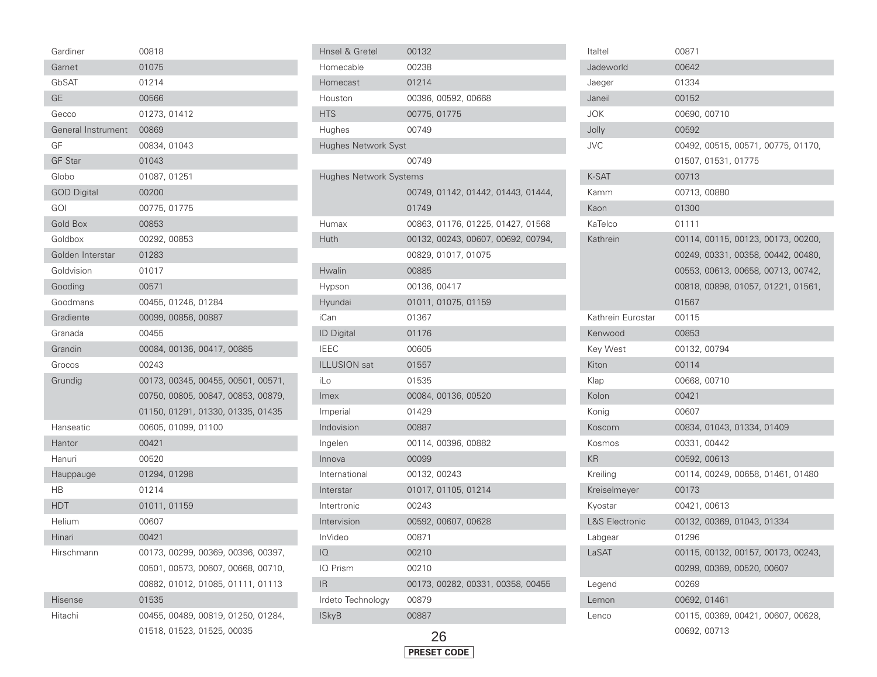| Gardiner           | 00818                              |
|--------------------|------------------------------------|
| Garnet             | 01075                              |
| GbSAT              | 01214                              |
| <b>GE</b>          | 00566                              |
| Gecco              | 01273, 01412                       |
| General Instrument | 00869                              |
| GF                 | 00834, 01043                       |
| <b>GF Star</b>     | 01043                              |
| Globo              | 01087, 01251                       |
| <b>GOD Digital</b> | 00200                              |
| goi                | 00775, 01775                       |
| <b>Gold Box</b>    | 00853                              |
| Goldbox            | 00292, 00853                       |
| Golden Interstar   | 01283                              |
| Goldvision         | 01017                              |
| Gooding            | 00571                              |
| Goodmans           | 00455, 01246, 01284                |
| Gradiente          | 00099, 00856, 00887                |
| Granada            | 00455                              |
| Grandin            | 00084, 00136, 00417, 00885         |
| Grocos             | 00243                              |
| Grundig            | 00173, 00345, 00455, 00501, 00571, |
|                    | 00750, 00805, 00847, 00853, 00879, |
|                    | 01150, 01291, 01330, 01335, 01435  |
| Hanseatic          | 00605, 01099, 01100                |
| Hantor             | 00421                              |
| Hanuri             | 00520                              |
| Hauppauge          | 01294, 01298                       |
| HВ                 | 01214                              |
| <b>HDT</b>         | 01011, 01159                       |
| Helium             | 00607                              |
| Hinari             | 00421                              |
| Hirschmann         | 00173, 00299, 00369, 00396, 00397, |
|                    | 00501, 00573, 00607, 00668, 00710, |
|                    | 00882, 01012, 01085, 01111, 01113  |
| <b>Hisense</b>     | 01535                              |
| Hitachi            | 00455, 00489, 00819, 01250, 01284, |
|                    | 01518, 01523, 01525, 00035         |

| Hnsel & Gretel                | 00132                              |
|-------------------------------|------------------------------------|
| Homecable                     | 00238                              |
| Homecast                      | 01214                              |
| Houston                       | 00396, 00592, 00668                |
| <b>HTS</b>                    | 00775, 01775                       |
| Hughes                        | 00749                              |
| Hughes Network Syst           |                                    |
|                               | 00749                              |
| <b>Hughes Network Systems</b> |                                    |
|                               | 00749, 01142, 01442, 01443, 01444, |
|                               | 01749                              |
| Humax                         | 00863, 01176, 01225, 01427, 01568  |
| Huth                          | 00132, 00243, 00607, 00692, 00794, |
|                               | 00829, 01017, 01075                |
| Hwalin                        | 00885                              |
| Hypson                        | 00136, 00417                       |
| Hyundai                       | 01011, 01075, 01159                |
| iCan                          | 01367                              |
| <b>ID Digital</b>             | 01176                              |
| <b>IEEC</b>                   | 00605                              |
| <b>ILLUSION</b> sat           | 01557                              |
| iLo                           | 01535                              |
| Imex                          | 00084, 00136, 00520                |
| Imperial                      | 01429                              |
| Indovision                    | 00887                              |
| Ingelen                       | 00114, 00396, 00882                |
| Innova                        | 00099                              |
| International                 | 00132, 00243                       |
| Interstar                     | 01017, 01105, 01214                |
| Intertronic                   | 00243                              |
| Intervision                   | 00592, 00607, 00628                |
| <b>InVideo</b>                | 00871                              |
| IQ                            | 00210                              |
| IQ Prism                      | 00210                              |
| IR.                           | 00173, 00282, 00331, 00358, 00455  |
| Irdeto Technology             | 00879                              |
| <b>ISkyB</b>                  | 00887                              |
|                               |                                    |



| Italtel                   | 00871                              |
|---------------------------|------------------------------------|
| Jadeworld                 | 00642                              |
| Jaeger                    | 01334                              |
| Janeil                    | 00152                              |
| JOK                       | 00690, 00710                       |
| Jolly                     | 00592                              |
| JVC                       | 00492, 00515, 00571, 00775, 01170, |
|                           | 01507, 01531, 01775                |
| K-SAT                     | 00713                              |
| Kamm                      | 00713,00880                        |
| Kaon                      | 01300                              |
| KaTelco                   | 01111                              |
| Kathrein                  | 00114, 00115, 00123, 00173, 00200, |
|                           | 00249, 00331, 00358, 00442, 00480, |
|                           | 00553, 00613, 00658, 00713, 00742, |
|                           | 00818, 00898, 01057, 01221, 01561, |
|                           | 01567                              |
| Kathrein Eurostar         | 00115                              |
| Kenwood                   | 00853                              |
| Key West                  | 00132, 00794                       |
| Kiton                     | 00114                              |
| Klap                      | 00668, 00710                       |
| Kolon                     | 00421                              |
| Konig                     | 00607                              |
| Koscom                    | 00834, 01043, 01334, 01409         |
| Kosmos                    | 00331, 00442                       |
| KR                        | 00592, 00613                       |
| Kreiling                  | 00114, 00249, 00658, 01461, 01480  |
| Kreiselmeyer              | 00173                              |
| Kyostar                   | 00421, 00613                       |
| <b>L&amp;S Electronic</b> | 00132, 00369, 01043, 01334         |
| Labgear                   | 01296                              |
| LaSAT                     | 00115, 00132, 00157, 00173, 00243, |
|                           | 00299, 00369, 00520, 00607         |
| Legend                    | 00269                              |
| Lemon                     | 00692, 01461                       |
| Lenco                     | 00115, 00369, 00421, 00607, 00628, |
|                           | 00692, 00713                       |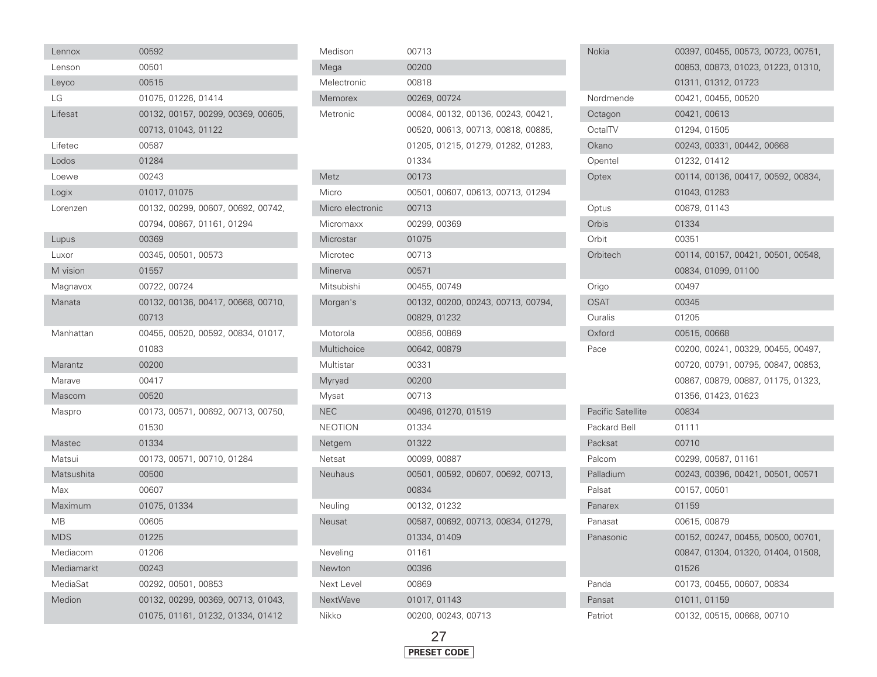| Lennox        | 00592        |                     |                                    |  |  |
|---------------|--------------|---------------------|------------------------------------|--|--|
| Lenson        | 00501        |                     |                                    |  |  |
| Leyco         | 00515        |                     |                                    |  |  |
| LG            |              | 01075, 01226, 01414 |                                    |  |  |
| Lifesat       |              |                     | 00132, 00157, 00299, 00369, 00605, |  |  |
|               |              | 00713, 01043, 01122 |                                    |  |  |
| Lifetec       | 00587        |                     |                                    |  |  |
| Lodos         | 01284        |                     |                                    |  |  |
| Loewe         | 00243        |                     |                                    |  |  |
| Logix         | 01017, 01075 |                     |                                    |  |  |
| Lorenzen      |              |                     | 00132, 00299, 00607, 00692, 00742, |  |  |
|               |              |                     | 00794, 00867, 01161, 01294         |  |  |
| Lupus         | 00369        |                     |                                    |  |  |
| Luxor         |              | 00345, 00501, 00573 |                                    |  |  |
| M vision      | 01557        |                     |                                    |  |  |
| Magnavox      | 00722, 00724 |                     |                                    |  |  |
| Manata        |              |                     | 00132, 00136, 00417, 00668, 00710, |  |  |
|               | 00713        |                     |                                    |  |  |
| Manhattan     |              |                     | 00455, 00520, 00592, 00834, 01017, |  |  |
|               | 01083        |                     |                                    |  |  |
| Marantz       | 00200        |                     |                                    |  |  |
| Marave        | 00417        |                     |                                    |  |  |
| Mascom        | 00520        |                     |                                    |  |  |
| Maspro        |              |                     | 00173, 00571, 00692, 00713, 00750, |  |  |
|               | 01530        |                     |                                    |  |  |
| <b>Mastec</b> | 01334        |                     |                                    |  |  |
| Matsui        |              |                     | 00173, 00571, 00710, 01284         |  |  |
| Matsushita    | 00500        |                     |                                    |  |  |
| Max           | 00607        |                     |                                    |  |  |
| Maximum       | 01075, 01334 |                     |                                    |  |  |
| MB            | 00605        |                     |                                    |  |  |
| <b>MDS</b>    | 01225        |                     |                                    |  |  |
| Mediacom      | 01206        |                     |                                    |  |  |
| Mediamarkt    | 00243        |                     |                                    |  |  |
| MediaSat      |              | 00292, 00501, 00853 |                                    |  |  |
| Medion        |              |                     | 00132, 00299, 00369, 00713, 01043, |  |  |
|               |              |                     | 01075, 01161, 01232, 01334, 01412  |  |  |

| Medison          | 00713                              |
|------------------|------------------------------------|
| Mega             | 00200                              |
| Melectronic      | 00818                              |
| Memorex          | 00269, 00724                       |
| Metronic         | 00084, 00132, 00136, 00243, 00421, |
|                  | 00520, 00613, 00713, 00818, 00885, |
|                  | 01205, 01215, 01279, 01282, 01283, |
|                  | 01334                              |
| Metz             | 00173                              |
| Micro            | 00501, 00607, 00613, 00713, 01294  |
| Micro electronic | 00713                              |
| Micromaxx        | 00299, 00369                       |
| Microstar        | 01075                              |
| Microtec         | 00713                              |
| Minerva          | 00571                              |
| Mitsubishi       | 00455, 00749                       |
| Morgan's         | 00132, 00200, 00243, 00713, 00794, |
|                  | 00829, 01232                       |
| Motorola         | 00856,00869                        |
| Multichoice      | 00642, 00879                       |
| Multistar        | 00331                              |
| Myryad           | 00200                              |
| Mysat            | 00713                              |
| <b>NEC</b>       | 00496, 01270, 01519                |
| NEOTION          | 01334                              |
| Netgem           | 01322                              |
| Netsat           | 00099, 00887                       |
| <b>Neuhaus</b>   | 00501, 00592, 00607, 00692, 00713, |
|                  | 00834                              |
| Neuling          | 00132, 01232                       |
| <b>Neusat</b>    | 00587, 00692, 00713, 00834, 01279, |
|                  | 01334, 01409                       |
| Neveling         | 01161                              |
| Newton           | 00396                              |
| Next Level       | 00869                              |
| <b>NextWave</b>  | 01017, 01143                       |
| Nikko            | 00200, 00243, 00713                |

| Nokia                    | 00397, 00455, 00573, 00723, 00751, |
|--------------------------|------------------------------------|
|                          | 00853, 00873, 01023, 01223, 01310, |
|                          | 01311, 01312, 01723                |
| Nordmende                | 00421, 00455, 00520                |
| Octagon                  | 00421, 00613                       |
| OctalTV                  | 01294, 01505                       |
| Okano                    | 00243, 00331, 00442, 00668         |
| Opentel                  | 01232, 01412                       |
| Optex                    | 00114, 00136, 00417, 00592, 00834, |
|                          | 01043, 01283                       |
| Optus                    | 00879, 01143                       |
| Orbis                    | 01334                              |
| Orbit                    | 00351                              |
| Orbitech                 | 00114, 00157, 00421, 00501, 00548, |
|                          | 00834, 01099, 01100                |
| Origo                    | 00497                              |
| OSAT                     | 00345                              |
| Ouralis                  | 01205                              |
| Oxford                   | 00515,00668                        |
| Pace                     | 00200, 00241, 00329, 00455, 00497, |
|                          | 00720, 00791, 00795, 00847, 00853, |
|                          | 00867, 00879, 00887, 01175, 01323, |
|                          | 01356, 01423, 01623                |
| <b>Pacific Satellite</b> | 00834                              |
| Packard Bell             | 01111                              |
| Packsat                  | 00710                              |
| Palcom                   | 00299, 00587, 01161                |
| Palladium                | 00243, 00396, 00421, 00501, 00571  |
| Palsat                   | 00157, 00501                       |
| Panarex                  | 01159                              |
| Panasat                  | 00615, 00879                       |
| Panasonic                | 00152, 00247, 00455, 00500, 00701, |
|                          | 00847, 01304, 01320, 01404, 01508, |
|                          | 01526                              |
| Panda                    | 00173, 00455, 00607, 00834         |
| Pansat                   | 01011, 01159                       |
| Patriot                  | 00132, 00515, 00668, 00710         |

F

٠

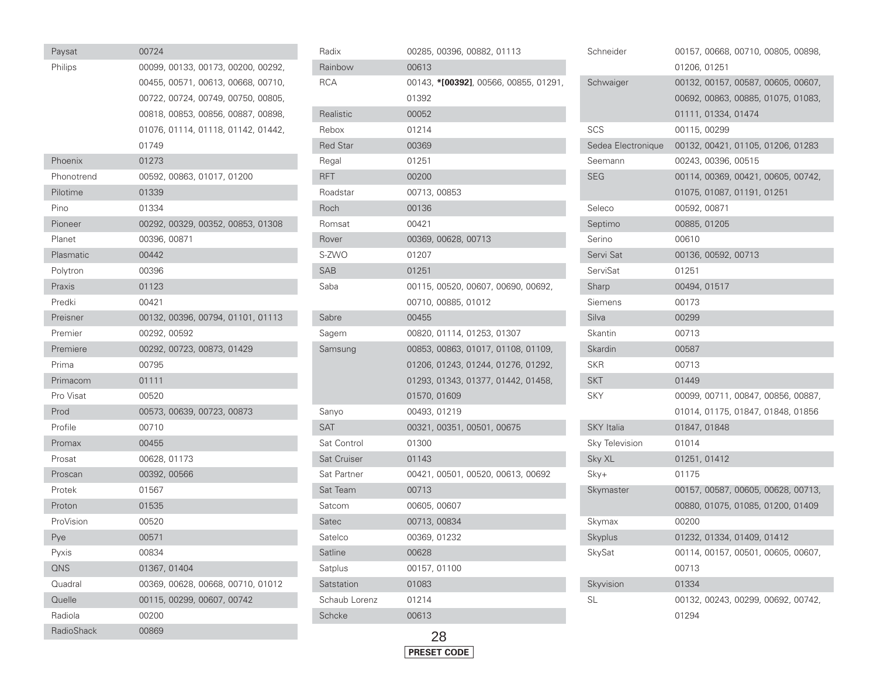| Paysat            | 00724        |                            |                                    |  |
|-------------------|--------------|----------------------------|------------------------------------|--|
| Philips           |              |                            | 00099, 00133, 00173, 00200, 00292, |  |
|                   |              |                            | 00455, 00571, 00613, 00668, 00710, |  |
|                   |              |                            | 00722, 00724, 00749, 00750, 00805, |  |
|                   |              |                            | 00818, 00853, 00856, 00887, 00898, |  |
|                   |              |                            | 01076, 01114, 01118, 01142, 01442, |  |
|                   | 01749        |                            |                                    |  |
| Phoenix           | 01273        |                            |                                    |  |
| Phonotrend        |              | 00592, 00863, 01017, 01200 |                                    |  |
| Pilotime          | 01339        |                            |                                    |  |
| Pino              | 01334        |                            |                                    |  |
| Pioneer           |              |                            | 00292, 00329, 00352, 00853, 01308  |  |
| Planet            | 00396, 00871 |                            |                                    |  |
| Plasmatic         | 00442        |                            |                                    |  |
| Polytron          | 00396        |                            |                                    |  |
| Praxis            | 01123        |                            |                                    |  |
| Predki            | 00421        |                            |                                    |  |
| Preisner          |              |                            | 00132, 00396, 00794, 01101, 01113  |  |
| Premier           | 00292, 00592 |                            |                                    |  |
| Premiere          |              | 00292, 00723, 00873, 01429 |                                    |  |
| Prima             | 00795        |                            |                                    |  |
| Primacom          | 01111        |                            |                                    |  |
| Pro Visat         | 00520        |                            |                                    |  |
| Prod              |              | 00573, 00639, 00723, 00873 |                                    |  |
| Profile           | 00710        |                            |                                    |  |
| Promax            | 00455        |                            |                                    |  |
| Prosat            | 00628, 01173 |                            |                                    |  |
| Proscan           | 00392, 00566 |                            |                                    |  |
| Protek            | 01567        |                            |                                    |  |
| Proton            | 01535        |                            |                                    |  |
| ProVision         | 00520        |                            |                                    |  |
| Pye               | 00571        |                            |                                    |  |
| Pyxis             | 00834        |                            |                                    |  |
| QNS               | 01367, 01404 |                            |                                    |  |
| Quadral           |              |                            | 00369, 00628, 00668, 00710, 01012  |  |
| Quelle            |              | 00115, 00299, 00607, 00742 |                                    |  |
| Radiola           | 00200        |                            |                                    |  |
| <b>RadioShack</b> | 00869        |                            |                                    |  |

| Radix           | 00285, 00396, 00882, 01113            |
|-----------------|---------------------------------------|
| Rainbow         | 00613                                 |
| <b>RCA</b>      | 00143, *[00392], 00566, 00855, 01291, |
|                 | 01392                                 |
| Realistic       | 00052                                 |
| Rebox           | 01214                                 |
| <b>Red Star</b> | 00369                                 |
| Regal           | 01251                                 |
| <b>RFT</b>      | 00200                                 |
| Roadstar        | 00713, 00853                          |
| Roch            | 00136                                 |
| Romsat          | 00421                                 |
| Rover           | 00369, 00628, 00713                   |
| S-ZWO           | 01207                                 |
| SAB             | 01251                                 |
| Saba            | 00115, 00520, 00607, 00690, 00692,    |
|                 | 00710, 00885, 01012                   |
| Sabre           | 00455                                 |
| Sagem           | 00820, 01114, 01253, 01307            |
| Samsung         | 00853, 00863, 01017, 01108, 01109,    |
|                 | 01206, 01243, 01244, 01276, 01292,    |
|                 | 01293, 01343, 01377, 01442, 01458,    |
|                 | 01570, 01609                          |
| Sanyo           | 00493, 01219                          |
| <b>SAT</b>      | 00321, 00351, 00501, 00675            |
| Sat Control     | 01300                                 |
| Sat Cruiser     | 01143                                 |
| Sat Partner     | 00421, 00501, 00520, 00613, 00692     |
| Sat Team        | 00713                                 |
| Satcom          | 00605, 00607                          |
| Satec           | 00713, 00834                          |
| Satelco         | 00369, 01232                          |
| Satline         | 00628                                 |
| Satplus         | 00157, 01100                          |
| Satstation      | 01083                                 |
| Schaub Lorenz   | 01214                                 |
| Schcke          | 00613                                 |
|                 |                                       |

I

| Schneider          | 00157, 00668, 00710, 00805, 00898,          |
|--------------------|---------------------------------------------|
|                    | 01206, 01251                                |
| Schwaiger          | 00132, 00157, 00587, 00605, 00607,          |
|                    | 00692, 00863, 00885, 01075, 01083,          |
|                    | 01111, 01334, 01474                         |
| SCS                | 00115, 00299                                |
| Sedea Electronique | 00132, 00421, 01105, 01206, 01283           |
| Seemann            | 00243, 00396, 00515                         |
| <b>SEG</b>         | 00114, 00369, 00421, 00605, 00742,          |
|                    | 01075, 01087, 01191, 01251                  |
| Seleco             | 00592, 00871                                |
| Septimo            | 00885, 01205                                |
| Serino             | 00610                                       |
| Servi Sat          | 00136, 00592, 00713                         |
| ServiSat           | 01251                                       |
| Sharp              | 00494, 01517                                |
| Siemens            | 00173                                       |
| Silva              | 00299                                       |
| Skantin            | 00713                                       |
| Skardin            | 00587                                       |
| <b>SKR</b>         | 00713                                       |
| <b>SKT</b>         | 01449                                       |
| SKY                | 00099, 00711, 00847, 00856, 00887,          |
|                    | 01014, 01175, 01847, 01848, 01856           |
| <b>SKY</b> Italia  | 01847, 01848                                |
| Sky Television     | 01014                                       |
| Sky XL             | 01251, 01412                                |
| Sky+               | 01175                                       |
| Skymaster          | 00157, 00587, 00605, 00628, 00713,          |
|                    | 00880, 01075, 01085, 01200, 01409           |
| Skymax             | 00200                                       |
| Skyplus            | 01232, 01334, 01409, 01412                  |
| SkySat             | 00114, 00157, 00501, 00605, 00607,          |
|                    | 00713                                       |
| Skyvision          | 01334                                       |
| SL                 | 00132, 00243, 00299, 00692, 00742,<br>01294 |

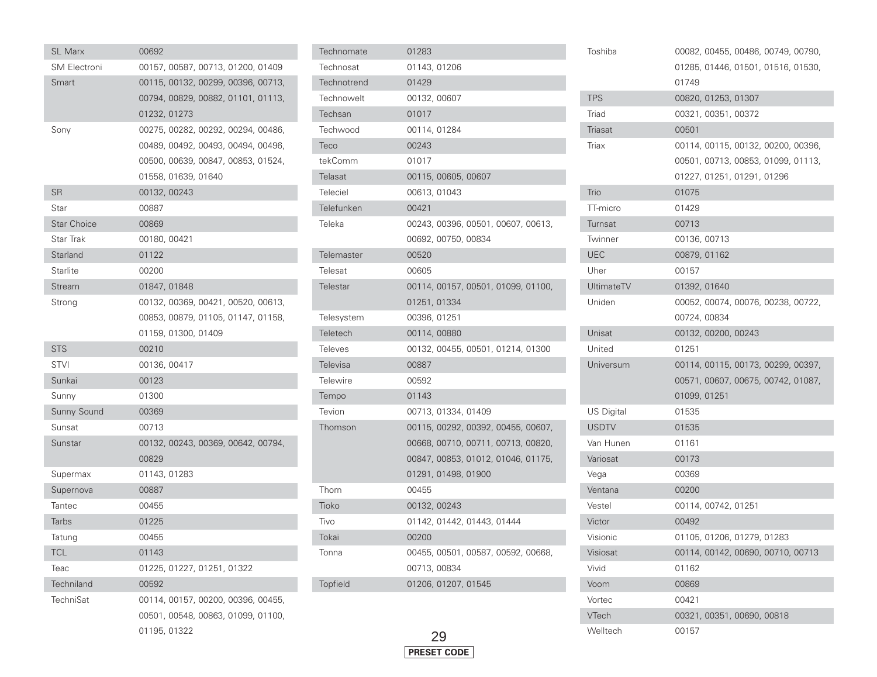| <b>SL Marx</b>      | 00692        |                     |                            |                                    |  |
|---------------------|--------------|---------------------|----------------------------|------------------------------------|--|
| <b>SM Electroni</b> |              |                     |                            | 00157, 00587, 00713, 01200, 01409  |  |
| Smart               |              |                     |                            | 00115, 00132, 00299, 00396, 00713, |  |
|                     |              |                     |                            | 00794, 00829, 00882, 01101, 01113, |  |
|                     | 01232, 01273 |                     |                            |                                    |  |
| Sony                |              |                     |                            | 00275, 00282, 00292, 00294, 00486, |  |
|                     |              |                     |                            | 00489, 00492, 00493, 00494, 00496, |  |
|                     |              |                     |                            | 00500, 00639, 00847, 00853, 01524, |  |
|                     |              | 01558, 01639, 01640 |                            |                                    |  |
| <b>SR</b>           | 00132, 00243 |                     |                            |                                    |  |
| Star                | 00887        |                     |                            |                                    |  |
| <b>Star Choice</b>  | 00869        |                     |                            |                                    |  |
| Star Trak           | 00180, 00421 |                     |                            |                                    |  |
| Starland            | 01122        |                     |                            |                                    |  |
| Starlite            | 00200        |                     |                            |                                    |  |
| Stream              | 01847, 01848 |                     |                            |                                    |  |
| Strong              |              |                     |                            | 00132, 00369, 00421, 00520, 00613, |  |
|                     |              |                     |                            | 00853, 00879, 01105, 01147, 01158, |  |
|                     |              | 01159, 01300, 01409 |                            |                                    |  |
| <b>STS</b>          | 00210        |                     |                            |                                    |  |
| <b>STVI</b>         | 00136, 00417 |                     |                            |                                    |  |
| Sunkai              | 00123        |                     |                            |                                    |  |
| Sunny               | 01300        |                     |                            |                                    |  |
| Sunny Sound         | 00369        |                     |                            |                                    |  |
| Sunsat              | 00713        |                     |                            |                                    |  |
| Sunstar             |              |                     |                            | 00132, 00243, 00369, 00642, 00794, |  |
|                     | 00829        |                     |                            |                                    |  |
| Supermax            | 01143, 01283 |                     |                            |                                    |  |
| Supernova           | 00887        |                     |                            |                                    |  |
| Tantec              | 00455        |                     |                            |                                    |  |
| <b>Tarbs</b>        | 01225        |                     |                            |                                    |  |
| Tatung              | 00455        |                     |                            |                                    |  |
| <b>TCL</b>          | 01143        |                     |                            |                                    |  |
| Teac                |              |                     | 01225, 01227, 01251, 01322 |                                    |  |
| <b>Techniland</b>   | 00592        |                     |                            |                                    |  |
| TechniSat           |              |                     |                            | 00114, 00157, 00200, 00396, 00455, |  |
|                     |              |                     |                            | 00501, 00548, 00863, 01099, 01100, |  |
|                     | 01195, 01322 |                     |                            |                                    |  |

| Technomate      | 01283                              |
|-----------------|------------------------------------|
| Technosat       | 01143, 01206                       |
| Technotrend     | 01429                              |
| Technowelt      | 00132, 00607                       |
| Techsan         | 01017                              |
| Techwood        | 00114, 01284                       |
| Teco            | 00243                              |
| tekComm         | 01017                              |
| Telasat         | 00115, 00605, 00607                |
| Teleciel        | 00613, 01043                       |
| Telefunken      | 00421                              |
| Teleka          | 00243, 00396, 00501, 00607, 00613, |
|                 | 00692, 00750, 00834                |
| Telemaster      | 00520                              |
| Telesat         | 00605                              |
| Telestar        | 00114, 00157, 00501, 01099, 01100, |
|                 | 01251, 01334                       |
| Telesystem      | 00396, 01251                       |
| Teletech        | 00114,00880                        |
| <b>Televes</b>  | 00132, 00455, 00501, 01214, 01300  |
| <b>Televisa</b> | 00887                              |
| <b>Telewire</b> | 00592                              |
| Tempo           | 01143                              |
| Tevion          | 00713, 01334, 01409                |
| Thomson         | 00115, 00292, 00392, 00455, 00607, |
|                 | 00668, 00710, 00711, 00713, 00820, |
|                 | 00847, 00853, 01012, 01046, 01175, |
|                 | 01291, 01498, 01900                |
| Thorn           | 00455                              |
| Tioko           | 00132, 00243                       |
| Tivo            | 01142, 01442, 01443, 01444         |
| Tokai           | 00200                              |
| Tonna           | 00455, 00501, 00587, 00592, 00668, |
|                 | 00713, 00834                       |
| <b>Topfield</b> | 01206, 01207, 01545                |
|                 |                                    |

|      | Triax             | 00114, 00115, 00132, 00200, 00396, |
|------|-------------------|------------------------------------|
|      |                   | 00501, 00713, 00853, 01099, 01113, |
|      |                   | 01227, 01251, 01291, 01296         |
|      | Trio              | 01075                              |
|      | TT-micro          | 01429                              |
| 613, | Turnsat           | 00713                              |
|      | Twinner           | 00136, 00713                       |
|      | <b>UEC</b>        | 00879, 01162                       |
|      | Uher              | 00157                              |
| 100, | <b>UltimateTV</b> | 01392, 01640                       |
|      | Uniden            | 00052, 00074, 00076, 00238, 00722, |
|      |                   | 00724, 00834                       |
|      | Unisat            | 00132, 00200, 00243                |
| 300  | United            | 01251                              |
|      | Universum         | 00114, 00115, 00173, 00299, 00397, |
|      |                   | 00571, 00607, 00675, 00742, 01087, |
|      |                   | 01099, 01251                       |
|      | US Digital        | 01535                              |
| 607, | <b>USDTV</b>      | 01535                              |
| 820, | Van Hunen         | 01161                              |
| 175, | Variosat          | 00173                              |
|      | Vega              | 00369                              |
|      | Ventana           | 00200                              |
|      | Vestel            | 00114, 00742, 01251                |
|      | Victor            | 00492                              |
|      | Visionic          | 01105, 01206, 01279, 01283         |
| 668, | Visiosat          | 00114, 00142, 00690, 00710, 00713  |
|      | Vivid             | 01162                              |
|      | Voom              | 00869                              |
|      | Vortec            | 00421                              |
|      | VTech             | 00321, 00351, 00690, 00818         |
|      | Welltech          | 00157                              |

Toshiba

**TPS** 

Triad Triasat 00082, 00455, 00486, 00749, 00790,

01285, 01446, 01501, 01516, 01530,

01749

00501

00820, 01253, 01307

00321, 00351, 00372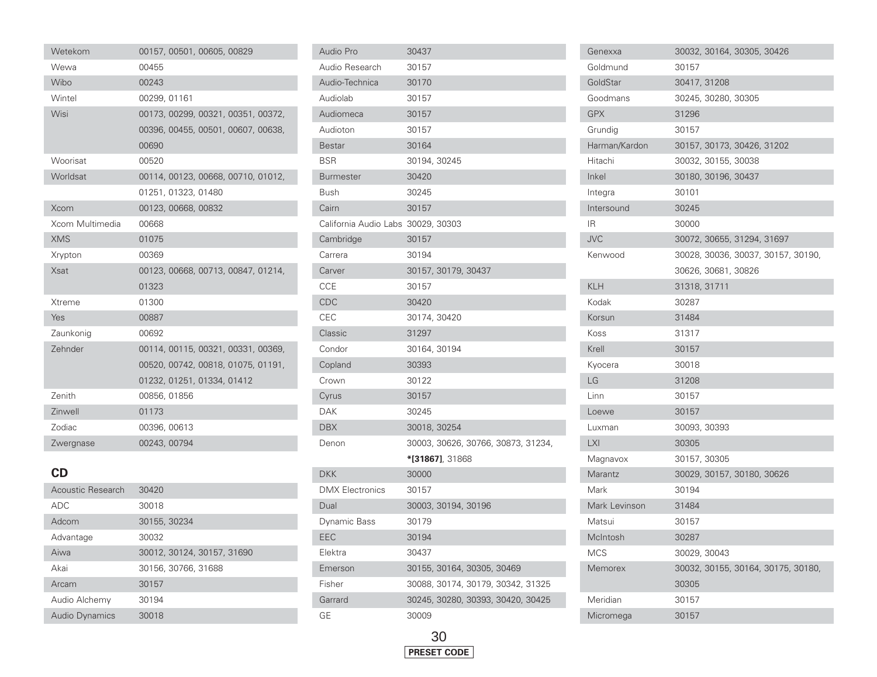| Wetekom           | 00157, 00501, 00605, 00829         |
|-------------------|------------------------------------|
| Wewa              | 00455                              |
| Wibo              | 00243                              |
| Wintel            | 00299, 01161                       |
| Wisi              | 00173, 00299, 00321, 00351, 00372, |
|                   | 00396, 00455, 00501, 00607, 00638, |
|                   | 00690                              |
| Woorisat          | 00520                              |
| Worldsat          | 00114, 00123, 00668, 00710, 01012, |
|                   | 01251, 01323, 01480                |
| Xcom              | 00123, 00668, 00832                |
| Xcom Multimedia   | 00668                              |
| <b>XMS</b>        | 01075                              |
| Xrypton           | 00369                              |
| <b>Xsat</b>       | 00123, 00668, 00713, 00847, 01214, |
|                   | 01323                              |
| Xtreme            | 01300                              |
| Yes               | 00887                              |
| Zaunkonig         | 00692                              |
| Zehnder           | 00114, 00115, 00321, 00331, 00369, |
|                   | 00520, 00742, 00818, 01075, 01191, |
|                   | 01232, 01251, 01334, 01412         |
| Zenith            | 00856, 01856                       |
| Zinwell           | 01173                              |
| Zodiac            | 00396, 00613                       |
| Zwergnase         | 00243, 00794                       |
|                   |                                    |
| CD                |                                    |
| Acoustic Research | 30420                              |

| Acoustic Research     | 30420                      |
|-----------------------|----------------------------|
| <b>ADC</b>            | 30018                      |
| Adcom                 | 30155, 30234               |
| Advantage             | 30032                      |
| Aiwa                  | 30012, 30124, 30157, 31690 |
| Akai                  | 30156, 30766, 31688        |
| Arcam                 | 30157                      |
| Audio Alchemy         | 30194                      |
| <b>Audio Dynamics</b> | 30018                      |

| Audio Pro                          | 30437                              |
|------------------------------------|------------------------------------|
| Audio Research                     | 30157                              |
| Audio-Technica                     | 30170                              |
| Audiolab                           | 30157                              |
| Audiomeca                          | 30157                              |
| Audioton                           | 30157                              |
| Bestar                             | 30164                              |
| <b>BSR</b>                         | 30194, 30245                       |
| <b>Burmester</b>                   | 30420                              |
| Bush                               | 30245                              |
| Cairn                              | 30157                              |
| California Audio Labs 30029, 30303 |                                    |
| Cambridge                          | 30157                              |
| Carrera                            | 30194                              |
| Carver                             | 30157, 30179, 30437                |
| <b>CCE</b>                         | 30157                              |
| CDC                                | 30420                              |
| CEC                                | 30174, 30420                       |
| Classic                            | 31297                              |
| Condor                             | 30164, 30194                       |
| Copland                            | 30393                              |
| Crown                              | 30122                              |
| Cyrus                              | 30157                              |
| <b>DAK</b>                         | 30245                              |
| <b>DBX</b>                         | 30018, 30254                       |
| Denon                              | 30003, 30626, 30766, 30873, 31234, |
|                                    | *[31867], 31868                    |
| <b>DKK</b>                         | 30000                              |
| <b>DMX Electronics</b>             | 30157                              |
| Dual                               | 30003, 30194, 30196                |
| Dynamic Bass                       | 30179                              |
| EEC                                | 30194                              |
| Elektra                            | 30437                              |
| Emerson                            | 30155, 30164, 30305, 30469         |
| Fisher                             | 30088, 30174, 30179, 30342, 31325  |
| Garrard                            | 30245, 30280, 30393, 30420, 30425  |
| GE                                 | 30009                              |

| Genexxa       | 30032, 30164, 30305, 30426         |
|---------------|------------------------------------|
| Goldmund      | 30157                              |
| GoldStar      | 30417, 31208                       |
| Goodmans      | 30245, 30280, 30305                |
| <b>GPX</b>    | 31296                              |
| Grundig       | 30157                              |
| Harman/Kardon | 30157, 30173, 30426, 31202         |
| Hitachi       | 30032, 30155, 30038                |
| Inkel         | 30180, 30196, 30437                |
| Integra       | 30101                              |
| Intersound    | 30245                              |
| IR.           | 30000                              |
| <b>JVC</b>    | 30072, 30655, 31294, 31697         |
| Kenwood       | 30028, 30036, 30037, 30157, 30190, |
|               | 30626, 30681, 30826                |
| <b>KLH</b>    | 31318, 31711                       |
| Kodak         | 30287                              |
| Korsun        | 31484                              |
| Koss          | 31317                              |
| Krell         | 30157                              |
| Kyocera       | 30018                              |
| LG            | 31208                              |
| Linn          | 30157                              |
| Loewe         | 30157                              |
| Luxman        | 30093, 30393                       |
| <b>LXI</b>    | 30305                              |
| Magnavox      | 30157, 30305                       |
| Marantz       | 30029, 30157, 30180, 30626         |
| Mark          | 30194                              |
| Mark Levinson | 31484                              |
| Matsui        | 30157                              |
| McIntosh      | 30287                              |
| <b>MCS</b>    | 30029, 30043                       |
| Memorex       | 30032, 30155, 30164, 30175, 30180, |
|               | 30305                              |
| Meridian      | 30157                              |
| Micromega     | 30157                              |

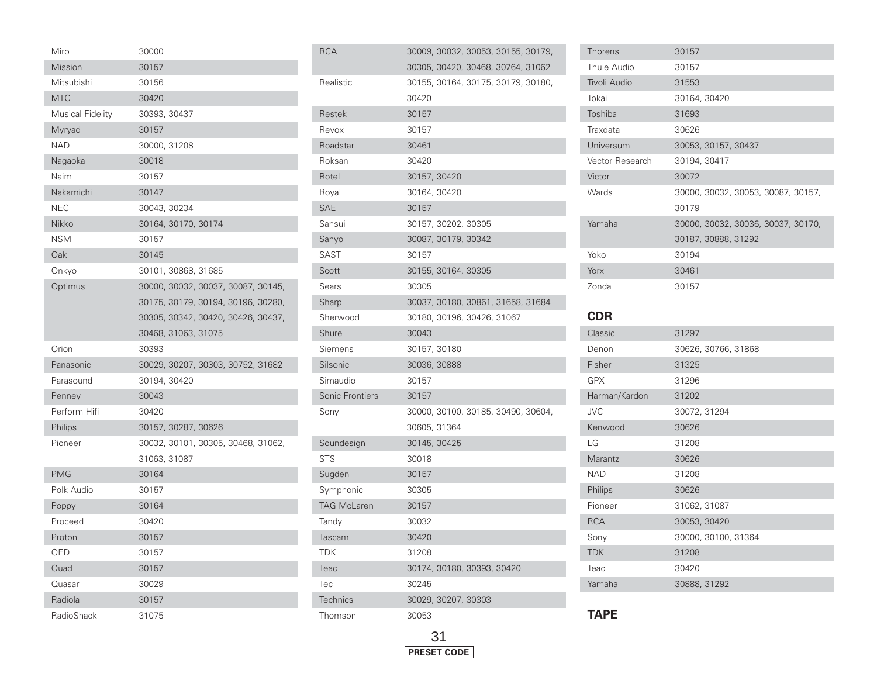| Miro                    | 30000                              |
|-------------------------|------------------------------------|
| Mission                 | 30157                              |
| Mitsubishi              | 30156                              |
| <b>MTC</b>              | 30420                              |
| <b>Musical Fidelity</b> | 30393, 30437                       |
| Myryad                  | 30157                              |
| <b>NAD</b>              | 30000, 31208                       |
| Nagaoka                 | 30018                              |
| Naim                    | 30157                              |
| Nakamichi               | 30147                              |
| <b>NEC</b>              | 30043, 30234                       |
| Nikko                   | 30164, 30170, 30174                |
| <b>NSM</b>              | 30157                              |
| Oak                     | 30145                              |
| Onkyo                   | 30101, 30868, 31685                |
| Optimus                 | 30000, 30032, 30037, 30087, 30145, |
|                         | 30175, 30179, 30194, 30196, 30280, |
|                         | 30305, 30342, 30420, 30426, 30437, |
|                         | 30468, 31063, 31075                |
| Orion                   | 30393                              |
| Panasonic               | 30029, 30207, 30303, 30752, 31682  |
| Parasound               | 30194, 30420                       |
| Penney                  | 30043                              |
| Perform Hifi            | 30420                              |
| Philips                 | 30157, 30287, 30626                |
| Pioneer                 | 30032, 30101, 30305, 30468, 31062, |
|                         | 31063, 31087                       |
| <b>PMG</b>              | 30164                              |
| Polk Audio              | 30157                              |
| Poppy                   | 30164                              |
| Proceed                 | 30420                              |
| Proton                  | 30157                              |
| QED                     | 30157                              |
| Quad                    | 30157                              |
| Quasar                  | 30029                              |
| Radiola                 | 30157                              |
| RadioShack              | 31075                              |

| RCA                | 30009, 30032, 30053, 30155, 30179, |
|--------------------|------------------------------------|
|                    | 30305, 30420, 30468, 30764, 31062  |
| Realistic          | 30155, 30164, 30175, 30179, 30180, |
|                    | 30420                              |
| Restek             | 30157                              |
| Revox              | 30157                              |
| Roadstar           | 30461                              |
| Roksan             | 30420                              |
| Rotel              | 30157, 30420                       |
| Royal              | 30164, 30420                       |
| SAE                | 30157                              |
| Sansui             | 30157, 30202, 30305                |
| Sanyo              | 30087, 30179, 30342                |
| <b>SAST</b>        | 30157                              |
| Scott              | 30155, 30164, 30305                |
| Sears              | 30305                              |
| Sharp              | 30037, 30180, 30861, 31658, 31684  |
| Sherwood           | 30180, 30196, 30426, 31067         |
| Shure              | 30043                              |
| Siemens            | 30157, 30180                       |
| Silsonic           | 30036, 30888                       |
| Simaudio           | 30157                              |
| Sonic Frontiers    | 30157                              |
| Sony               | 30000, 30100, 30185, 30490, 30604, |
|                    | 30605, 31364                       |
| Soundesign         | 30145, 30425                       |
| STS                | 30018                              |
| Sugden             | 30157                              |
| Symphonic          | 30305                              |
| <b>TAG McLaren</b> | 30157                              |
| Tandy              | 30032                              |
| Tascam             | 30420                              |
| TDK                | 31208                              |
| Teac               | 30174, 30180, 30393, 30420         |
| Tec                | 30245                              |
| Technics           | 30029, 30207, 30303                |
| Thomson            | 30053                              |

| Thorens             | 30157                              |
|---------------------|------------------------------------|
| Thule Audio         | 30157                              |
| <b>Tivoli Audio</b> | 31553                              |
| Tokai               | 30164, 30420                       |
| Toshiba             | 31693                              |
| Traxdata            | 30626                              |
| Universum           | 30053, 30157, 30437                |
| Vector Research     | 30194, 30417                       |
| Victor              | 30072                              |
| Wards               | 30000, 30032, 30053, 30087, 30157, |
|                     | 30179                              |
| Yamaha              | 30000, 30032, 30036, 30037, 30170, |
|                     | 30187, 30888, 31292                |
| Yoko                | 30194                              |
| Yorx                | 30461                              |
| Zonda               | 30157                              |
|                     |                                    |
| <b>CDR</b>          |                                    |
| Classic             | 31297                              |
| Denon               | 30626, 30766, 31868                |
| Fisher              | 31325                              |
| GPX                 | 31296                              |
| Harman/Kardon       | 31202                              |
| <b>JVC</b>          | 30072, 31294                       |
| Kenwood             | 30626                              |
|                     |                                    |

| ו סווכו       | ں ےں ا ں            |
|---------------|---------------------|
| GPX           | 31296               |
| Harman/Kardon | 31202               |
| <b>JVC</b>    | 30072, 31294        |
| Kenwood       | 30626               |
| LG            | 31208               |
| Marantz       | 30626               |
| NAD           | 31208               |
| Philips       | 30626               |
| Pioneer       | 31062, 31087        |
| <b>RCA</b>    | 30053, 30420        |
| Sony          | 30000, 30100, 31364 |
| <b>TDK</b>    | 31208               |
| Teac          | 30420               |
| Yamaha        | 30888, 31292        |
|               |                     |

**TAPE**

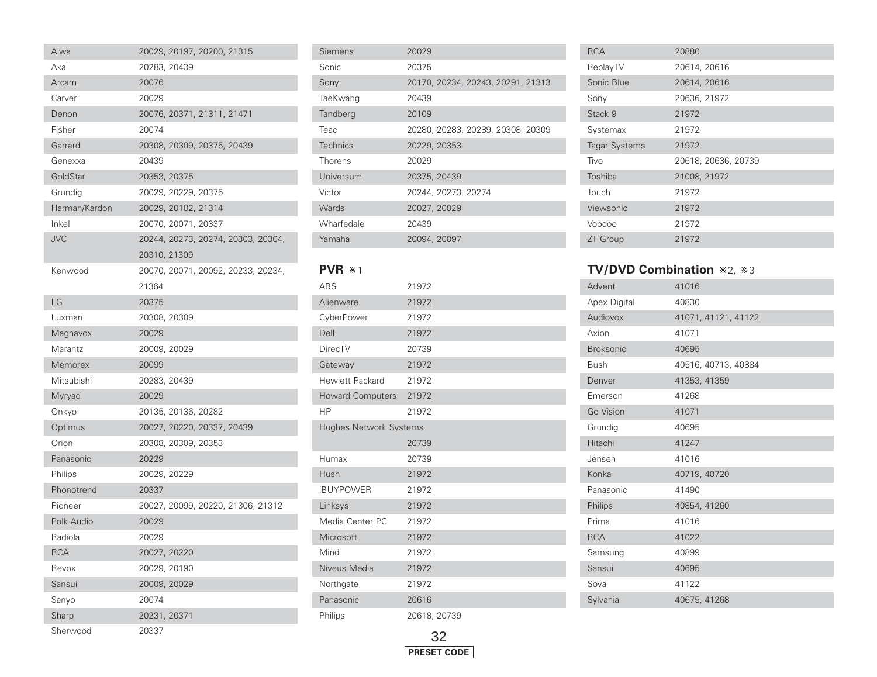| Aiwa          | 20029, 20197, 20200, 21315         |
|---------------|------------------------------------|
| Akai          | 20283, 20439                       |
| Arcam         | 20076                              |
| Carver        | 20029                              |
| Denon         | 20076, 20371, 21311, 21471         |
| Fisher        | 20074                              |
| Garrard       | 20308, 20309, 20375, 20439         |
| Genexxa       | 20439                              |
| GoldStar      | 20353, 20375                       |
| Grundia       | 20029, 20229, 20375                |
| Harman/Kardon | 20029, 20182, 21314                |
| Inkel         | 20070, 20071, 20337                |
| <b>JVC</b>    | 20244, 20273, 20274, 20303, 20304, |
|               | 20310, 21309                       |
| Kenwood       | 20070, 20071, 20092, 20233, 20234, |
|               | 21364                              |
| LG            | 20375                              |
| Luxman        | 20308, 20309                       |
| Magnavox      | 20029                              |
| Marantz       | 20009, 20029                       |
| Memorex       | 20099                              |
| Mitsubishi    | 20283, 20439                       |
| Myryad        | 20029                              |
| Onkyo         | 20135, 20136, 20282                |
| Optimus       | 20027, 20220, 20337, 20439         |
| Orion         | 20308, 20309, 20353                |
| Panasonic     | 20229                              |
| Philips       | 20029, 20229                       |
| Phonotrend    | 20337                              |
| Pioneer       | 20027, 20099, 20220, 21306, 21312  |
| Polk Audio    | 20029                              |
| Radiola       | 20029                              |
| <b>RCA</b>    | 20027, 20220                       |
| Revox         | 20029, 20190                       |
| Sansui        | 20009, 20029                       |
| Sanyo         | 20074                              |
| Sharp         | 20231, 20371                       |
| Sherwood      | 20337                              |

| Siemens    | 20029                             |
|------------|-----------------------------------|
| Sonic      | 20375                             |
| Sony       | 20170, 20234, 20243, 20291, 21313 |
| TaeKwang   | 20439                             |
| Tandberg   | 20109                             |
| Teac       | 20280, 20283, 20289, 20308, 20309 |
| Technics   | 20229, 20353                      |
| Thorens    | 20029                             |
| Universum  | 20375, 20439                      |
| Victor     | 20244, 20273, 20274               |
| Wards      | 20027, 20029                      |
| Wharfedale | 20439                             |
| Yamaha     | 20094, 20097                      |

**PVR \*1** 

I

۰ ÷

| <b>ABS</b>                    | 21972 |
|-------------------------------|-------|
| Alienware                     | 21972 |
| CyberPower                    | 21972 |
| Dell                          | 21972 |
| <b>DirecTV</b>                | 20739 |
| Gateway                       | 21972 |
| <b>Hewlett Packard</b>        | 21972 |
| <b>Howard Computers</b>       | 21972 |
| <b>HP</b>                     | 21972 |
| <b>Hughes Network Systems</b> |       |
|                               | 20739 |
| Humax                         | 20739 |
| Hush                          | 21972 |
| <b>iBUYPOWER</b>              | 21972 |
| Linksys                       | 21972 |
| Media Center PC               | 21972 |
| Microsoft                     | 21972 |
| Mind                          |       |
|                               | 21972 |
| Niveus Media                  | 21972 |
| Northgate                     | 21972 |
| Panasonic                     | 20616 |

| <b>RCA</b>           | 20880               |
|----------------------|---------------------|
| ReplayTV             | 20614, 20616        |
| Sonic Blue           | 20614, 20616        |
| Sony                 | 20636, 21972        |
| Stack 9              | 21972               |
| Systemax             | 21972               |
| <b>Tagar Systems</b> | 21972               |
| Tivo                 | 20618, 20636, 20739 |
| Toshiba              | 21008, 21972        |
| Touch                | 21972               |
| Viewsonic            | 21972               |
| Voodoo               | 21972               |
| <b>ZT</b> Group      | 21972               |

## TV/DVD Combination \*2, \*3

 $\overline{\phantom{a}}$ 

| Advent           | 41016               |
|------------------|---------------------|
| Apex Digital     | 40830               |
| Audiovox         | 41071, 41121, 41122 |
| Axion            | 41071               |
| <b>Broksonic</b> | 40695               |
| <b>Bush</b>      | 40516, 40713, 40884 |
| Denver           | 41353, 41359        |
| Emerson          | 41268               |
| Go Vision        | 41071               |
| Grundig          | 40695               |
| Hitachi          | 41247               |
| Jensen           | 41016               |
| Konka            | 40719, 40720        |
| Panasonic        | 41490               |
| Philips          | 40854, 41260        |
| Prima            | 41016               |
| <b>RCA</b>       | 41022               |
| Samsung          | 40899               |
| Sansui           | 40695               |
| Sova             | 41122               |
| Sylvania         | 40675, 41268        |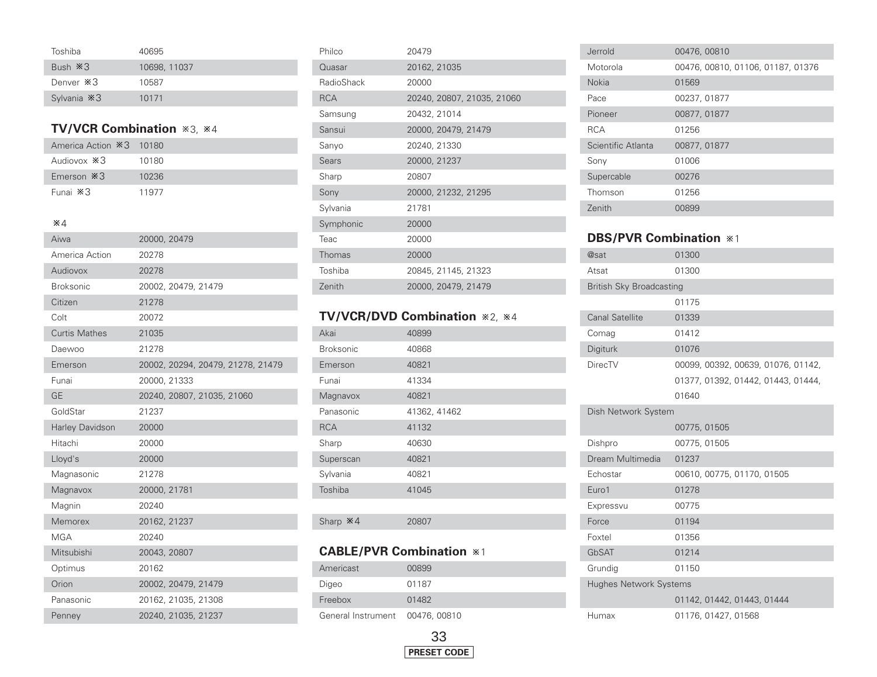| Toshiba                 | 40695        |
|-------------------------|--------------|
| Bush $\divideontimes$ 3 | 10698, 11037 |
| Denver *3               | 10587        |
| Sylvania *3             | 10171        |

#### **TV/VCR Combination**  $*3$ **,**  $*4$

| America Action *3 10180 |       |
|-------------------------|-------|
| Audiovox *3             | 10180 |
| Emerson $*3$            | 10236 |
| Funai ※3                | 11977 |

#### 4

| Aiwa                   | 20000, 20479                      |
|------------------------|-----------------------------------|
| America Action         | 20278                             |
| Audiovox               | 20278                             |
| <b>Broksonic</b>       | 20002, 20479, 21479               |
| Citizen                | 21278                             |
| Colt                   | 20072                             |
| <b>Curtis Mathes</b>   | 21035                             |
| Daewoo                 | 21278                             |
| Emerson                | 20002, 20294, 20479, 21278, 21479 |
| Funai                  | 20000, 21333                      |
| GE                     | 20240, 20807, 21035, 21060        |
| GoldStar               | 21237                             |
| <b>Harley Davidson</b> | 20000                             |
| Hitachi                | 20000                             |
| Lloyd's                | 20000                             |
| Magnasonic             | 21278                             |
| Magnavox               | 20000, 21781                      |
| Magnin                 | 20240                             |
| Memorex                | 20162, 21237                      |
| MGA                    | 20240                             |
| Mitsubishi             | 20043, 20807                      |
| Optimus                | 20162                             |
| Orion                  | 20002, 20479, 21479               |
| Panasonic              | 20162, 21035, 21308               |
| Penney                 | 20240, 21035, 21237               |

| Philco       | 20479                      |
|--------------|----------------------------|
| Quasar       | 20162, 21035               |
| RadioShack   | 20000                      |
| <b>RCA</b>   | 20240, 20807, 21035, 21060 |
| Samsung      | 20432, 21014               |
| Sansui       | 20000, 20479, 21479        |
| Sanyo        | 20240, 21330               |
| <b>Sears</b> | 20000, 21237               |
| Sharp        | 20807                      |
| Sony         | 20000, 21232, 21295        |
| Sylvania     | 21781                      |
| Symphonic    | 20000                      |
| Teac         | 20000                      |
| Thomas       | 20000                      |
| Toshiba      | 20845, 21145, 21323        |
| Zenith       | 20000, 20479, 21479        |

# **TV/VCR/DVD Combination**  $*2$ ,  $*4$

| Akai             | 40899        |
|------------------|--------------|
| <b>Broksonic</b> | 40868        |
| Emerson          | 40821        |
| Funai            | 41334        |
| Magnavox         | 40821        |
| Panasonic        | 41362, 41462 |
| <b>RCA</b>       | 41132        |
| Sharp            | 40630        |
| Superscan        | 40821        |
| Sylvania         | 40821        |
| Toshiba          | 41045        |
|                  |              |
| Sharp *4         | 20807        |

## **CABLE/PVR Combination \*1**

| Americast                       | 00899 |
|---------------------------------|-------|
| Digeo                           | 01187 |
| Freebox                         | 01482 |
| General Instrument 00476, 00810 |       |



| Jerrold            | 00476, 00810                      |
|--------------------|-----------------------------------|
| Motorola           | 00476, 00810, 01106, 01187, 01376 |
| <b>Nokia</b>       | 01569                             |
| Pace               | 00237, 01877                      |
| Pioneer            | 00877, 01877                      |
| <b>RCA</b>         | 01256                             |
| Scientific Atlanta | 00877, 01877                      |
| Sony               | 01006                             |
| Supercable         | 00276                             |
| Thomson            | 01256                             |
| Zenith             | 00899                             |

#### **DBS/PVR Combination** \*1

| @sat                            | 01300                              |  |
|---------------------------------|------------------------------------|--|
| Atsat                           | 01300                              |  |
| <b>British Sky Broadcasting</b> |                                    |  |
|                                 | 01175                              |  |
| <b>Canal Satellite</b>          | 01339                              |  |
| Comag                           | 01412                              |  |
| Digiturk                        | 01076                              |  |
| <b>DirecTV</b>                  | 00099, 00392, 00639, 01076, 01142, |  |
|                                 | 01377, 01392, 01442, 01443, 01444, |  |
|                                 | 01640                              |  |
| Dish Network System             |                                    |  |
|                                 | 00775, 01505                       |  |
| Dishpro                         | 00775, 01505                       |  |
| Dream Multimedia                | 01237                              |  |
| Echostar                        | 00610, 00775, 01170, 01505         |  |
| Euro1                           | 01278                              |  |
| Expressvu                       | 00775                              |  |
| Force                           | 01194                              |  |
| Foxtel                          | 01356                              |  |
| GbSAT                           | 01214                              |  |
| Grundig                         | 01150                              |  |
| <b>Hughes Network Systems</b>   |                                    |  |
|                                 |                                    |  |
|                                 | 01142, 01442, 01443, 01444         |  |